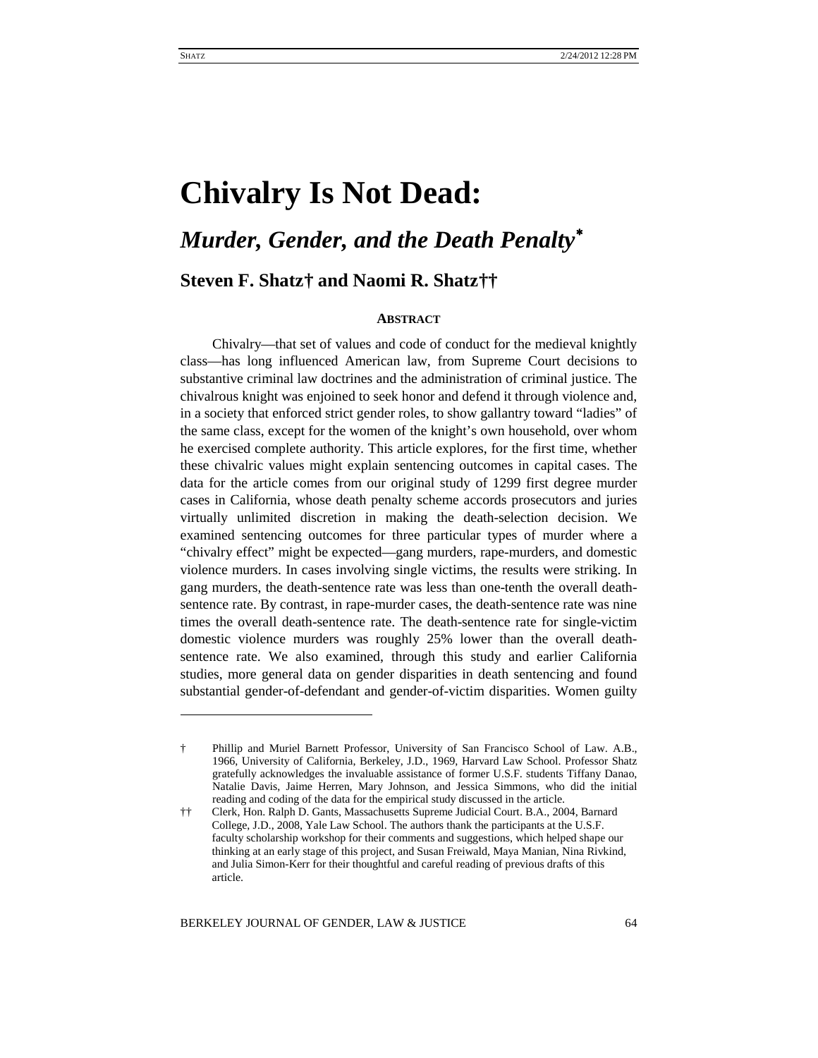# **Chivalry Is Not Dead:**

# *Murder, Gender, and the Death Penalty*[∗](#page-0-0)

**Steven F. Shatz[†](#page-0-1) and Naomi R. Shatz[††](#page-0-2)**

# **ABSTRACT**

Chivalry—that set of values and code of conduct for the medieval knightly class—has long influenced American law, from Supreme Court decisions to substantive criminal law doctrines and the administration of criminal justice. The chivalrous knight was enjoined to seek honor and defend it through violence and, in a society that enforced strict gender roles, to show gallantry toward "ladies" of the same class, except for the women of the knight's own household, over whom he exercised complete authority. This article explores, for the first time, whether these chivalric values might explain sentencing outcomes in capital cases. The data for the article comes from our original study of 1299 first degree murder cases in California, whose death penalty scheme accords prosecutors and juries virtually unlimited discretion in making the death-selection decision. We examined sentencing outcomes for three particular types of murder where a "chivalry effect" might be expected—gang murders, rape-murders, and domestic violence murders. In cases involving single victims, the results were striking. In gang murders, the death-sentence rate was less than one-tenth the overall deathsentence rate. By contrast, in rape-murder cases, the death-sentence rate was nine times the overall death-sentence rate. The death-sentence rate for single-victim domestic violence murders was roughly 25% lower than the overall deathsentence rate. We also examined, through this study and earlier California studies, more general data on gender disparities in death sentencing and found substantial gender-of-defendant and gender-of-victim disparities. Women guilty

<span id="page-0-1"></span><span id="page-0-0"></span><sup>†</sup> Phillip and Muriel Barnett Professor, University of San Francisco School of Law. A.B., 1966, University of California, Berkeley, J.D., 1969, Harvard Law School. Professor Shatz gratefully acknowledges the invaluable assistance of former U.S.F. students Tiffany Danao, Natalie Davis, Jaime Herren, Mary Johnson, and Jessica Simmons, who did the initial reading and coding of the data for the empirical study discussed in the article.

<span id="page-0-2"></span><sup>††</sup> Clerk, Hon. Ralph D. Gants, Massachusetts Supreme Judicial Court. B.A., 2004, Barnard College, J.D., 2008, Yale Law School. The authors thank the participants at the U.S.F. faculty scholarship workshop for their comments and suggestions, which helped shape our thinking at an early stage of this project, and Susan Freiwald, Maya Manian, Nina Rivkind, and Julia Simon-Kerr for their thoughtful and careful reading of previous drafts of this article.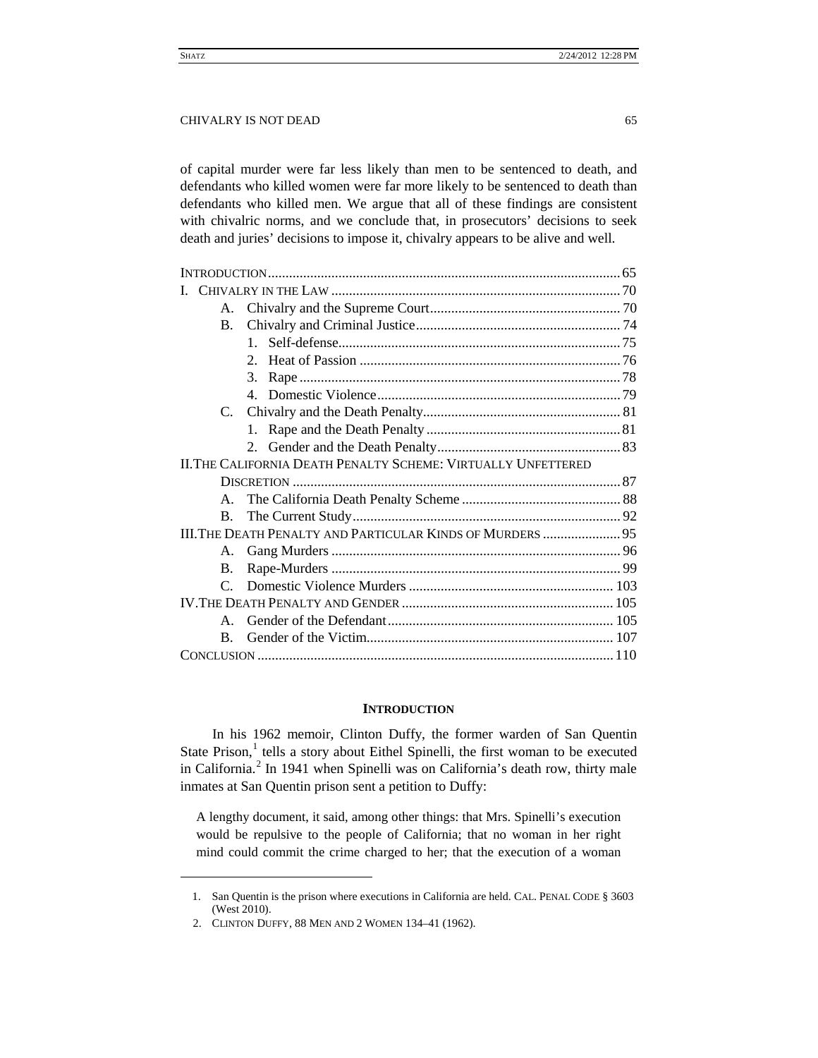of capital murder were far less likely than men to be sentenced to death, and defendants who killed women were far more likely to be sentenced to death than defendants who killed men. We argue that all of these findings are consistent with chivalric norms, and we conclude that, in prosecutors' decisions to seek death and juries' decisions to impose it, chivalry appears to be alive and well.

|                                                                   | $A_{\cdot}$    |                             |  |
|-------------------------------------------------------------------|----------------|-----------------------------|--|
|                                                                   | $\mathbf{B}$ . |                             |  |
|                                                                   |                | $1 \quad$                   |  |
|                                                                   |                | $\mathcal{D}_{\mathcal{L}}$ |  |
|                                                                   |                | 3.                          |  |
|                                                                   |                |                             |  |
|                                                                   | C.             |                             |  |
|                                                                   |                | 1.                          |  |
|                                                                   |                |                             |  |
| II. THE CALIFORNIA DEATH PENALTY SCHEME: VIRTUALLY UNFETTERED     |                |                             |  |
|                                                                   |                |                             |  |
|                                                                   |                |                             |  |
|                                                                   | $\mathbf{B}$ . |                             |  |
| <b>III. THE DEATH PENALTY AND PARTICULAR KINDS OF MURDERS  95</b> |                |                             |  |
|                                                                   | A.             |                             |  |
|                                                                   | $\mathbf{B}$ . |                             |  |
|                                                                   | $\mathcal{C}$  |                             |  |
|                                                                   |                |                             |  |
|                                                                   | $\mathsf{A}$   |                             |  |
|                                                                   | B.             |                             |  |
|                                                                   |                |                             |  |

## **INTRODUCTION**

<span id="page-1-0"></span>In his 1962 memoir, Clinton Duffy, the former warden of San Quentin State Prison, $<sup>1</sup>$  $<sup>1</sup>$  $<sup>1</sup>$  tells a story about Eithel Spinelli, the first woman to be executed</sup> in California.<sup>[2](#page-1-2)</sup> In 1941 when Spinelli was on California's death row, thirty male inmates at San Quentin prison sent a petition to Duffy:

<span id="page-1-3"></span>A lengthy document, it said, among other things: that Mrs. Spinelli's execution would be repulsive to the people of California; that no woman in her right mind could commit the crime charged to her; that the execution of a woman

<span id="page-1-1"></span><sup>1.</sup> San Quentin is the prison where executions in California are held. CAL. PENAL CODE § 3603 (West 2010).

<span id="page-1-2"></span><sup>2.</sup> CLINTON DUFFY, 88 MEN AND 2 WOMEN 134–41 (1962).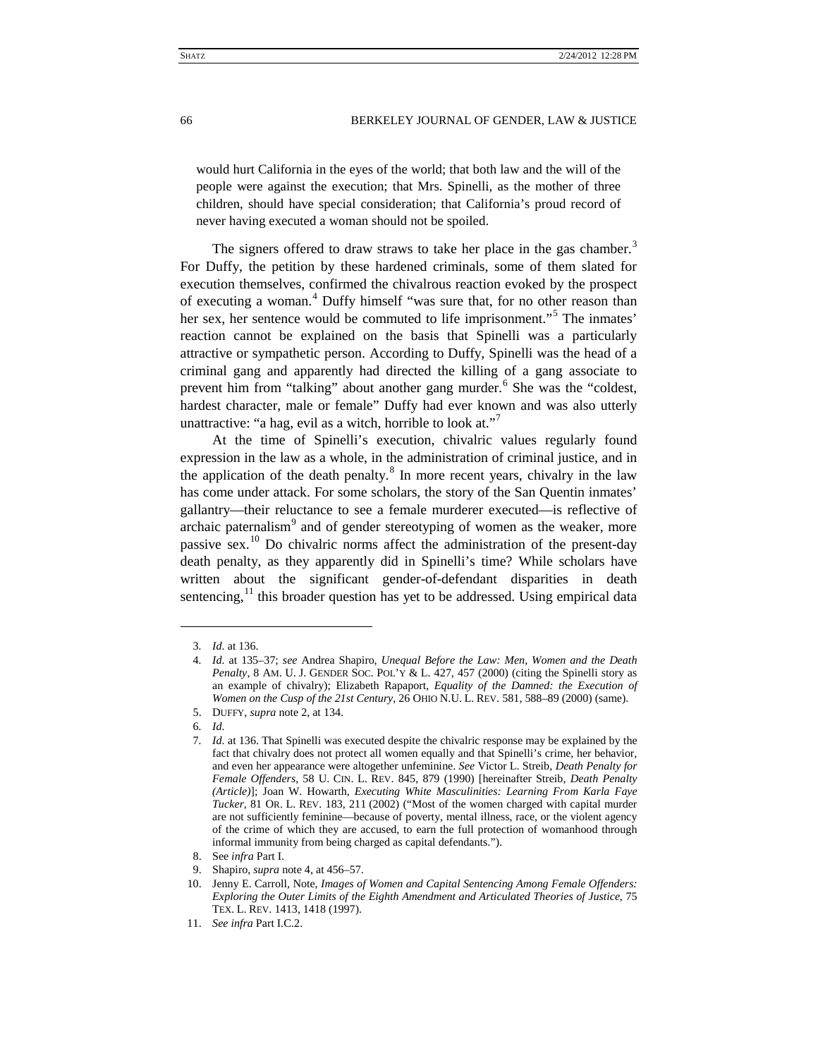would hurt California in the eyes of the world; that both law and the will of the people were against the execution; that Mrs. Spinelli, as the mother of three children, should have special consideration; that California's proud record of never having executed a woman should not be spoiled.

<span id="page-2-0"></span>The signers offered to draw straws to take her place in the gas chamber.<sup>[3](#page-2-1)</sup> For Duffy, the petition by these hardened criminals, some of them slated for execution themselves, confirmed the chivalrous reaction evoked by the prospect of executing a woman. [4](#page-2-2) Duffy himself "was sure that, for no other reason than her sex, her sentence would be commuted to life imprisonment."<sup>[5](#page-2-3)</sup> The inmates' reaction cannot be explained on the basis that Spinelli was a particularly attractive or sympathetic person. According to Duffy, Spinelli was the head of a criminal gang and apparently had directed the killing of a gang associate to prevent him from "talking" about another gang murder.<sup>[6](#page-2-4)</sup> She was the "coldest, hardest character, male or female" Duffy had ever known and was also utterly unattractive: "a hag, evil as a witch, horrible to look at."<sup>[7](#page-2-5)</sup>

<span id="page-2-11"></span>At the time of Spinelli's execution, chivalric values regularly found expression in the law as a whole, in the administration of criminal justice, and in the application of the death penalty. $8$  In more recent years, chivalry in the law has come under attack. For some scholars, the story of the San Quentin inmates' gallantry—their reluctance to see a female murderer executed—is reflective of archaic paternalism<sup>[9](#page-2-7)</sup> and of gender stereotyping of women as the weaker, more passive sex.<sup>[10](#page-2-8)</sup> Do chivalric norms affect the administration of the present-day death penalty, as they apparently did in Spinelli's time? While scholars have written about the significant gender-of-defendant disparities in death sentencing, $11$  this broader question has yet to be addressed. Using empirical data

<span id="page-2-10"></span><sup>3</sup>*. Id.* at 136.

<span id="page-2-2"></span><span id="page-2-1"></span><sup>4</sup>*. Id.* at 135–37; *see* Andrea Shapiro, *Unequal Before the Law: Men, Women and the Death Penalty*, 8 AM. U. J. GENDER SOC. POL'Y & L. 427, 457 (2000) (citing the Spinelli story as an example of chivalry); Elizabeth Rapaport, *Equality of the Damned: the Execution of Women on the Cusp of the 21st Century*, 26 OHIO N.U. L. REV. 581, 588–89 (2000) (same).

<span id="page-2-4"></span><span id="page-2-3"></span><sup>5.</sup> DUFFY, *supra* not[e 2,](#page-1-3) at 134.

<sup>6</sup>*. Id.*

<span id="page-2-5"></span><sup>7</sup>*. Id.* at 136. That Spinelli was executed despite the chivalric response may be explained by the fact that chivalry does not protect all women equally and that Spinelli's crime, her behavior, and even her appearance were altogether unfeminine. *See* Victor L. Streib, *Death Penalty for Female Offenders*, 58 U. CIN. L. REV. 845, 879 (1990) [hereinafter Streib, *Death Penalty (Article)*]; Joan W. Howarth, *Executing White Masculinities: Learning From Karla Faye Tucker*, 81 OR. L. REV. 183, 211 (2002) ("Most of the women charged with capital murder are not sufficiently feminine—because of poverty, mental illness, race, or the violent agency of the crime of which they are accused, to earn the full protection of womanhood through informal immunity from being charged as capital defendants.").

<sup>8.</sup> See *infra* Part I.

<sup>9.</sup> Shapiro, *supra* note [4,](#page-2-0) at 456–57.

<span id="page-2-8"></span><span id="page-2-7"></span><span id="page-2-6"></span><sup>10.</sup> Jenny E. Carroll, Note, *Images of Women and Capital Sentencing Among Female Offenders: Exploring the Outer Limits of the Eighth Amendment and Articulated Theories of Justice*, 75 TEX. L. REV. 1413, 1418 (1997).

<span id="page-2-9"></span><sup>11.</sup> *See infra* Part I.C.2.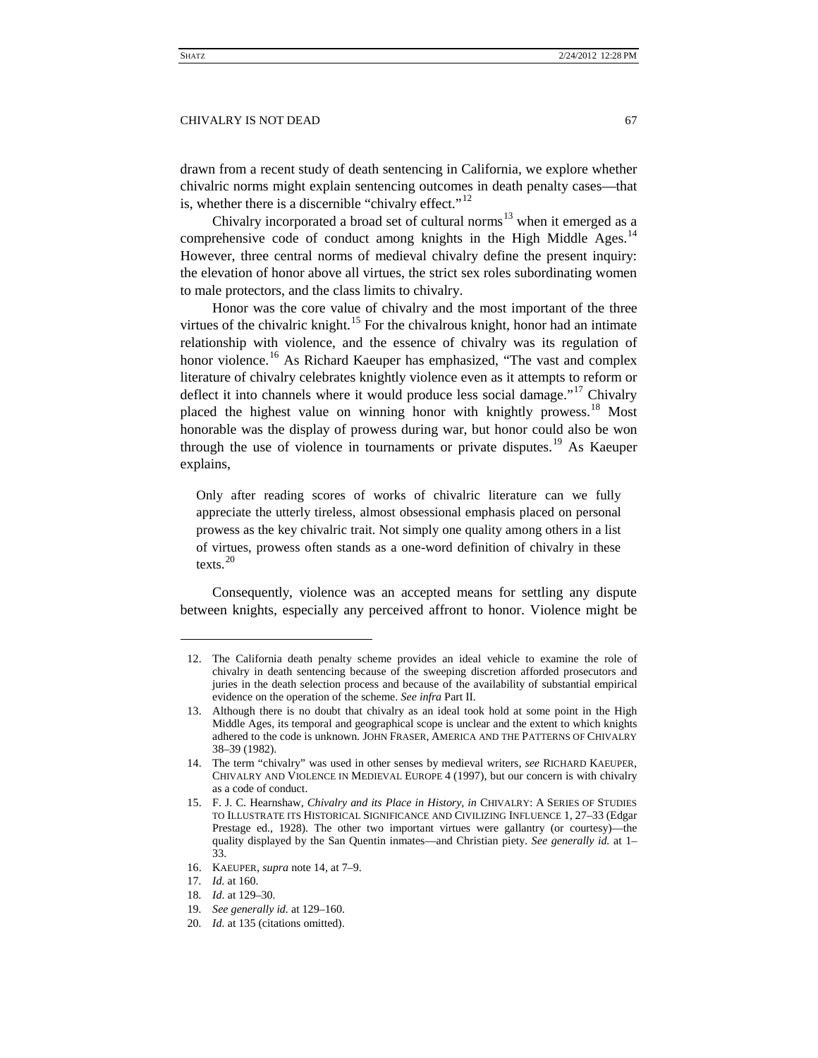drawn from a recent study of death sentencing in California, we explore whether chivalric norms might explain sentencing outcomes in death penalty cases—that is, whether there is a discernible "chivalry effect." $^{12}$  $^{12}$  $^{12}$ 

<span id="page-3-12"></span><span id="page-3-11"></span><span id="page-3-0"></span>Chivalry incorporated a broad set of cultural norms $13$  when it emerged as a comprehensive code of conduct among knights in the High Middle Ages.<sup>[14](#page-3-3)</sup> However, three central norms of medieval chivalry define the present inquiry: the elevation of honor above all virtues, the strict sex roles subordinating women to male protectors, and the class limits to chivalry.

<span id="page-3-10"></span>Honor was the core value of chivalry and the most important of the three virtues of the chivalric knight.<sup>[15](#page-3-4)</sup> For the chivalrous knight, honor had an intimate relationship with violence, and the essence of chivalry was its regulation of honor violence.<sup>[16](#page-3-5)</sup> As Richard Kaeuper has emphasized, "The vast and complex literature of chivalry celebrates knightly violence even as it attempts to reform or deflect it into channels where it would produce less social damage."<sup>[17](#page-3-6)</sup> Chivalry placed the highest value on winning honor with knightly prowess.<sup>[18](#page-3-7)</sup> Most honorable was the display of prowess during war, but honor could also be won through the use of violence in tournaments or private disputes.<sup>[19](#page-3-8)</sup> As Kaeuper explains,

Only after reading scores of works of chivalric literature can we fully appreciate the utterly tireless, almost obsessional emphasis placed on personal prowess as the key chivalric trait. Not simply one quality among others in a list of virtues, prowess often stands as a one-word definition of chivalry in these texts. [20](#page-3-9)

Consequently, violence was an accepted means for settling any dispute between knights, especially any perceived affront to honor. Violence might be

<span id="page-3-5"></span>16. KAEUPER, *supra* note [14,](#page-3-0) at 7–9.

<span id="page-3-1"></span><sup>12.</sup> The California death penalty scheme provides an ideal vehicle to examine the role of chivalry in death sentencing because of the sweeping discretion afforded prosecutors and juries in the death selection process and because of the availability of substantial empirical evidence on the operation of the scheme. *See infra* Part II.

<span id="page-3-2"></span><sup>13.</sup> Although there is no doubt that chivalry as an ideal took hold at some point in the High Middle Ages, its temporal and geographical scope is unclear and the extent to which knights adhered to the code is unknown. JOHN FRASER, AMERICA AND THE PATTERNS OF CHIVALRY 38–39 (1982).

<span id="page-3-3"></span><sup>14.</sup> The term "chivalry" was used in other senses by medieval writers, *see* RICHARD KAEUPER, CHIVALRY AND VIOLENCE IN MEDIEVAL EUROPE 4 (1997), but our concern is with chivalry as a code of conduct.

<span id="page-3-4"></span><sup>15.</sup> F. J. C. Hearnshaw, *Chivalry and its Place in History*, *in* CHIVALRY: A SERIES OF STUDIES TO ILLUSTRATE ITS HISTORICAL SIGNIFICANCE AND CIVILIZING INFLUENCE 1, 27–33 (Edgar Prestage ed., 1928). The other two important virtues were gallantry (or courtesy)—the quality displayed by the San Quentin inmates—and Christian piety. *See generally id.* at 1– 33.

<sup>17</sup>*. Id.* at 160.

<span id="page-3-6"></span><sup>18</sup>*. Id.* at 129–30.

<span id="page-3-8"></span><span id="page-3-7"></span><sup>19</sup>*. See generally id.* at 129–160.

<span id="page-3-9"></span><sup>20</sup>*. Id.* at 135 (citations omitted).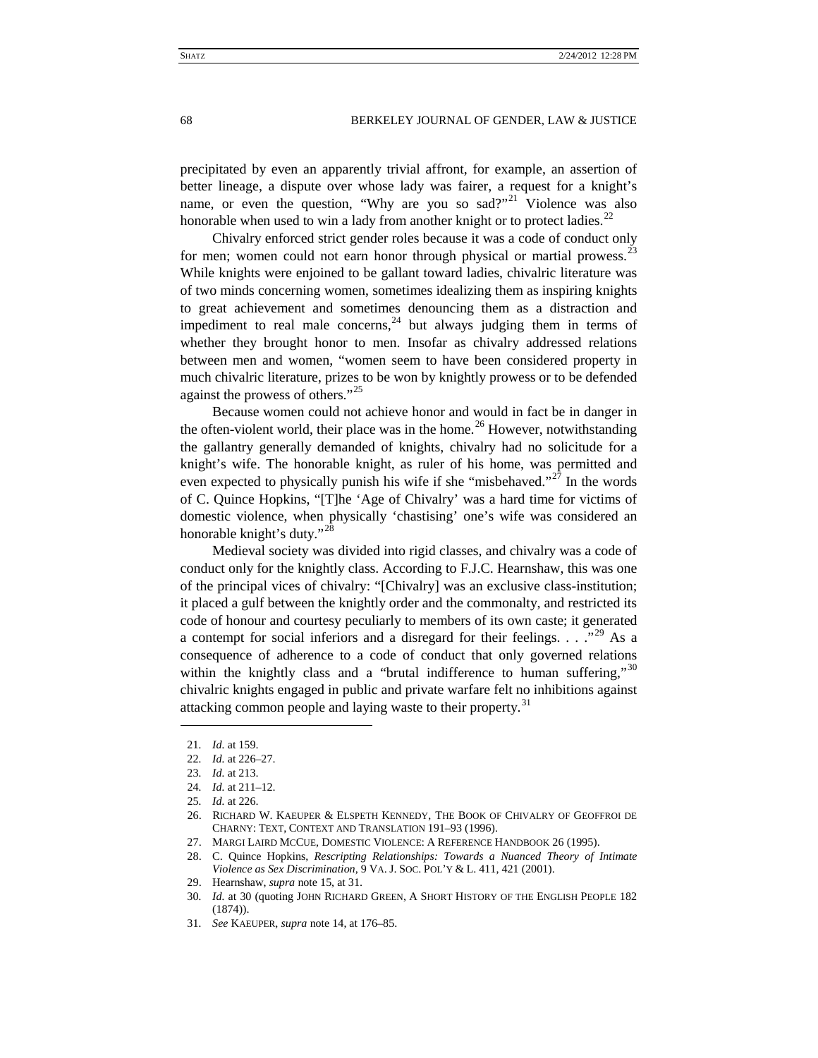<span id="page-4-11"></span>precipitated by even an apparently trivial affront, for example, an assertion of better lineage, a dispute over whose lady was fairer, a request for a knight's name, or even the question, "Why are you so sad?"<sup>[21](#page-4-0)</sup> Violence was also honorable when used to win a lady from another knight or to protect ladies.<sup>[22](#page-4-1)</sup>

Chivalry enforced strict gender roles because it was a code of conduct only for men; women could not earn honor through physical or martial prowess.<sup>[23](#page-4-2)</sup> While knights were enjoined to be gallant toward ladies, chivalric literature was of two minds concerning women, sometimes idealizing them as inspiring knights to great achievement and sometimes denouncing them as a distraction and impediment to real male concerns,<sup>[24](#page-4-3)</sup> but always judging them in terms of whether they brought honor to men. Insofar as chivalry addressed relations between men and women, "women seem to have been considered property in much chivalric literature, prizes to be won by knightly prowess or to be defended against the prowess of others."[25](#page-4-4)

Because women could not achieve honor and would in fact be in danger in the often-violent world, their place was in the home.<sup>[26](#page-4-5)</sup> However, notwithstanding the gallantry generally demanded of knights, chivalry had no solicitude for a knight's wife. The honorable knight, as ruler of his home, was permitted and even expected to physically punish his wife if she "misbehaved."<sup>[27](#page-4-6)</sup> In the words of C. Quince Hopkins, "[T]he 'Age of Chivalry' was a hard time for victims of domestic violence, when physically 'chastising' one's wife was considered an honorable knight's duty."<sup>[28](#page-4-7)</sup>

Medieval society was divided into rigid classes, and chivalry was a code of conduct only for the knightly class. According to F.J.C. Hearnshaw, this was one of the principal vices of chivalry: "[Chivalry] was an exclusive class-institution; it placed a gulf between the knightly order and the commonalty, and restricted its code of honour and courtesy peculiarly to members of its own caste; it generated a contempt for social inferiors and a disregard for their feelings. . . . .<sup>[29](#page-4-8)</sup> As a consequence of adherence to a code of conduct that only governed relations within the knightly class and a "brutal indifference to human suffering,"<sup>[30](#page-4-9)</sup> chivalric knights engaged in public and private warfare felt no inhibitions against attacking common people and laying waste to their property.<sup>[31](#page-4-10)</sup>

- <span id="page-4-5"></span>26. RICHARD W. KAEUPER & ELSPETH KENNEDY, THE BOOK OF CHIVALRY OF GEOFFROI DE CHARNY: TEXT, CONTEXT AND TRANSLATION 191–93 (1996).
- <span id="page-4-6"></span>27. MARGI LAIRD MCCUE, DOMESTIC VIOLENCE: A REFERENCE HANDBOOK 26 (1995).
- <span id="page-4-7"></span>28. C. Quince Hopkins, *Rescripting Relationships: Towards a Nuanced Theory of Intimate Violence as Sex Discrimination*, 9 VA. J. SOC. POL'Y & L. 411, 421 (2001).
- <span id="page-4-8"></span>29. Hearnshaw, *supra* not[e 15,](#page-3-10) at 31.
- <span id="page-4-9"></span>30*. Id.* at 30 (quoting JOHN RICHARD GREEN, A SHORT HISTORY OF THE ENGLISH PEOPLE 182 (1874)).
- <span id="page-4-10"></span>31*. See* KAEUPER, *supra* note [14,](#page-3-11) at 176–85.

<span id="page-4-1"></span><span id="page-4-0"></span><sup>21</sup>*. Id.* at 159.

<sup>22</sup>*. Id.* at 226–27.

<span id="page-4-2"></span><sup>23</sup>*. Id.* at 213.

<span id="page-4-3"></span><sup>24</sup>*. Id.* at 211–12.

<span id="page-4-4"></span><sup>25</sup>*. Id.* at 226.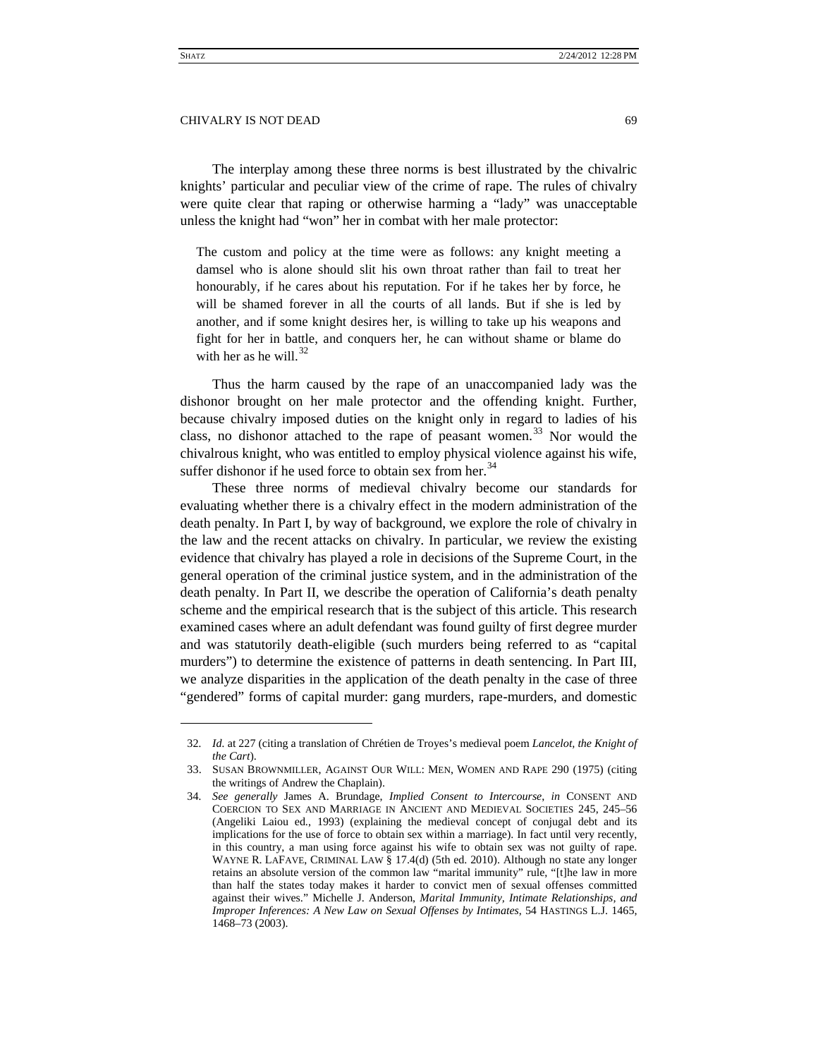The interplay among these three norms is best illustrated by the chivalric knights' particular and peculiar view of the crime of rape. The rules of chivalry were quite clear that raping or otherwise harming a "lady" was unacceptable unless the knight had "won" her in combat with her male protector:

The custom and policy at the time were as follows: any knight meeting a damsel who is alone should slit his own throat rather than fail to treat her honourably, if he cares about his reputation. For if he takes her by force, he will be shamed forever in all the courts of all lands. But if she is led by another, and if some knight desires her, is willing to take up his weapons and fight for her in battle, and conquers her, he can without shame or blame do with her as he will. $32$ 

<span id="page-5-4"></span>Thus the harm caused by the rape of an unaccompanied lady was the dishonor brought on her male protector and the offending knight. Further, because chivalry imposed duties on the knight only in regard to ladies of his class, no dishonor attached to the rape of peasant women.<sup>[33](#page-5-1)</sup> Nor would the chivalrous knight, who was entitled to employ physical violence against his wife, suffer dishonor if he used force to obtain sex from her. $34$ 

<span id="page-5-3"></span>These three norms of medieval chivalry become our standards for evaluating whether there is a chivalry effect in the modern administration of the death penalty. In Part I, by way of background, we explore the role of chivalry in the law and the recent attacks on chivalry. In particular, we review the existing evidence that chivalry has played a role in decisions of the Supreme Court, in the general operation of the criminal justice system, and in the administration of the death penalty. In Part II, we describe the operation of California's death penalty scheme and the empirical research that is the subject of this article. This research examined cases where an adult defendant was found guilty of first degree murder and was statutorily death-eligible (such murders being referred to as "capital murders") to determine the existence of patterns in death sentencing. In Part III, we analyze disparities in the application of the death penalty in the case of three "gendered" forms of capital murder: gang murders, rape-murders, and domestic

<span id="page-5-0"></span><sup>32</sup>*. Id.* at 227 (citing a translation of Chrétien de Troyes's medieval poem *Lancelot, the Knight of the Cart*).

<span id="page-5-1"></span><sup>33.</sup> SUSAN BROWNMILLER, AGAINST OUR WILL: MEN, WOMEN AND RAPE 290 (1975) (citing the writings of Andrew the Chaplain).

<span id="page-5-2"></span><sup>34</sup>*. See generally* James A. Brundage, *Implied Consent to Intercourse*, *in* CONSENT AND COERCION TO SEX AND MARRIAGE IN ANCIENT AND MEDIEVAL SOCIETIES 245, 245–56 (Angeliki Laiou ed., 1993) (explaining the medieval concept of conjugal debt and its implications for the use of force to obtain sex within a marriage). In fact until very recently, in this country, a man using force against his wife to obtain sex was not guilty of rape. WAYNE R. LAFAVE, CRIMINAL LAW § 17.4(d) (5th ed. 2010). Although no state any longer retains an absolute version of the common law "marital immunity" rule, "[t]he law in more than half the states today makes it harder to convict men of sexual offenses committed against their wives." Michelle J. Anderson, *Marital Immunity, Intimate Relationships, and Improper Inferences: A New Law on Sexual Offenses by Intimates*, 54 HASTINGS L.J. 1465, 1468–73 (2003).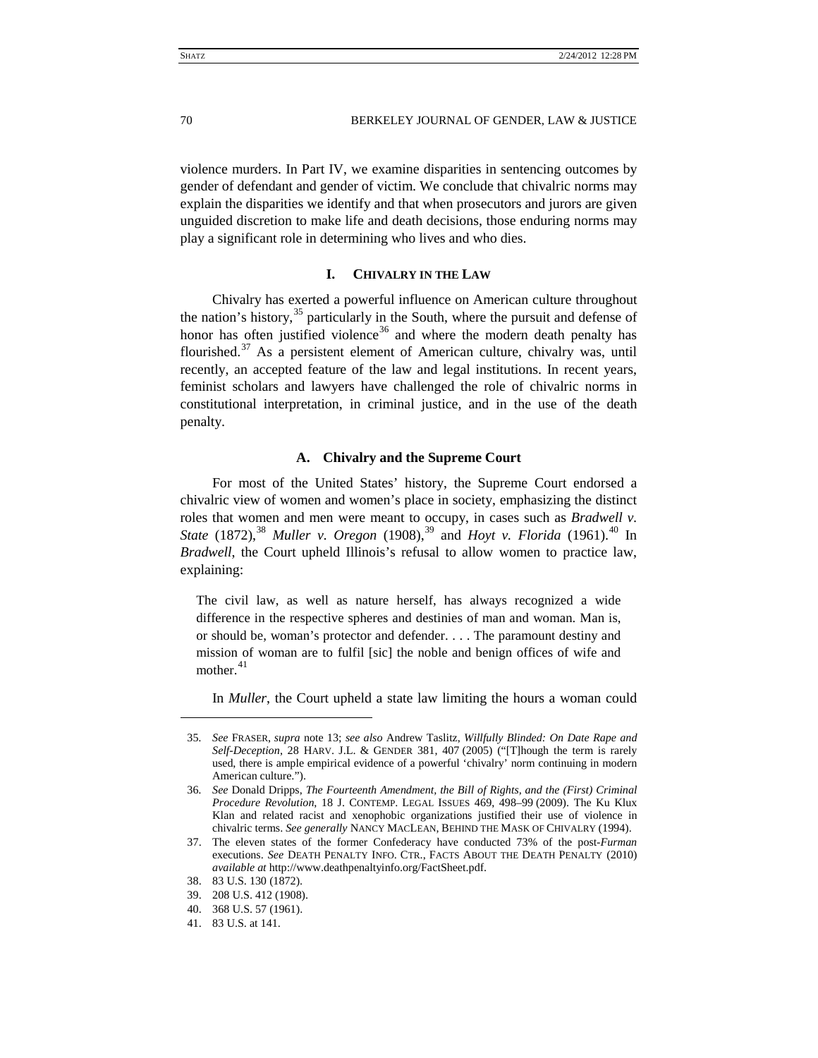violence murders. In Part IV, we examine disparities in sentencing outcomes by gender of defendant and gender of victim. We conclude that chivalric norms may explain the disparities we identify and that when prosecutors and jurors are given unguided discretion to make life and death decisions, those enduring norms may play a significant role in determining who lives and who dies.

# <span id="page-6-9"></span>**I. CHIVALRY IN THE LAW**

<span id="page-6-0"></span>Chivalry has exerted a powerful influence on American culture throughout the nation's history,<sup>[35](#page-6-2)</sup> particularly in the South, where the pursuit and defense of honor has often justified violence<sup>[36](#page-6-3)</sup> and where the modern death penalty has flourished.<sup>[37](#page-6-4)</sup> As a persistent element of American culture, chivalry was, until recently, an accepted feature of the law and legal institutions. In recent years, feminist scholars and lawyers have challenged the role of chivalric norms in constitutional interpretation, in criminal justice, and in the use of the death penalty.

# **A. Chivalry and the Supreme Court**

<span id="page-6-1"></span>For most of the United States' history, the Supreme Court endorsed a chivalric view of women and women's place in society, emphasizing the distinct roles that women and men were meant to occupy, in cases such as *Bradwell v. State* (1872),<sup>[38](#page-6-5)</sup> *Muller v. Oregon* (1908),<sup>[39](#page-6-6)</sup> and *Hoyt v. Florida* (1961).<sup>[40](#page-6-7)</sup> In *Bradwell*, the Court upheld Illinois's refusal to allow women to practice law, explaining:

The civil law, as well as nature herself, has always recognized a wide difference in the respective spheres and destinies of man and woman. Man is, or should be, woman's protector and defender. . . . The paramount destiny and mission of woman are to fulfil [sic] the noble and benign offices of wife and mother. [41](#page-6-8)

In *Muller*, the Court upheld a state law limiting the hours a woman could

<span id="page-6-2"></span><sup>35</sup>*. See* FRASER, *supra* note [13;](#page-3-12) *see also* Andrew Taslitz, *Willfully Blinded: On Date Rape and Self-Deception*, 28 HARV. J.L. & GENDER 381, 407 (2005) ("[T]hough the term is rarely used, there is ample empirical evidence of a powerful 'chivalry' norm continuing in modern American culture.").

<span id="page-6-3"></span><sup>36</sup>*. See* Donald Dripps, *The Fourteenth Amendment, the Bill of Rights, and the (First) Criminal Procedure Revolution*, 18 J. CONTEMP. LEGAL ISSUES 469, 498–99 (2009). The Ku Klux Klan and related racist and xenophobic organizations justified their use of violence in chivalric terms. *See generally* NANCY MACLEAN, BEHIND THE MASK OF CHIVALRY (1994).

<span id="page-6-4"></span><sup>37.</sup> The eleven states of the former Confederacy have conducted 73% of the post-*Furman* executions. *See* DEATH PENALTY INFO. CTR., FACTS ABOUT THE DEATH PENALTY (2010) *available at* http://www.deathpenaltyinfo.org/FactSheet.pdf.

<span id="page-6-5"></span><sup>38.</sup> 83 U.S. 130 (1872).

<span id="page-6-6"></span><sup>39.</sup> 208 U.S. 412 (1908).

<span id="page-6-7"></span><sup>40.</sup> 368 U.S. 57 (1961).

<span id="page-6-8"></span><sup>41.</sup> 83 U.S. at 141.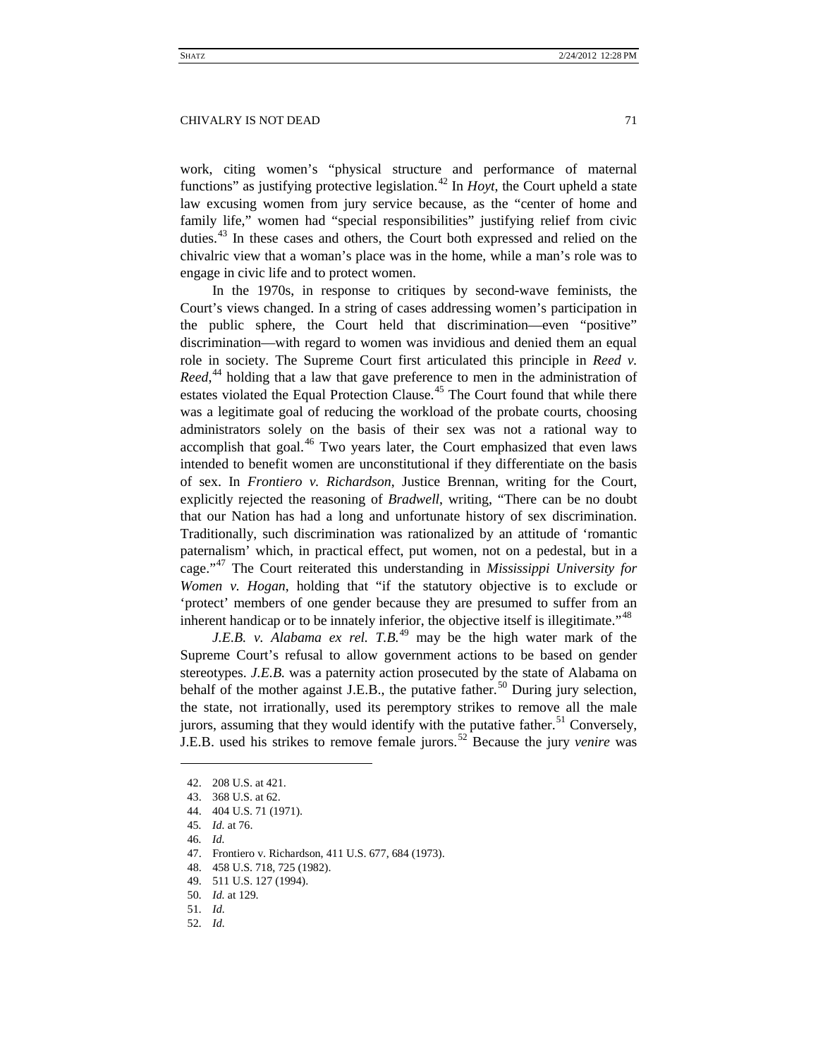work, citing women's "physical structure and performance of maternal functions" as justifying protective legislation.<sup>[42](#page-7-0)</sup> In *Hoyt*, the Court upheld a state law excusing women from jury service because, as the "center of home and family life," women had "special responsibilities" justifying relief from civic duties.[43](#page-7-1) In these cases and others, the Court both expressed and relied on the chivalric view that a woman's place was in the home, while a man's role was to engage in civic life and to protect women.

In the 1970s, in response to critiques by second-wave feminists, the Court's views changed. In a string of cases addressing women's participation in the public sphere, the Court held that discrimination—even "positive" discrimination—with regard to women was invidious and denied them an equal role in society. The Supreme Court first articulated this principle in *Reed v.*  Reed,<sup>[44](#page-7-2)</sup> holding that a law that gave preference to men in the administration of estates violated the Equal Protection Clause.<sup>[45](#page-7-3)</sup> The Court found that while there was a legitimate goal of reducing the workload of the probate courts, choosing administrators solely on the basis of their sex was not a rational way to accomplish that goal. $46$  Two years later, the Court emphasized that even laws intended to benefit women are unconstitutional if they differentiate on the basis of sex. In *Frontiero v. Richardson*, Justice Brennan, writing for the Court, explicitly rejected the reasoning of *Bradwell*, writing, "There can be no doubt that our Nation has had a long and unfortunate history of sex discrimination. Traditionally, such discrimination was rationalized by an attitude of 'romantic paternalism' which, in practical effect, put women, not on a pedestal, but in a cage."[47](#page-7-5) The Court reiterated this understanding in *Mississippi University for Women v. Hogan*, holding that "if the statutory objective is to exclude or 'protect' members of one gender because they are presumed to suffer from an inherent handicap or to be innately inferior, the objective itself is illegitimate.<sup> $348$  $348$ </sup>

*J.E.B. v. Alabama ex rel.* T.B.<sup>[49](#page-7-7)</sup> may be the high water mark of the Supreme Court's refusal to allow government actions to be based on gender stereotypes. *J.E.B.* was a paternity action prosecuted by the state of Alabama on behalf of the mother against J.E.B., the putative father.<sup>[50](#page-7-8)</sup> During jury selection, the state, not irrationally, used its peremptory strikes to remove all the male jurors, assuming that they would identify with the putative father.<sup>[51](#page-7-9)</sup> Conversely, J.E.B. used his strikes to remove female jurors.[52](#page-7-10) Because the jury *venire* was

<span id="page-7-0"></span><sup>42.</sup> 208 U.S. at 421.

<sup>43.</sup> 368 U.S. at 62.

<span id="page-7-3"></span><span id="page-7-2"></span><span id="page-7-1"></span><sup>44.</sup> 404 U.S. 71 (1971).

<span id="page-7-4"></span><sup>45</sup>*. Id.* at 76.

<sup>46</sup>*. Id.*

<span id="page-7-5"></span><sup>47.</sup> Frontiero v. Richardson, 411 U.S. 677, 684 (1973).

<sup>48.</sup> 458 U.S. 718, 725 (1982).

<span id="page-7-7"></span><span id="page-7-6"></span><sup>49.</sup> 511 U.S. 127 (1994).

<span id="page-7-9"></span><span id="page-7-8"></span><sup>50</sup>*. Id.* at 129.

<span id="page-7-10"></span><sup>51</sup>*. Id.*

<sup>52</sup>*. Id.*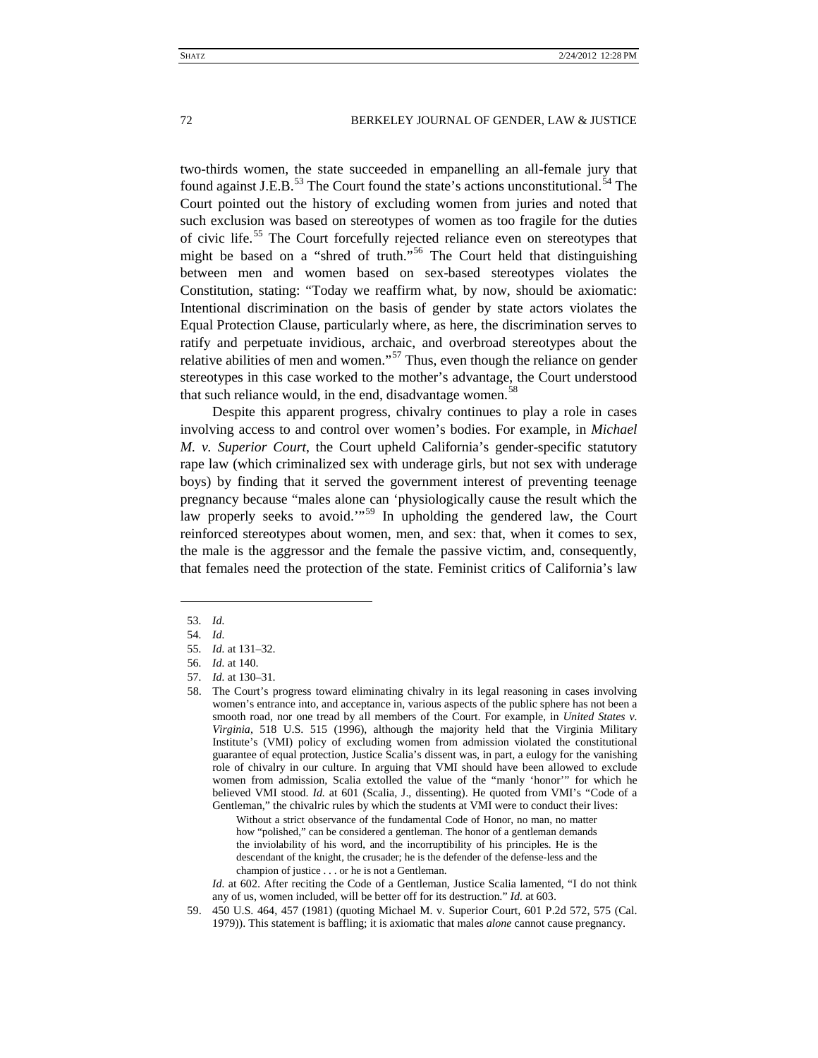two-thirds women, the state succeeded in empanelling an all-female jury that found against J.E.B. $^{53}$  $^{53}$  $^{53}$  The Court found the state's actions unconstitutional.<sup>[54](#page-8-1)</sup> The Court pointed out the history of excluding women from juries and noted that such exclusion was based on stereotypes of women as too fragile for the duties of civic life.<sup>[55](#page-8-2)</sup> The Court forcefully rejected reliance even on stereotypes that might be based on a "shred of truth."[56](#page-8-3) The Court held that distinguishing between men and women based on sex-based stereotypes violates the Constitution, stating: "Today we reaffirm what, by now, should be axiomatic: Intentional discrimination on the basis of gender by state actors violates the Equal Protection Clause, particularly where, as here, the discrimination serves to ratify and perpetuate invidious, archaic, and overbroad stereotypes about the relative abilities of men and women."<sup>[57](#page-8-4)</sup> Thus, even though the reliance on gender stereotypes in this case worked to the mother's advantage, the Court understood that such reliance would, in the end, disadvantage women.<sup>[58](#page-8-5)</sup>

Despite this apparent progress, chivalry continues to play a role in cases involving access to and control over women's bodies. For example, in *Michael M. v. Superior Court*, the Court upheld California's gender-specific statutory rape law (which criminalized sex with underage girls, but not sex with underage boys) by finding that it served the government interest of preventing teenage pregnancy because "males alone can 'physiologically cause the result which the law properly seeks to avoid."<sup>[59](#page-8-6)</sup> In upholding the gendered law, the Court reinforced stereotypes about women, men, and sex: that, when it comes to sex, the male is the aggressor and the female the passive victim, and, consequently, that females need the protection of the state. Feminist critics of California's law

<span id="page-8-1"></span><span id="page-8-0"></span> $\overline{a}$ 

Without a strict observance of the fundamental Code of Honor, no man, no matter how "polished," can be considered a gentleman. The honor of a gentleman demands the inviolability of his word, and the incorruptibility of his principles. He is the descendant of the knight, the crusader; he is the defender of the defense-less and the champion of justice . . . or he is not a Gentleman.

*Id.* at 602. After reciting the Code of a Gentleman, Justice Scalia lamented, "I do not think any of us, women included, will be better off for its destruction." *Id.* at 603.

<sup>53</sup>*. Id.*

<span id="page-8-2"></span><sup>54</sup>*. Id.*

<sup>55</sup>*. Id.* at 131–32.

<sup>56</sup>*. Id.* at 140.

<span id="page-8-5"></span><span id="page-8-4"></span><span id="page-8-3"></span><sup>57</sup>*. Id.* at 130–31.

<sup>58.</sup> The Court's progress toward eliminating chivalry in its legal reasoning in cases involving women's entrance into, and acceptance in, various aspects of the public sphere has not been a smooth road, nor one tread by all members of the Court. For example, in *United States v. Virginia*, 518 U.S. 515 (1996), although the majority held that the Virginia Military Institute's (VMI) policy of excluding women from admission violated the constitutional guarantee of equal protection, Justice Scalia's dissent was, in part, a eulogy for the vanishing role of chivalry in our culture. In arguing that VMI should have been allowed to exclude women from admission, Scalia extolled the value of the "manly 'honor'" for which he believed VMI stood. *Id.* at 601 (Scalia, J., dissenting). He quoted from VMI's "Code of a Gentleman," the chivalric rules by which the students at VMI were to conduct their lives:

<span id="page-8-6"></span><sup>59.</sup> 450 U.S. 464, 457 (1981) (quoting Michael M. v. Superior Court, 601 P.2d 572, 575 (Cal. 1979)). This statement is baffling; it is axiomatic that males *alone* cannot cause pregnancy.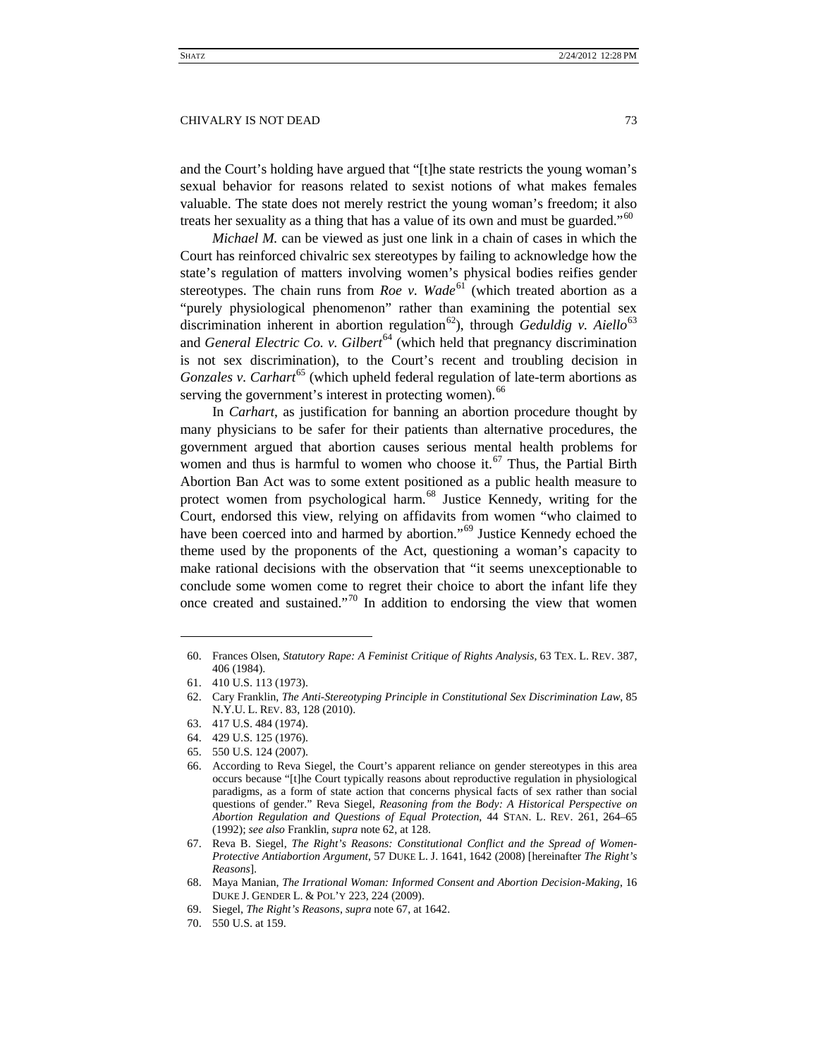and the Court's holding have argued that "[t]he state restricts the young woman's sexual behavior for reasons related to sexist notions of what makes females valuable. The state does not merely restrict the young woman's freedom; it also treats her sexuality as a thing that has a value of its own and must be guarded."<sup>[60](#page-9-2)</sup>

<span id="page-9-0"></span>*Michael M.* can be viewed as just one link in a chain of cases in which the Court has reinforced chivalric sex stereotypes by failing to acknowledge how the state's regulation of matters involving women's physical bodies reifies gender stereotypes. The chain runs from *Roe v. Wade*<sup>[61](#page-9-3)</sup> (which treated abortion as a "purely physiological phenomenon" rather than examining the potential sex discrimination inherent in abortion regulation<sup>[62](#page-9-4)</sup>), through *Geduldig v. Aiello*<sup>[63](#page-9-5)</sup> and *General Electric Co. v. Gilbert*<sup>[64](#page-9-6)</sup> (which held that pregnancy discrimination is not sex discrimination), to the Court's recent and troubling decision in *Gonzales v. Carhart*<sup>[65](#page-9-7)</sup> (which upheld federal regulation of late-term abortions as serving the government's interest in protecting women).<sup>[66](#page-9-8)</sup>

<span id="page-9-13"></span><span id="page-9-1"></span>In *Carhart*, as justification for banning an abortion procedure thought by many physicians to be safer for their patients than alternative procedures, the government argued that abortion causes serious mental health problems for women and thus is harmful to women who choose it.<sup>[67](#page-9-9)</sup> Thus, the Partial Birth Abortion Ban Act was to some extent positioned as a public health measure to protect women from psychological harm.<sup>[68](#page-9-10)</sup> Justice Kennedy, writing for the Court, endorsed this view, relying on affidavits from women "who claimed to have been coerced into and harmed by abortion."<sup>[69](#page-9-11)</sup> Justice Kennedy echoed the theme used by the proponents of the Act, questioning a woman's capacity to make rational decisions with the observation that "it seems unexceptionable to conclude some women come to regret their choice to abort the infant life they once created and sustained."<sup>[70](#page-9-12)</sup> In addition to endorsing the view that women

<span id="page-9-2"></span><sup>60.</sup> Frances Olsen, *Statutory Rape: A Feminist Critique of Rights Analysis*, 63 TEX. L. REV. 387, 406 (1984).

<span id="page-9-4"></span><span id="page-9-3"></span><sup>61.</sup> 410 U.S. 113 (1973).

<sup>62.</sup> Cary Franklin, *The Anti-Stereotyping Principle in Constitutional Sex Discrimination Law*, 85 N.Y.U. L. REV. 83, 128 (2010).

<span id="page-9-5"></span><sup>63.</sup> 417 U.S. 484 (1974).

<span id="page-9-6"></span><sup>64.</sup> 429 U.S. 125 (1976).

<span id="page-9-8"></span><span id="page-9-7"></span><sup>65.</sup> 550 U.S. 124 (2007).

<sup>66.</sup> According to Reva Siegel, the Court's apparent reliance on gender stereotypes in this area occurs because "[t]he Court typically reasons about reproductive regulation in physiological paradigms, as a form of state action that concerns physical facts of sex rather than social questions of gender." Reva Siegel, *Reasoning from the Body: A Historical Perspective on Abortion Regulation and Questions of Equal Protection*, 44 STAN. L. REV. 261, 264–65 (1992); *see also* Franklin, *supra* not[e 62,](#page-9-0) at 128.

<span id="page-9-9"></span><sup>67.</sup> Reva B. Siegel, *The Right's Reasons: Constitutional Conflict and the Spread of Women-Protective Antiabortion Argument*, 57 DUKE L. J. 1641, 1642 (2008) [hereinafter *The Right's Reasons*].

<span id="page-9-10"></span><sup>68.</sup> Maya Manian, *The Irrational Woman: Informed Consent and Abortion Decision-Making*, 16 DUKE J. GENDER L. & POL'Y 223, 224 (2009).

<sup>69.</sup> Siegel, *The Right's Reasons*, *supra* note [67,](#page-9-1) at 1642.

<span id="page-9-12"></span><span id="page-9-11"></span><sup>70.</sup> 550 U.S. at 159.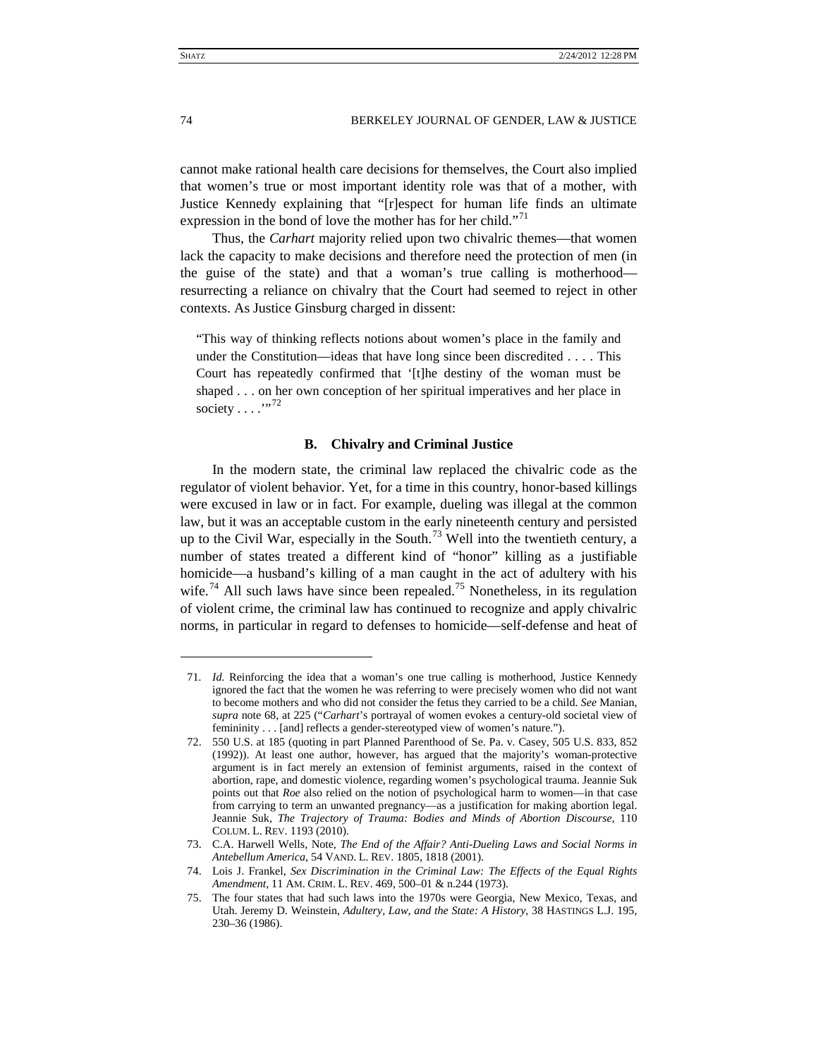cannot make rational health care decisions for themselves, the Court also implied that women's true or most important identity role was that of a mother, with Justice Kennedy explaining that "[r]espect for human life finds an ultimate expression in the bond of love the mother has for her child."<sup>[71](#page-10-1)</sup>

Thus, the *Carhart* majority relied upon two chivalric themes—that women lack the capacity to make decisions and therefore need the protection of men (in the guise of the state) and that a woman's true calling is motherhood resurrecting a reliance on chivalry that the Court had seemed to reject in other contexts. As Justice Ginsburg charged in dissent:

"This way of thinking reflects notions about women's place in the family and under the Constitution—ideas that have long since been discredited . . . . This Court has repeatedly confirmed that '[t]he destiny of the woman must be shaped . . . on her own conception of her spiritual imperatives and her place in society  $\dots$  ...<sup>[72](#page-10-2)</sup>

# <span id="page-10-7"></span><span id="page-10-6"></span>**B. Chivalry and Criminal Justice**

<span id="page-10-0"></span>In the modern state, the criminal law replaced the chivalric code as the regulator of violent behavior. Yet, for a time in this country, honor-based killings were excused in law or in fact. For example, dueling was illegal at the common law, but it was an acceptable custom in the early nineteenth century and persisted up to the Civil War, especially in the South.<sup>[73](#page-10-3)</sup> Well into the twentieth century, a number of states treated a different kind of "honor" killing as a justifiable homicide—a husband's killing of a man caught in the act of adultery with his wife.<sup>[74](#page-10-4)</sup> All such laws have since been repealed.<sup>[75](#page-10-5)</sup> Nonetheless, in its regulation of violent crime, the criminal law has continued to recognize and apply chivalric norms, in particular in regard to defenses to homicide—self-defense and heat of

<span id="page-10-1"></span><sup>71</sup>*. Id.* Reinforcing the idea that a woman's one true calling is motherhood, Justice Kennedy ignored the fact that the women he was referring to were precisely women who did not want to become mothers and who did not consider the fetus they carried to be a child. *See* Manian, *supra* note [68,](#page-9-13) at 225 ("*Carhart*'s portrayal of women evokes a century-old societal view of femininity . . . [and] reflects a gender-stereotyped view of women's nature.").

<span id="page-10-2"></span><sup>72.</sup> 550 U.S. at 185 (quoting in part Planned Parenthood of Se. Pa. v. Casey, 505 U.S. 833, 852 (1992)). At least one author, however, has argued that the majority's woman-protective argument is in fact merely an extension of feminist arguments, raised in the context of abortion, rape, and domestic violence, regarding women's psychological trauma. Jeannie Suk points out that *Roe* also relied on the notion of psychological harm to women—in that case from carrying to term an unwanted pregnancy—as a justification for making abortion legal. Jeannie Suk, *The Trajectory of Trauma: Bodies and Minds of Abortion Discourse*, 110 COLUM. L. REV. 1193 (2010).

<span id="page-10-3"></span><sup>73.</sup> C.A. Harwell Wells, Note, *The End of the Affair? Anti-Dueling Laws and Social Norms in Antebellum America*, 54 VAND. L. REV. 1805, 1818 (2001).

<span id="page-10-4"></span><sup>74.</sup> Lois J. Frankel, *Sex Discrimination in the Criminal Law: The Effects of the Equal Rights Amendment*, 11 AM. CRIM. L. REV. 469, 500–01 & n.244 (1973).

<span id="page-10-5"></span><sup>75.</sup> The four states that had such laws into the 1970s were Georgia, New Mexico, Texas, and Utah. Jeremy D. Weinstein, *Adultery, Law, and the State: A History*, 38 HASTINGS L.J. 195, 230–36 (1986).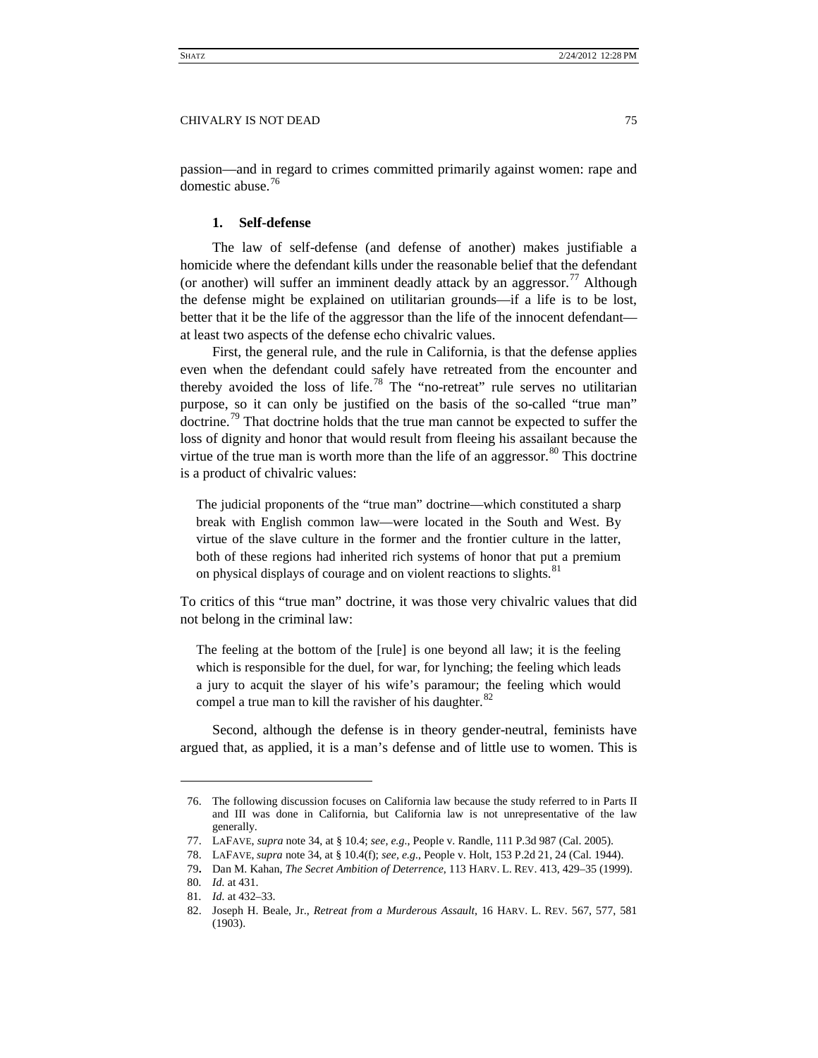<span id="page-11-0"></span>passion—and in regard to crimes committed primarily against women: rape and domestic abuse.<sup>[76](#page-11-1)</sup>

# **1. Self-defense**

The law of self-defense (and defense of another) makes justifiable a homicide where the defendant kills under the reasonable belief that the defendant (or another) will suffer an imminent deadly attack by an aggressor.<sup>[77](#page-11-2)</sup> Although the defense might be explained on utilitarian grounds—if a life is to be lost, better that it be the life of the aggressor than the life of the innocent defendant at least two aspects of the defense echo chivalric values.

First, the general rule, and the rule in California, is that the defense applies even when the defendant could safely have retreated from the encounter and thereby avoided the loss of life.<sup>[78](#page-11-3)</sup> The "no-retreat" rule serves no utilitarian purpose, so it can only be justified on the basis of the so-called "true man" doctrine.<sup>[79](#page-11-4)</sup> That doctrine holds that the true man cannot be expected to suffer the loss of dignity and honor that would result from fleeing his assailant because the virtue of the true man is worth more than the life of an aggressor.<sup>[80](#page-11-5)</sup> This doctrine is a product of chivalric values:

The judicial proponents of the "true man" doctrine—which constituted a sharp break with English common law—were located in the South and West. By virtue of the slave culture in the former and the frontier culture in the latter, both of these regions had inherited rich systems of honor that put a premium on physical displays of courage and on violent reactions to slights.<sup>[81](#page-11-6)</sup>

To critics of this "true man" doctrine, it was those very chivalric values that did not belong in the criminal law:

The feeling at the bottom of the [rule] is one beyond all law; it is the feeling which is responsible for the duel, for war, for lynching; the feeling which leads a jury to acquit the slayer of his wife's paramour; the feeling which would compel a true man to kill the ravisher of his daughter. $82$ 

Second, although the defense is in theory gender-neutral, feminists have argued that, as applied, it is a man's defense and of little use to women. This is

<span id="page-11-1"></span><sup>76.</sup> The following discussion focuses on California law because the study referred to in Parts II and III was done in California, but California law is not unrepresentative of the law generally.

<span id="page-11-3"></span><span id="page-11-2"></span><sup>77.</sup> LAFAVE, *supra* note [34,](#page-5-3) at § 10.4; *see, e.g.*, People v. Randle, 111 P.3d 987 (Cal. 2005).

<sup>78.</sup> LAFAVE, *supra* not[e 34,](#page-5-3) at § 10.4(f); *see, e.g.*, People v. Holt, 153 P.2d 21, 24 (Cal. 1944).

<sup>79</sup>**.** Dan M. Kahan, *The Secret Ambition of Deterrence*, 113 HARV. L. REV. 413, 429–35 (1999).

<span id="page-11-4"></span><sup>80</sup>*. Id.* at 431.

<span id="page-11-6"></span><span id="page-11-5"></span><sup>81</sup>*. Id.* at 432–33.

<span id="page-11-7"></span><sup>82.</sup> Joseph H. Beale, Jr., *Retreat from a Murderous Assault*, 16 HARV. L. REV. 567, 577, 581 (1903).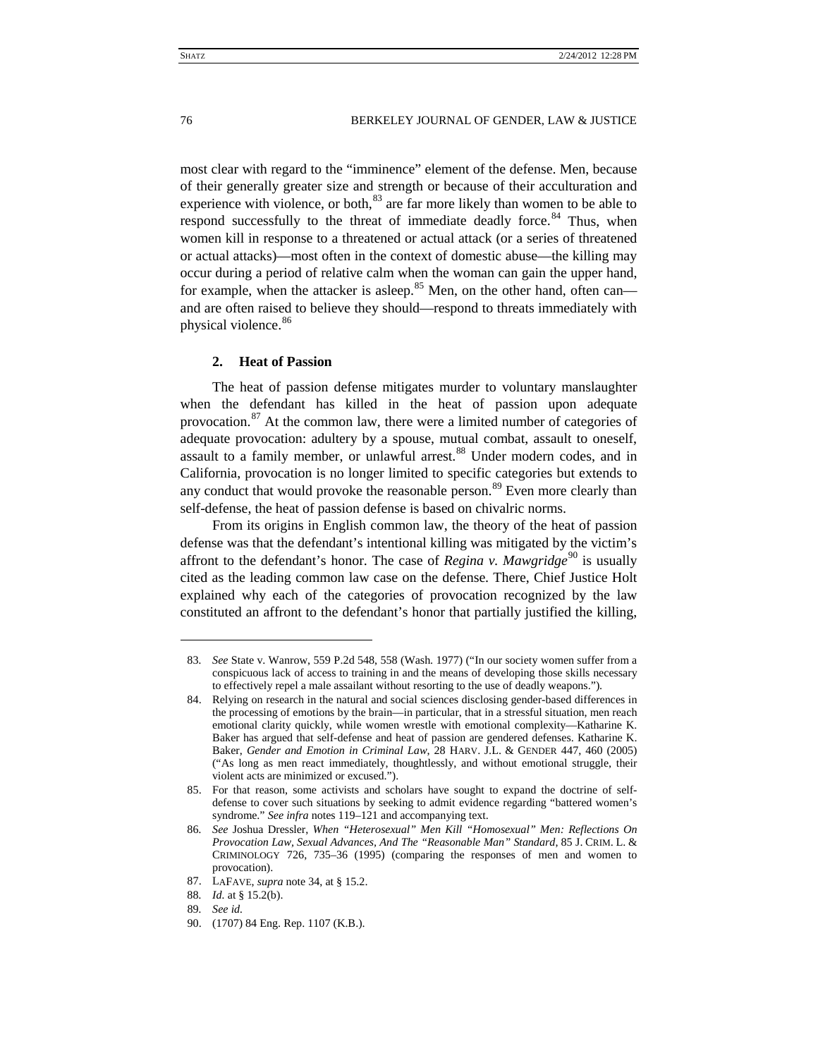most clear with regard to the "imminence" element of the defense. Men, because of their generally greater size and strength or because of their acculturation and experience with violence, or both,  $83$  are far more likely than women to be able to respond successfully to the threat of immediate deadly force.<sup>[84](#page-12-2)</sup> Thus, when women kill in response to a threatened or actual attack (or a series of threatened or actual attacks)—most often in the context of domestic abuse—the killing may occur during a period of relative calm when the woman can gain the upper hand, for example, when the attacker is asleep.<sup>[85](#page-12-3)</sup> Men, on the other hand, often can and are often raised to believe they should—respond to threats immediately with physical violence.<sup>[86](#page-12-4)</sup>

# <span id="page-12-9"></span><span id="page-12-0"></span>**2. Heat of Passion**

The heat of passion defense mitigates murder to voluntary manslaughter when the defendant has killed in the heat of passion upon adequate provocation.<sup>[87](#page-12-5)</sup> At the common law, there were a limited number of categories of adequate provocation: adultery by a spouse, mutual combat, assault to oneself, assault to a family member, or unlawful arrest.<sup>[88](#page-12-6)</sup> Under modern codes, and in California, provocation is no longer limited to specific categories but extends to any conduct that would provoke the reasonable person.<sup>[89](#page-12-7)</sup> Even more clearly than self-defense, the heat of passion defense is based on chivalric norms.

From its origins in English common law, the theory of the heat of passion defense was that the defendant's intentional killing was mitigated by the victim's affront to the defendant's honor. The case of *Regina v. Mawgridge*<sup>[90](#page-12-8)</sup> is usually cited as the leading common law case on the defense. There, Chief Justice Holt explained why each of the categories of provocation recognized by the law constituted an affront to the defendant's honor that partially justified the killing,

<span id="page-12-1"></span><sup>83</sup>*. See* State v. Wanrow, 559 P.2d 548, 558 (Wash. 1977) ("In our society women suffer from a conspicuous lack of access to training in and the means of developing those skills necessary to effectively repel a male assailant without resorting to the use of deadly weapons.").

<span id="page-12-2"></span><sup>84.</sup> Relying on research in the natural and social sciences disclosing gender-based differences in the processing of emotions by the brain—in particular, that in a stressful situation, men reach emotional clarity quickly, while women wrestle with emotional complexity—Katharine K. Baker has argued that self-defense and heat of passion are gendered defenses. Katharine K. Baker, *Gender and Emotion in Criminal Law*, 28 HARV. J.L. & GENDER 447, 460 (2005) ("As long as men react immediately, thoughtlessly, and without emotional struggle, their violent acts are minimized or excused.").

<span id="page-12-3"></span><sup>85.</sup> For that reason, some activists and scholars have sought to expand the doctrine of selfdefense to cover such situations by seeking to admit evidence regarding "battered women's syndrome." *See infra* note[s 119](#page-15-1)[–121](#page-16-0) and accompanying text.

<span id="page-12-4"></span><sup>86</sup>*. See* Joshua Dressler, *When "Heterosexual" Men Kill "Homosexual" Men: Reflections On Provocation Law, Sexual Advances, And The "Reasonable Man" Standard*, 85 J. CRIM. L. & CRIMINOLOGY 726, 735–36 (1995) (comparing the responses of men and women to provocation).

<span id="page-12-5"></span><sup>87.</sup> LAFAVE, *supra* note [34,](#page-5-3) at § 15.2.

<span id="page-12-6"></span><sup>88</sup>*. Id.* at § 15.2(b).

<sup>89</sup>*. See id.*

<span id="page-12-8"></span><span id="page-12-7"></span><sup>90.</sup> (1707) 84 Eng. Rep. 1107 (K.B.).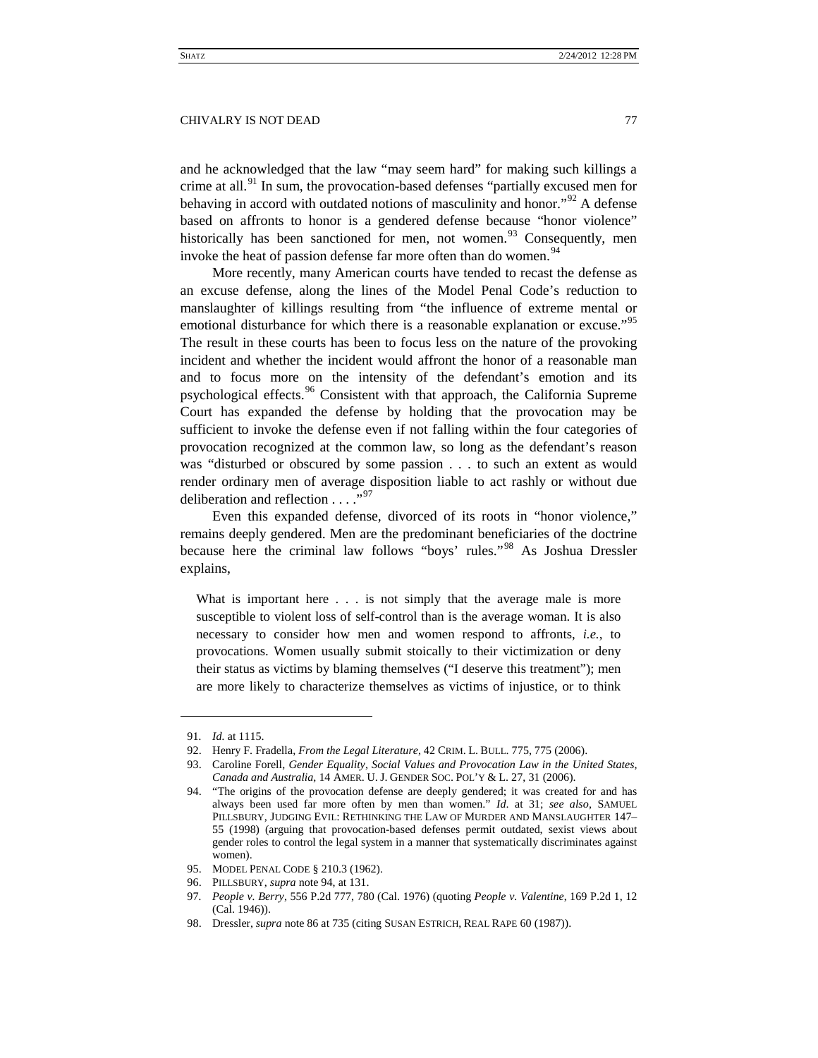and he acknowledged that the law "may seem hard" for making such killings a crime at all. $91$  In sum, the provocation-based defenses "partially excused men for behaving in accord with outdated notions of masculinity and honor."<sup>[92](#page-13-2)</sup> A defense based on affronts to honor is a gendered defense because "honor violence" historically has been sanctioned for men, not women. $93$  Consequently, men invoke the heat of passion defense far more often than do women.<sup>[94](#page-13-4)</sup>

<span id="page-13-0"></span>More recently, many American courts have tended to recast the defense as an excuse defense, along the lines of the Model Penal Code's reduction to manslaughter of killings resulting from "the influence of extreme mental or emotional disturbance for which there is a reasonable explanation or excuse.<sup>[95](#page-13-5)</sup> The result in these courts has been to focus less on the nature of the provoking incident and whether the incident would affront the honor of a reasonable man and to focus more on the intensity of the defendant's emotion and its psychological effects.<sup>[96](#page-13-6)</sup> Consistent with that approach, the California Supreme Court has expanded the defense by holding that the provocation may be sufficient to invoke the defense even if not falling within the four categories of provocation recognized at the common law, so long as the defendant's reason was "disturbed or obscured by some passion . . . to such an extent as would render ordinary men of average disposition liable to act rashly or without due deliberation and reflection  $\dots$ ."<sup>[97](#page-13-7)</sup>

Even this expanded defense, divorced of its roots in "honor violence," remains deeply gendered. Men are the predominant beneficiaries of the doctrine because here the criminal law follows "boys' rules."[98](#page-13-8) As Joshua Dressler explains,

What is important here . . . is not simply that the average male is more susceptible to violent loss of self-control than is the average woman. It is also necessary to consider how men and women respond to affronts, *i.e.*, to provocations. Women usually submit stoically to their victimization or deny their status as victims by blaming themselves ("I deserve this treatment"); men are more likely to characterize themselves as victims of injustice, or to think

<span id="page-13-2"></span><span id="page-13-1"></span> $\ddot{ }$ 

<span id="page-13-3"></span>93. Caroline Forell, *Gender Equality, Social Values and Provocation Law in the United States, Canada and Australia*, 14 AMER. U. J. GENDER SOC. POL'Y & L. 27, 31 (2006).

<sup>91</sup>*. Id.* at 1115.

<sup>92.</sup> Henry F. Fradella, *From the Legal Literature*, 42 CRIM. L. BULL. 775, 775 (2006).

<span id="page-13-4"></span><sup>94.</sup> "The origins of the provocation defense are deeply gendered; it was created for and has always been used far more often by men than women." *Id*. at 31; *see also*, SAMUEL PILLSBURY, JUDGING EVIL: RETHINKING THE LAW OF MURDER AND MANSLAUGHTER 147– 55 (1998) (arguing that provocation-based defenses permit outdated, sexist views about gender roles to control the legal system in a manner that systematically discriminates against women).

<span id="page-13-5"></span><sup>95.</sup> MODEL PENAL CODE § 210.3 (1962).

<span id="page-13-6"></span><sup>96.</sup> PILLSBURY, *supra* not[e 94,](#page-13-0) at 131.

<span id="page-13-7"></span><sup>97</sup>*. People v. Berry*, 556 P.2d 777, 780 (Cal. 1976) (quoting *People v. Valentine*, 169 P.2d 1, 12 (Cal. 1946)).

<span id="page-13-8"></span><sup>98.</sup> Dressler, *supra* note [86](#page-12-9) at 735 (citing SUSAN ESTRICH, REAL RAPE 60 (1987)).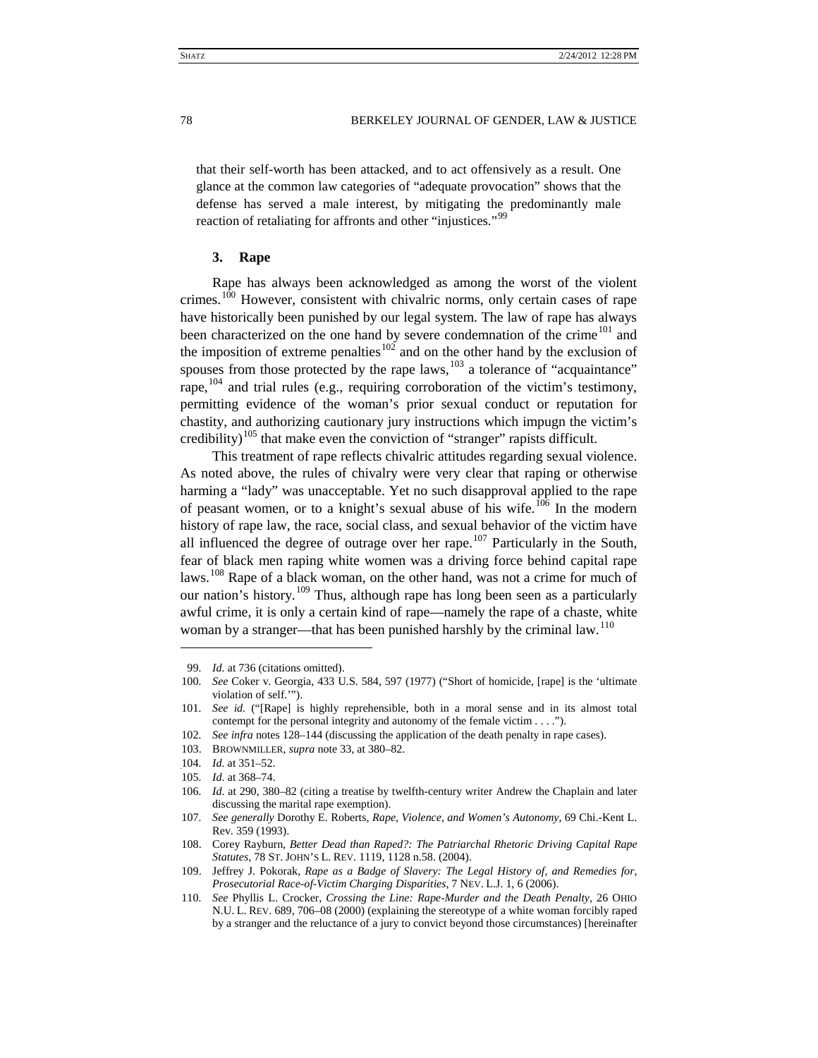that their self-worth has been attacked, and to act offensively as a result. One glance at the common law categories of "adequate provocation" shows that the defense has served a male interest, by mitigating the predominantly male reaction of retaliating for affronts and other "injustices."<sup>[99](#page-14-1)</sup>

# <span id="page-14-15"></span><span id="page-14-0"></span>**3. Rape**

Rape has always been acknowledged as among the worst of the violent crimes.<sup>[100](#page-14-2)</sup> However, consistent with chivalric norms, only certain cases of rape have historically been punished by our legal system. The law of rape has always been characterized on the one hand by severe condemnation of the crime<sup>[101](#page-14-3)</sup> and the imposition of extreme penalties<sup>[102](#page-14-4)</sup> and on the other hand by the exclusion of spouses from those protected by the rape laws,  $103$  a tolerance of "acquaintance" rape, <sup>[104](#page-14-6)</sup> and trial rules (e.g., requiring corroboration of the victim's testimony, permitting evidence of the woman's prior sexual conduct or reputation for chastity, and authorizing cautionary jury instructions which impugn the victim's credibility)<sup>[105](#page-14-7)</sup> that make even the conviction of "stranger" rapists difficult.

<span id="page-14-16"></span>This treatment of rape reflects chivalric attitudes regarding sexual violence. As noted above, the rules of chivalry were very clear that raping or otherwise harming a "lady" was unacceptable. Yet no such disapproval applied to the rape of peasant women, or to a knight's sexual abuse of his wife.<sup>[106](#page-14-8)</sup> In the modern history of rape law, the race, social class, and sexual behavior of the victim have all influenced the degree of outrage over her rape.<sup>[107](#page-14-9)</sup> Particularly in the South, fear of black men raping white women was a driving force behind capital rape laws.<sup>[108](#page-14-10)</sup> Rape of a black woman, on the other hand, was not a crime for much of our nation's history.<sup>[109](#page-14-11)</sup> Thus, although rape has long been seen as a particularly awful crime, it is only a certain kind of rape—namely the rape of a chaste, white woman by a stranger—that has been punished harshly by the criminal law.<sup>[110](#page-14-12)</sup>

<span id="page-14-14"></span><span id="page-14-13"></span><sup>99</sup>*. Id.* at 736 (citations omitted).

<span id="page-14-2"></span><span id="page-14-1"></span><sup>100</sup>*. See* Coker v. Georgia, 433 U.S. 584, 597 (1977) ("Short of homicide, [rape] is the 'ultimate violation of self.'").

<span id="page-14-3"></span><sup>101</sup>*. See id.* ("[Rape] is highly reprehensible, both in a moral sense and in its almost total contempt for the personal integrity and autonomy of the female victim . . . .").

<span id="page-14-4"></span><sup>102</sup>*. See infra* note[s 128](#page-17-2)[–144](#page-19-1) (discussing the application of the death penalty in rape cases).

<sup>103.</sup> BROWNMILLER, *supra* not[e 33,](#page-5-4) at 380–82.

<span id="page-14-7"></span><span id="page-14-6"></span><span id="page-14-5"></span><sup>104</sup>*. Id.* at 351–52.

<sup>105</sup>*. Id.* at 368–74.

<span id="page-14-8"></span><sup>106</sup>*. Id.* at 290, 380–82 (citing a treatise by twelfth-century writer Andrew the Chaplain and later discussing the marital rape exemption).

<span id="page-14-9"></span><sup>107</sup>*. See generally* Dorothy E. Roberts, *Rape, Violence, and Women's Autonomy*, 69 Chi.-Kent L. Rev. 359 (1993).

<span id="page-14-10"></span><sup>108.</sup> Corey Rayburn, *Better Dead than Raped?: The Patriarchal Rhetoric Driving Capital Rape Statutes*, 78 ST. JOHN'S L. REV. 1119, 1128 n.58. (2004).

<span id="page-14-11"></span><sup>109.</sup> Jeffrey J. Pokorak, *Rape as a Badge of Slavery: The Legal History of, and Remedies for, Prosecutorial Race-of-Victim Charging Disparities*, 7 NEV. L.J. 1, 6 (2006).

<span id="page-14-12"></span><sup>110</sup>*. See* Phyllis L. Crocker, *Crossing the Line: Rape-Murder and the Death Penalty*, 26 OHIO N.U. L. REV. 689, 706–08 (2000) (explaining the stereotype of a white woman forcibly raped by a stranger and the reluctance of a jury to convict beyond those circumstances) [hereinafter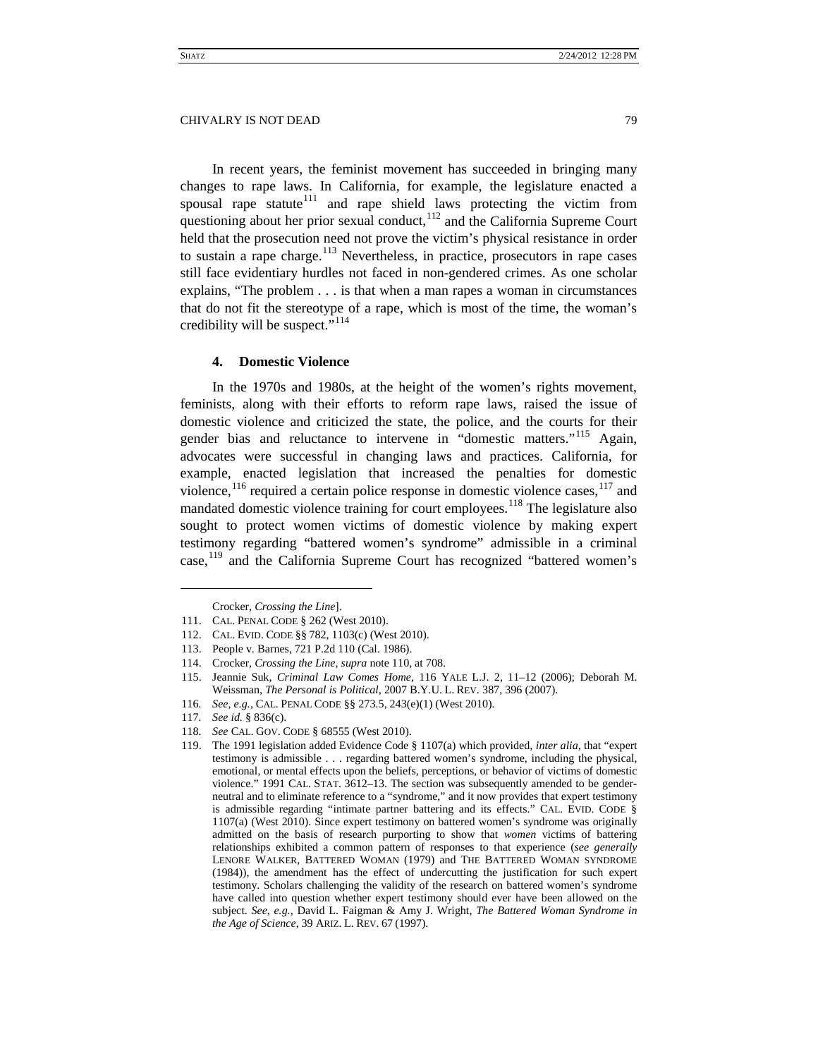In recent years, the feminist movement has succeeded in bringing many changes to rape laws. In California, for example, the legislature enacted a spousal rape statute $111$  and rape shield laws protecting the victim from questioning about her prior sexual conduct, $112$  and the California Supreme Court held that the prosecution need not prove the victim's physical resistance in order to sustain a rape charge.<sup>[113](#page-15-4)</sup> Nevertheless, in practice, prosecutors in rape cases still face evidentiary hurdles not faced in non-gendered crimes. As one scholar explains, "The problem . . . is that when a man rapes a woman in circumstances that do not fit the stereotype of a rape, which is most of the time, the woman's credibility will be suspect."<sup>[114](#page-15-5)</sup>

# <span id="page-15-11"></span><span id="page-15-0"></span>**4. Domestic Violence**

In the 1970s and 1980s, at the height of the women's rights movement, feminists, along with their efforts to reform rape laws, raised the issue of domestic violence and criticized the state, the police, and the courts for their gender bias and reluctance to intervene in "domestic matters."<sup>[115](#page-15-6)</sup> Again, advocates were successful in changing laws and practices. California, for example, enacted legislation that increased the penalties for domestic violence,  $^{116}$  $^{116}$  $^{116}$  required a certain police response in domestic violence cases,  $^{117}$  $^{117}$  $^{117}$  and mandated domestic violence training for court employees.<sup>[118](#page-15-9)</sup> The legislature also sought to protect women victims of domestic violence by making expert testimony regarding "battered women's syndrome" admissible in a criminal case,<sup>[119](#page-15-10)</sup> and the California Supreme Court has recognized "battered women's

<span id="page-15-6"></span>115. Jeannie Suk, *Criminal Law Comes Home*, 116 YALE L.J. 2, 11–12 (2006); Deborah M. Weissman, *The Personal is Political*, 2007 B.Y.U. L. REV. 387, 396 (2007).

<span id="page-15-1"></span>Crocker, *Crossing the Line*].

<span id="page-15-3"></span><span id="page-15-2"></span><sup>111.</sup> CAL. PENAL CODE § 262 (West 2010).

<sup>112.</sup> CAL. EVID. CODE §§ 782[, 1103\(](https://web2.westlaw.com/find/default.wl?tf=-1&rs=WLW9.10&fn=_top&sv=Split&docname=CAEVS1103&tc=-1&pbc=F1EDED25&ordoc=2019363819&findtype=L&db=1000207&vr=2.0&rp=%2ffind%2fdefault.wl&mt=208)c) (West 2010).

<span id="page-15-4"></span><sup>113.</sup> People v. Barnes, 721 P.2d 110 (Cal. 1986).

<span id="page-15-5"></span><sup>114.</sup> Crocker, *Crossing the Line*, *supra* not[e 110,](#page-14-13) at 708.

<span id="page-15-7"></span><sup>116</sup>*. See, e.g.*, CAL. PENAL CODE §§ 273.5, 243(e)(1) (West 2010).

<sup>117</sup>*. See id.* § 836(c).

<span id="page-15-10"></span><span id="page-15-9"></span><span id="page-15-8"></span><sup>118</sup>*. See* CAL. GOV. CODE § 68555 (West 2010).

<sup>119.</sup> The 1991 legislation added Evidence Code § 1107(a) which provided, *inter alia*, that "expert testimony is admissible . . . regarding battered women's syndrome, including the physical, emotional, or mental effects upon the beliefs, perceptions, or behavior of victims of domestic violence." 1991 CAL. STAT. 3612–13. The section was subsequently amended to be genderneutral and to eliminate reference to a "syndrome," and it now provides that expert testimony is admissible regarding "intimate partner battering and its effects." CAL. EVID. CODE § 1107(a) (West 2010). Since expert testimony on battered women's syndrome was originally admitted on the basis of research purporting to show that *women* victims of battering relationships exhibited a common pattern of responses to that experience (*see generally* LENORE WALKER, BATTERED WOMAN (1979) and THE BATTERED WOMAN SYNDROME (1984)), the amendment has the effect of undercutting the justification for such expert testimony. Scholars challenging the validity of the research on battered women's syndrome have called into question whether expert testimony should ever have been allowed on the subject. *See*, *e.g.*, David L. Faigman & Amy J. Wright, *The Battered Woman Syndrome in the Age of Science*, 39 ARIZ. L. REV. 67 (1997).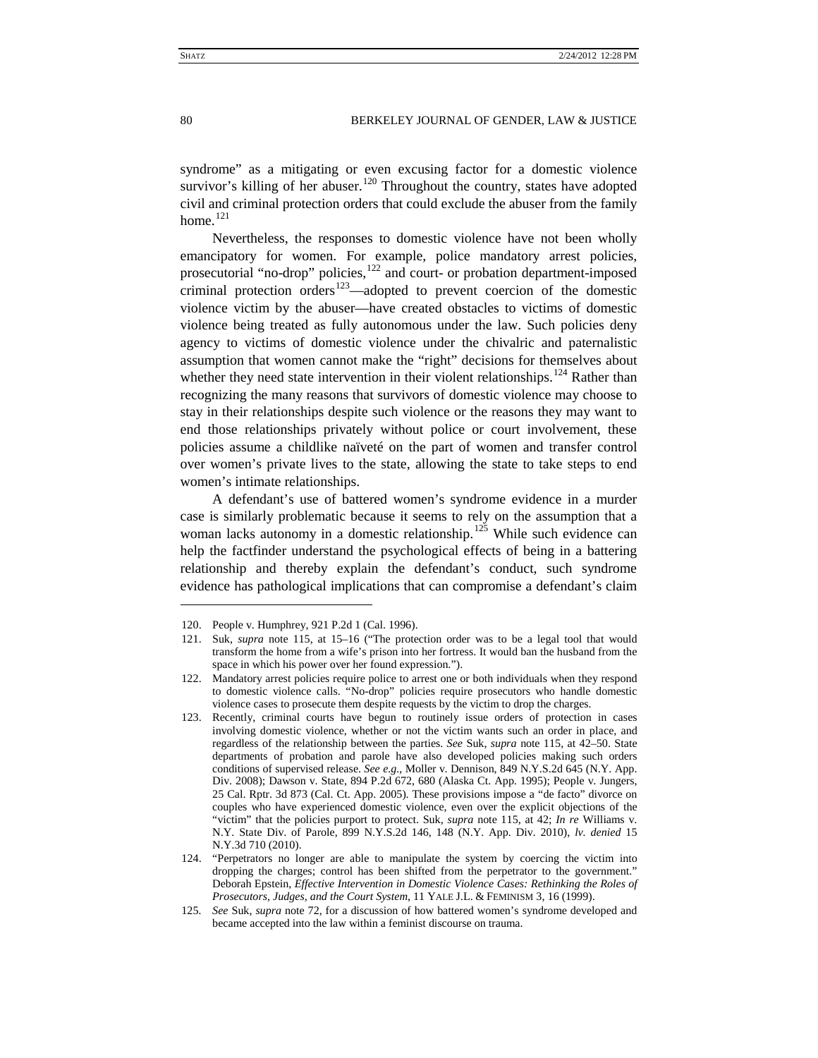<span id="page-16-7"></span>syndrome" as a mitigating or even excusing factor for a domestic violence survivor's killing of her abuser.<sup>[120](#page-16-1)</sup> Throughout the country, states have adopted civil and criminal protection orders that could exclude the abuser from the family home. $^{121}$  $^{121}$  $^{121}$ 

<span id="page-16-0"></span>Nevertheless, the responses to domestic violence have not been wholly emancipatory for women. For example, police mandatory arrest policies, prosecutorial "no-drop" policies, $122$  and court- or probation department-imposed criminal protection orders<sup>123</sup>—adopted to prevent coercion of the domestic violence victim by the abuser—have created obstacles to victims of domestic violence being treated as fully autonomous under the law. Such policies deny agency to victims of domestic violence under the chivalric and paternalistic assumption that women cannot make the "right" decisions for themselves about whether they need state intervention in their violent relationships.<sup>[124](#page-16-5)</sup> Rather than recognizing the many reasons that survivors of domestic violence may choose to stay in their relationships despite such violence or the reasons they may want to end those relationships privately without police or court involvement, these policies assume a childlike naïveté on the part of women and transfer control over women's private lives to the state, allowing the state to take steps to end women's intimate relationships.

A defendant's use of battered women's syndrome evidence in a murder case is similarly problematic because it seems to rely on the assumption that a woman lacks autonomy in a domestic relationship.<sup>[125](#page-16-6)</sup> While such evidence can help the factfinder understand the psychological effects of being in a battering relationship and thereby explain the defendant's conduct, such syndrome evidence has pathological implications that can compromise a defendant's claim

<span id="page-16-1"></span><sup>120.</sup> People v. Humphrey, 921 P.2d 1 (Cal. 1996).

<span id="page-16-2"></span><sup>121.</sup> Suk, *supra* note [115,](#page-15-11) at 15–16 ("The protection order was to be a legal tool that would transform the home from a wife's prison into her fortress. It would ban the husband from the space in which his power over her found expression.").

<span id="page-16-3"></span><sup>122.</sup> Mandatory arrest policies require police to arrest one or both individuals when they respond to domestic violence calls. "No-drop" policies require prosecutors who handle domestic violence cases to prosecute them despite requests by the victim to drop the charges.

<span id="page-16-4"></span><sup>123.</sup> Recently, criminal courts have begun to routinely issue orders of protection in cases involving domestic violence, whether or not the victim wants such an order in place, and regardless of the relationship between the parties. *See* Suk, *supra* note [115,](#page-15-11) at 42–50. State departments of probation and parole have also developed policies making such orders conditions of supervised release. *See e.g.*, Moller v. Dennison, 849 N.Y.S.2d 645 (N.Y. App. Div. 2008); Dawson v. State, 894 P.2d 672, 680 (Alaska Ct. App. 1995); People v. Jungers, 25 Cal. Rptr. 3d 873 (Cal. Ct. App. 2005). These provisions impose a "de facto" divorce on couples who have experienced domestic violence, even over the explicit objections of the "victim" that the policies purport to protect. Suk, *supra* note [115,](#page-15-11) at 42; *In re* Williams v. N.Y. State Div. of Parole, 899 N.Y.S.2d 146, 148 (N.Y. App. Div. 2010), *lv. denied* 15 N.Y.3d 710 (2010).

<span id="page-16-5"></span><sup>124.</sup> "Perpetrators no longer are able to manipulate the system by coercing the victim into dropping the charges; control has been shifted from the perpetrator to the government." Deborah Epstein, *Effective Intervention in Domestic Violence Cases: Rethinking the Roles of Prosecutors, Judges, and the Court System*, 11 YALE J.L. & FEMINISM 3, 16 (1999).

<span id="page-16-6"></span><sup>125</sup>*. See* Suk, *supra* note [72,](#page-10-6) for a discussion of how battered women's syndrome developed and became accepted into the law within a feminist discourse on trauma.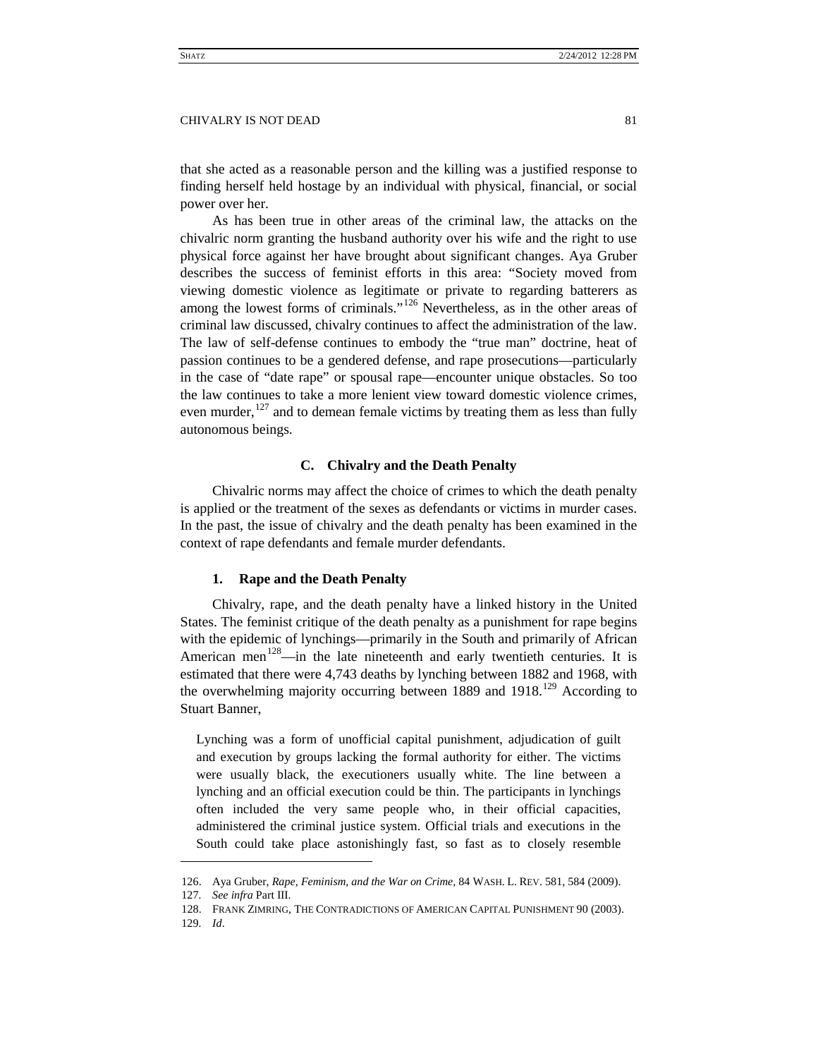that she acted as a reasonable person and the killing was a justified response to finding herself held hostage by an individual with physical, financial, or social power over her.

As has been true in other areas of the criminal law, the attacks on the chivalric norm granting the husband authority over his wife and the right to use physical force against her have brought about significant changes. Aya Gruber describes the success of feminist efforts in this area: "Society moved from viewing domestic violence as legitimate or private to regarding batterers as among the lowest forms of criminals."<sup>[126](#page-17-3)</sup> Nevertheless, as in the other areas of criminal law discussed, chivalry continues to affect the administration of the law. The law of self-defense continues to embody the "true man" doctrine, heat of passion continues to be a gendered defense, and rape prosecutions—particularly in the case of "date rape" or spousal rape—encounter unique obstacles. So too the law continues to take a more lenient view toward domestic violence crimes, even murder,  $127$  and to demean female victims by treating them as less than fully autonomous beings.

# **C. Chivalry and the Death Penalty**

<span id="page-17-0"></span>Chivalric norms may affect the choice of crimes to which the death penalty is applied or the treatment of the sexes as defendants or victims in murder cases. In the past, the issue of chivalry and the death penalty has been examined in the context of rape defendants and female murder defendants.

# <span id="page-17-2"></span><span id="page-17-1"></span>**1. Rape and the Death Penalty**

Chivalry, rape, and the death penalty have a linked history in the United States. The feminist critique of the death penalty as a punishment for rape begins with the epidemic of lynchings—primarily in the South and primarily of African American men<sup>128</sup>—in the late nineteenth and early twentieth centuries. It is estimated that there were 4,743 deaths by lynching between 1882 and 1968, with the overwhelming majority occurring between 1889 and 1918.<sup>[129](#page-17-6)</sup> According to Stuart Banner,

Lynching was a form of unofficial capital punishment, adjudication of guilt and execution by groups lacking the formal authority for either. The victims were usually black, the executioners usually white. The line between a lynching and an official execution could be thin. The participants in lynchings often included the very same people who, in their official capacities, administered the criminal justice system. Official trials and executions in the South could take place astonishingly fast, so fast as to closely resemble

<span id="page-17-3"></span><sup>126.</sup> Aya Gruber, *Rape, Feminism, and the War on Crime*, 84 WASH. L. REV. 581, 584 (2009).

<span id="page-17-4"></span><sup>127</sup>*. See infra* Part III.

<sup>128.</sup> FRANK ZIMRING, THE CONTRADICTIONS OF AMERICAN CAPITAL PUNISHMENT 90 (2003).

<span id="page-17-6"></span><span id="page-17-5"></span><sup>129</sup>*. Id*.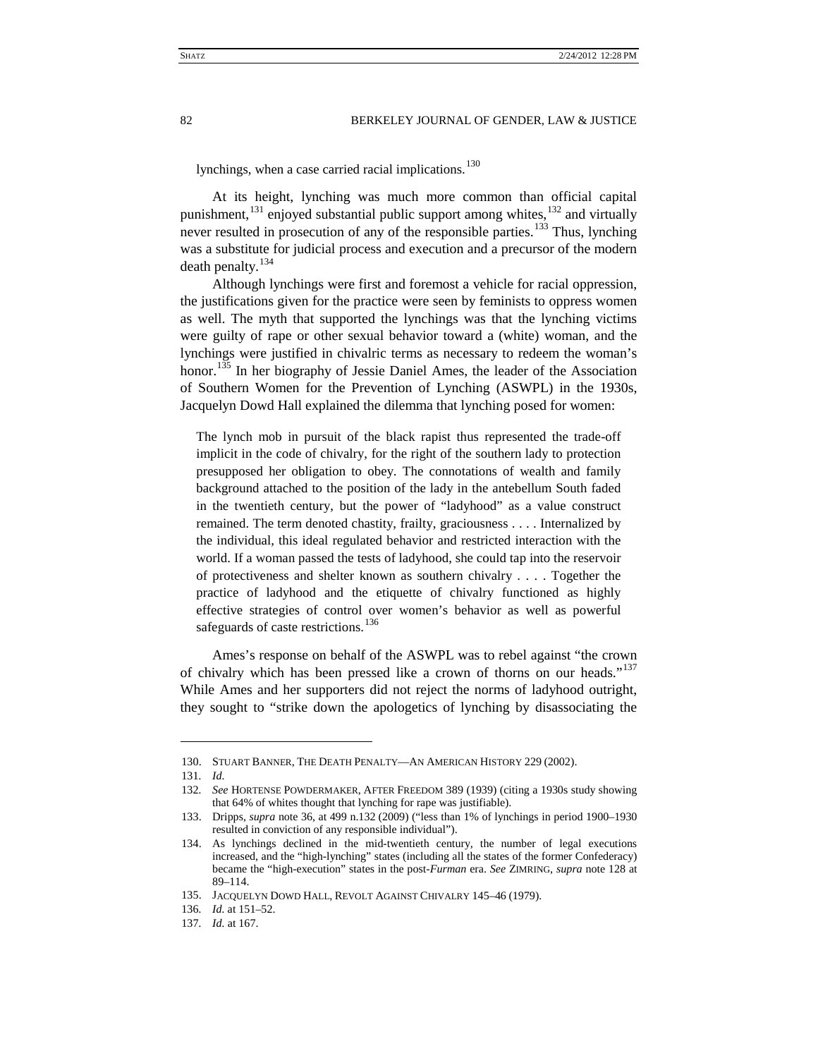lynchings, when a case carried racial implications.<sup>[130](#page-18-0)</sup>

At its height, lynching was much more common than official capital punishment, $^{131}$  $^{131}$  $^{131}$  enjoyed substantial public support among whites, $^{132}$  $^{132}$  $^{132}$  and virtually never resulted in prosecution of any of the responsible parties.<sup>[133](#page-18-3)</sup> Thus, lynching was a substitute for judicial process and execution and a precursor of the modern death penalty. $134$ 

Although lynchings were first and foremost a vehicle for racial oppression, the justifications given for the practice were seen by feminists to oppress women as well. The myth that supported the lynchings was that the lynching victims were guilty of rape or other sexual behavior toward a (white) woman, and the lynchings were justified in chivalric terms as necessary to redeem the woman's honor.<sup>[135](#page-18-5)</sup> In her biography of Jessie Daniel Ames, the leader of the Association of Southern Women for the Prevention of Lynching (ASWPL) in the 1930s, Jacquelyn Dowd Hall explained the dilemma that lynching posed for women:

The lynch mob in pursuit of the black rapist thus represented the trade-off implicit in the code of chivalry, for the right of the southern lady to protection presupposed her obligation to obey. The connotations of wealth and family background attached to the position of the lady in the antebellum South faded in the twentieth century, but the power of "ladyhood" as a value construct remained. The term denoted chastity, frailty, graciousness . . . . Internalized by the individual, this ideal regulated behavior and restricted interaction with the world. If a woman passed the tests of ladyhood, she could tap into the reservoir of protectiveness and shelter known as southern chivalry . . . . Together the practice of ladyhood and the etiquette of chivalry functioned as highly effective strategies of control over women's behavior as well as powerful safeguards of caste restrictions.<sup>[136](#page-18-6)</sup>

Ames's response on behalf of the ASWPL was to rebel against "the crown of chivalry which has been pressed like a crown of thorns on our heads."<sup>[137](#page-18-7)</sup> While Ames and her supporters did not reject the norms of ladyhood outright, they sought to "strike down the apologetics of lynching by disassociating the

<span id="page-18-0"></span><sup>130.</sup> STUART BANNER, THE DEATH PENALTY—AN AMERICAN HISTORY 229 (2002).

<span id="page-18-1"></span><sup>131</sup>*. Id.*

<span id="page-18-2"></span><sup>132</sup>*. See* HORTENSE POWDERMAKER, AFTER FREEDOM 389 (1939) (citing a 1930s study showing that 64% of whites thought that lynching for rape was justifiable).

<span id="page-18-3"></span><sup>133.</sup> Dripps, *supra* not[e 36,](#page-6-9) at 499 n.132 (2009) ("less than 1% of lynchings in period 1900–1930 resulted in conviction of any responsible individual").

<span id="page-18-4"></span><sup>134.</sup> As lynchings declined in the mid-twentieth century, the number of legal executions increased, and the "high-lynching" states (including all the states of the former Confederacy) became the "high-execution" states in the post-*Furman* era. *See* ZIMRING, *supra* not[e 128](#page-17-2) at 89–114.

<span id="page-18-5"></span><sup>135.</sup> JACQUELYN DOWD HALL, REVOLT AGAINST CHIVALRY 145–46 (1979).

<span id="page-18-6"></span><sup>136</sup>*. Id.* at 151–52.

<span id="page-18-7"></span><sup>137</sup>*. Id.* at 167.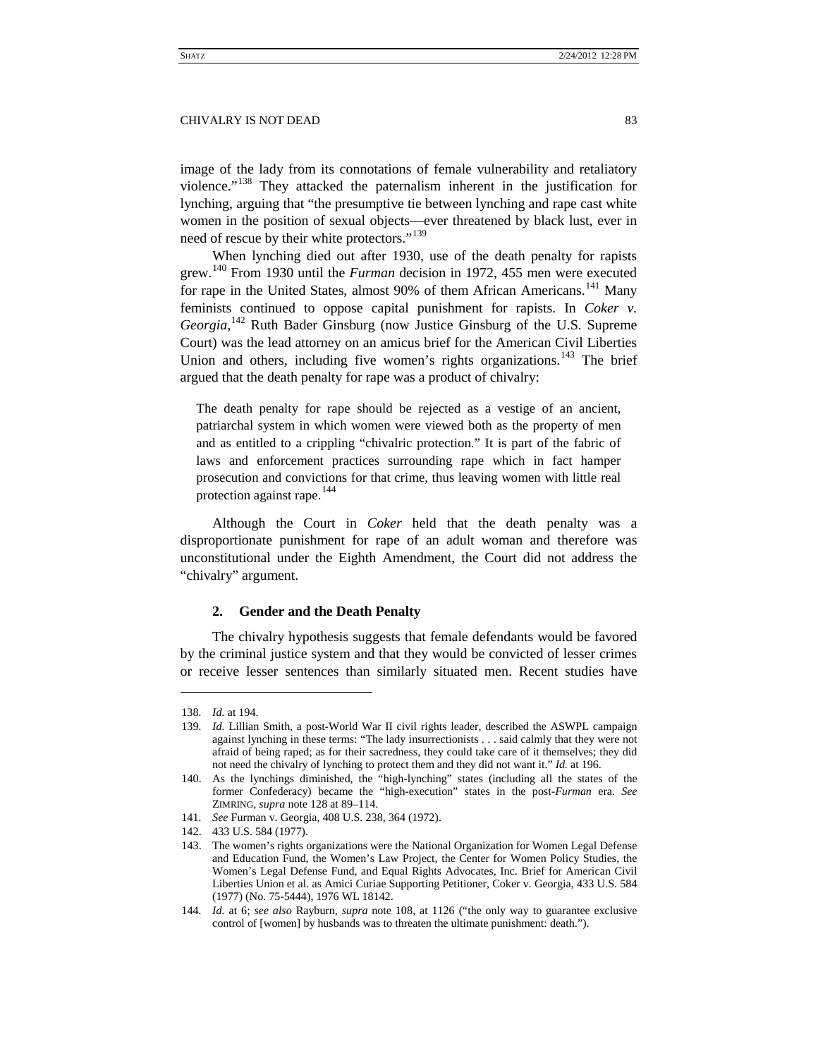image of the lady from its connotations of female vulnerability and retaliatory violence."[138](#page-19-2) They attacked the paternalism inherent in the justification for lynching, arguing that "the presumptive tie between lynching and rape cast white women in the position of sexual objects—ever threatened by black lust, ever in need of rescue by their white protectors."<sup>[139](#page-19-3)</sup>

<span id="page-19-10"></span>When lynching died out after 1930, use of the death penalty for rapists grew. [140](#page-19-4) From 1930 until the *Furman* decision in 1972, 455 men were executed for rape in the United States, almost 90% of them African Americans.<sup>[141](#page-19-5)</sup> Many feminists continued to oppose capital punishment for rapists. In *Coker v. Georgia*, [142](#page-19-6) Ruth Bader Ginsburg (now Justice Ginsburg of the U.S. Supreme Court) was the lead attorney on an amicus brief for the American Civil Liberties Union and others, including five women's rights organizations.<sup>[143](#page-19-7)</sup> The brief argued that the death penalty for rape was a product of chivalry:

<span id="page-19-9"></span>The death penalty for rape should be rejected as a vestige of an ancient, patriarchal system in which women were viewed both as the property of men and as entitled to a crippling "chivalric protection." It is part of the fabric of laws and enforcement practices surrounding rape which in fact hamper prosecution and convictions for that crime, thus leaving women with little real protection against rape.<sup>[144](#page-19-8)</sup>

<span id="page-19-1"></span>Although the Court in *Coker* held that the death penalty was a disproportionate punishment for rape of an adult woman and therefore was unconstitutional under the Eighth Amendment, the Court did not address the "chivalry" argument.

# <span id="page-19-0"></span>**2. Gender and the Death Penalty**

The chivalry hypothesis suggests that female defendants would be favored by the criminal justice system and that they would be convicted of lesser crimes or receive lesser sentences than similarly situated men. Recent studies have

<span id="page-19-2"></span><sup>138</sup>*. Id.* at 194.

<span id="page-19-3"></span><sup>139</sup>*. Id.* Lillian Smith, a post-World War II civil rights leader, described the ASWPL campaign against lynching in these terms: "The lady insurrectionists . . . said calmly that they were not afraid of being raped; as for their sacredness, they could take care of it themselves; they did not need the chivalry of lynching to protect them and they did not want it." *Id.* at 196.

<span id="page-19-4"></span><sup>140.</sup> As the lynchings diminished, the "high-lynching" states (including all the states of the former Confederacy) became the "high-execution" states in the post-*Furman* era. *See* ZIMRING, *supra* not[e 128](#page-17-2) at 89–114.

<span id="page-19-5"></span><sup>141</sup>*. See* Furman v. Georgia, 408 U.S. 238, 364 (1972).

<span id="page-19-6"></span><sup>142.</sup> 433 U.S. 584 (1977).

<span id="page-19-7"></span><sup>143.</sup> The women's rights organizations were the National Organization for Women Legal Defense and Education Fund, the Women's Law Project, the Center for Women Policy Studies, the Women's Legal Defense Fund, and Equal Rights Advocates, Inc. Brief for American Civil Liberties Union et al. as Amici Curiae Supporting Petitioner, Coker v. Georgia, 433 U.S. 584 (1977) (No. 75-5444), 1976 WL 18142.

<span id="page-19-8"></span><sup>144</sup>*. Id.* at 6; *see also* Rayburn, *supra* note [108,](#page-14-14) at 1126 ("the only way to guarantee exclusive control of [women] by husbands was to threaten the ultimate punishment: death.").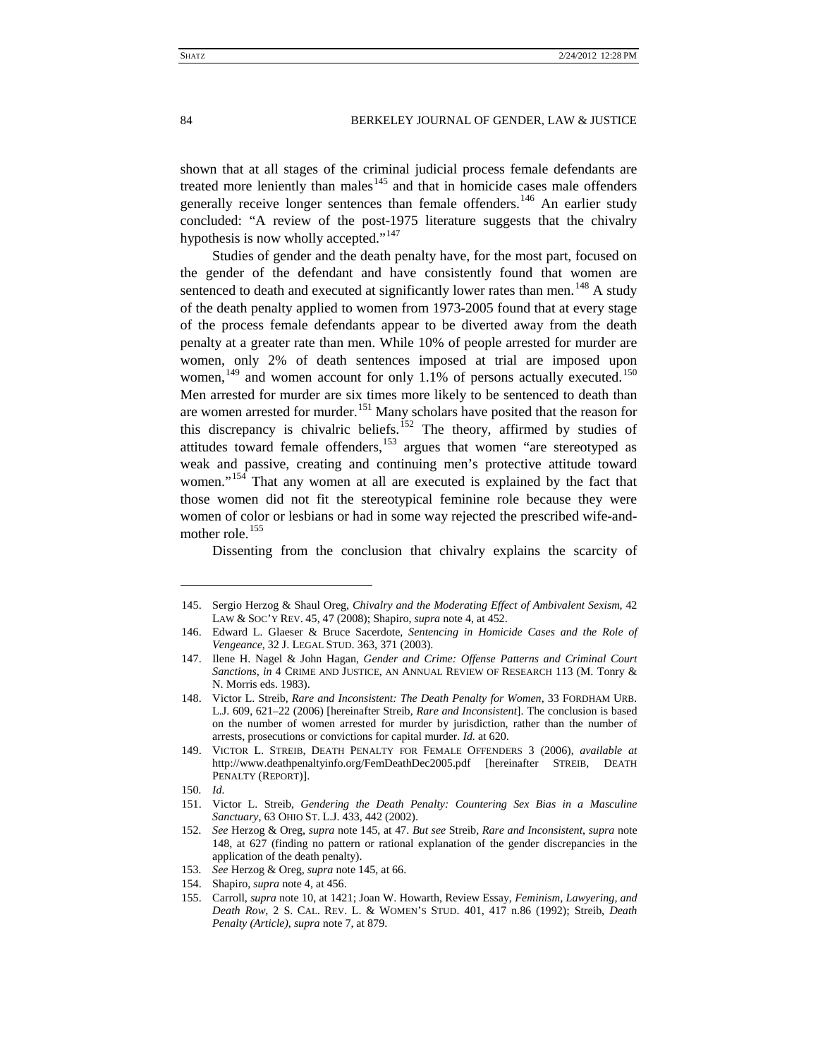<span id="page-20-15"></span><span id="page-20-14"></span><span id="page-20-0"></span>shown that at all stages of the criminal judicial process female defendants are treated more leniently than males $145$  and that in homicide cases male offenders generally receive longer sentences than female offenders.<sup>[146](#page-20-3)</sup> An earlier study concluded: "A review of the post-1975 literature suggests that the chivalry hypothesis is now wholly accepted."<sup>[147](#page-20-4)</sup>

<span id="page-20-1"></span>Studies of gender and the death penalty have, for the most part, focused on the gender of the defendant and have consistently found that women are sentenced to death and executed at significantly lower rates than men.<sup>[148](#page-20-5)</sup> A study of the death penalty applied to women from 1973-2005 found that at every stage of the process female defendants appear to be diverted away from the death penalty at a greater rate than men. While 10% of people arrested for murder are women, only 2% of death sentences imposed at trial are imposed upon women,<sup>[149](#page-20-6)</sup> and women account for only 1.1% of persons actually executed.<sup>[150](#page-20-7)</sup> Men arrested for murder are six times more likely to be sentenced to death than are women arrested for murder.<sup>[151](#page-20-8)</sup> Many scholars have posited that the reason for this discrepancy is chivalric beliefs.<sup>[152](#page-20-9)</sup> The theory, affirmed by studies of attitudes toward female offenders,<sup>[153](#page-20-10)</sup> argues that women "are stereotyped as weak and passive, creating and continuing men's protective attitude toward women."<sup>[154](#page-20-11)</sup> That any women at all are executed is explained by the fact that those women did not fit the stereotypical feminine role because they were women of color or lesbians or had in some way rejected the prescribed wife-and-mother role.<sup>[155](#page-20-12)</sup>

<span id="page-20-13"></span>Dissenting from the conclusion that chivalry explains the scarcity of

 $\ddot{ }$ 

<span id="page-20-11"></span>154. Shapiro, *supra* note [4,](#page-2-0) at 456.

<span id="page-20-2"></span><sup>145.</sup> Sergio Herzog & Shaul Oreg, *Chivalry and the Moderating Effect of Ambivalent Sexism*, 42 LAW & SOC'Y REV. 45, 47 (2008); Shapiro, *supra* not[e 4,](#page-2-0) at 452.

<span id="page-20-3"></span><sup>146.</sup> Edward L. Glaeser & Bruce Sacerdote, *Sentencing in Homicide Cases and the Role of Vengeance*, 32 J. LEGAL STUD. 363, 371 (2003).

<span id="page-20-4"></span><sup>147.</sup> Ilene H. Nagel & John Hagan, *Gender and Crime: Offense Patterns and Criminal Court Sanctions*, *in* 4 CRIME AND JUSTICE, AN ANNUAL REVIEW OF RESEARCH 113 (M. Tonry & N. Morris eds. 1983).

<span id="page-20-5"></span><sup>148.</sup> Victor L. Streib, *Rare and Inconsistent: The Death Penalty for Women*, 33 FORDHAM URB. L.J. 609, 621–22 (2006) [hereinafter Streib, *Rare and Inconsistent*]. The conclusion is based on the number of women arrested for murder by jurisdiction, rather than the number of arrests, prosecutions or convictions for capital murder. *Id.* at 620.

<span id="page-20-6"></span><sup>149.</sup> VICTOR L. STREIB, DEATH PENALTY FOR FEMALE OFFENDERS 3 (2006), *available at*  http://www.deathpenaltyinfo.org/FemDeathDec2005.pdf [hereinafter STREIB, DEATH PENALTY (REPORT)].

<sup>150</sup>*. Id.*

<span id="page-20-8"></span><span id="page-20-7"></span><sup>151.</sup> Victor L. Streib, *Gendering the Death Penalty: Countering Sex Bias in a Masculine Sanctuary*, 63 OHIO ST. L.J. 433, 442 (2002).

<span id="page-20-9"></span><sup>152</sup>*. See* Herzog & Oreg, *supra* note [145,](#page-20-0) at 47. *But see* Streib, *Rare and Inconsistent*, *supra* note [148,](#page-20-1) at 627 (finding no pattern or rational explanation of the gender discrepancies in the application of the death penalty).

<span id="page-20-10"></span><sup>153</sup>*. See* Herzog & Oreg, *supra* not[e 145,](#page-20-0) at 66.

<span id="page-20-12"></span><sup>155.</sup> Carroll, *supra* note [10,](#page-2-10) at 1421; Joan W. Howarth, Review Essay, *Feminism, Lawyering, and Death Row*, 2 S. CAL. REV. L. & WOMEN'S STUD. 401, 417 n.86 (1992); Streib, *Death Penalty (Article)*, *supra* not[e 7,](#page-2-11) at 879.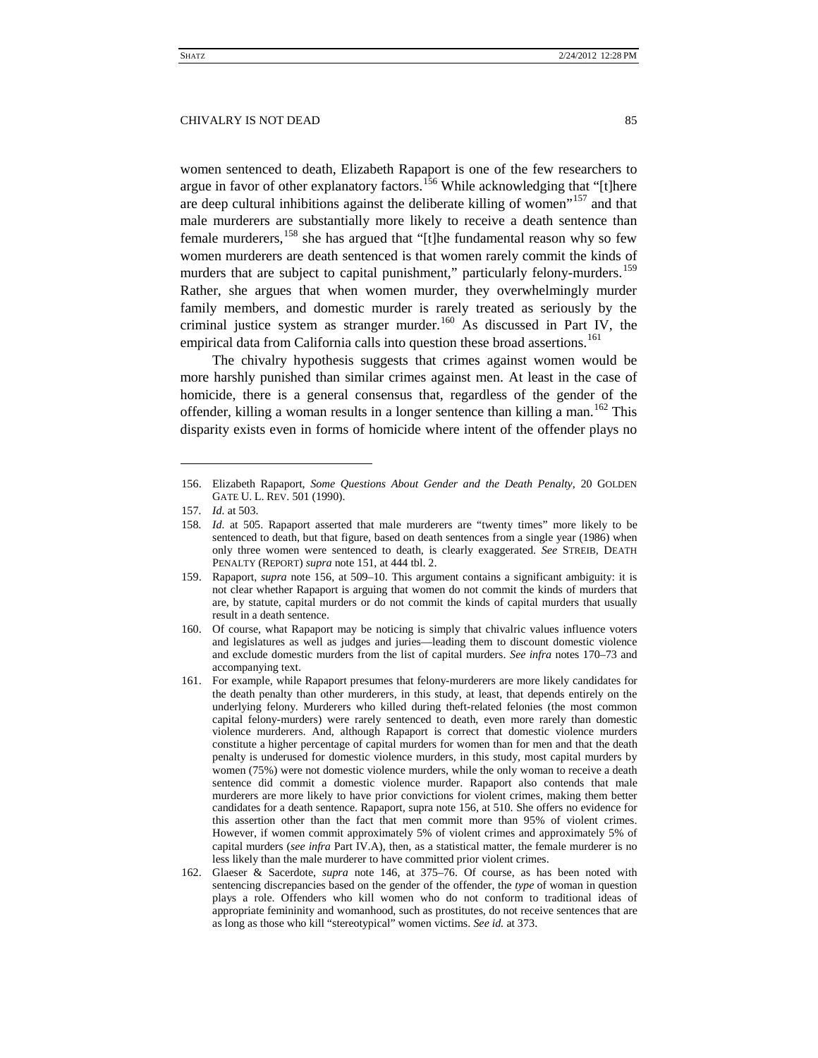<span id="page-21-0"></span>women sentenced to death, Elizabeth Rapaport is one of the few researchers to argue in favor of other explanatory factors.<sup>[156](#page-21-1)</sup> While acknowledging that "[t]here are deep cultural inhibitions against the deliberate killing of women<sup> $157$ </sup> and that male murderers are substantially more likely to receive a death sentence than female murderers,  $^{158}$  $^{158}$  $^{158}$  she has argued that "[t]he fundamental reason why so few women murderers are death sentenced is that women rarely commit the kinds of murders that are subject to capital punishment," particularly felony-murders.<sup>[159](#page-21-4)</sup> Rather, she argues that when women murder, they overwhelmingly murder family members, and domestic murder is rarely treated as seriously by the criminal justice system as stranger murder.<sup>[160](#page-21-5)</sup> As discussed in Part IV, the empirical data from California calls into question these broad assertions.<sup>[161](#page-21-6)</sup>

The chivalry hypothesis suggests that crimes against women would be more harshly punished than similar crimes against men. At least in the case of homicide, there is a general consensus that, regardless of the gender of the offender, killing a woman results in a longer sentence than killing a man.<sup>[162](#page-21-7)</sup> This disparity exists even in forms of homicide where intent of the offender plays no

<span id="page-21-1"></span><sup>156.</sup> Elizabeth Rapaport, *Some Questions About Gender and the Death Penalty*, 20 GOLDEN GATE U. L. REV. 501 (1990).

<span id="page-21-2"></span><sup>157</sup>*. Id.* at 503.

<span id="page-21-3"></span><sup>158</sup>*. Id.* at 505. Rapaport asserted that male murderers are "twenty times" more likely to be sentenced to death, but that figure, based on death sentences from a single year (1986) when only three women were sentenced to death, is clearly exaggerated. *See* STREIB, DEATH PENALTY (REPORT) *supra* not[e 151,](#page-20-13) at 444 tbl. 2.

<span id="page-21-4"></span><sup>159.</sup> Rapaport, *supra* note [156,](#page-21-0) at 509–10. This argument contains a significant ambiguity: it is not clear whether Rapaport is arguing that women do not commit the kinds of murders that are, by statute, capital murders or do not commit the kinds of capital murders that usually result in a death sentence.

<span id="page-21-5"></span><sup>160.</sup> Of course, what Rapaport may be noticing is simply that chivalric values influence voters and legislatures as well as judges and juries—leading them to discount domestic violence and exclude domestic murders from the list of capital murders. *See infra* notes 170–73 and accompanying text.

<span id="page-21-6"></span><sup>161.</sup> For example, while Rapaport presumes that felony-murderers are more likely candidates for the death penalty than other murderers, in this study, at least, that depends entirely on the underlying felony. Murderers who killed during theft-related felonies (the most common capital felony-murders) were rarely sentenced to death, even more rarely than domestic violence murderers. And, although Rapaport is correct that domestic violence murders constitute a higher percentage of capital murders for women than for men and that the death penalty is underused for domestic violence murders, in this study, most capital murders by women (75%) were not domestic violence murders, while the only woman to receive a death sentence did commit a domestic violence murder. Rapaport also contends that male murderers are more likely to have prior convictions for violent crimes, making them better candidates for a death sentence. Rapaport*,* supra not[e 156,](#page-21-0) at 510. She offers no evidence for this assertion other than the fact that men commit more than 95% of violent crimes. However, if women commit approximately 5% of violent crimes and approximately 5% of capital murders (*see infra* Part IV.A), then, as a statistical matter, the female murderer is no less likely than the male murderer to have committed prior violent crimes.

<span id="page-21-7"></span><sup>162.</sup> Glaeser & Sacerdote, *supra* note [146,](#page-20-14) at 375–76. Of course, as has been noted with sentencing discrepancies based on the gender of the offender, the *type* of woman in question plays a role. Offenders who kill women who do not conform to traditional ideas of appropriate femininity and womanhood, such as prostitutes, do not receive sentences that are as long as those who kill "stereotypical" women victims. *See id.* at 373.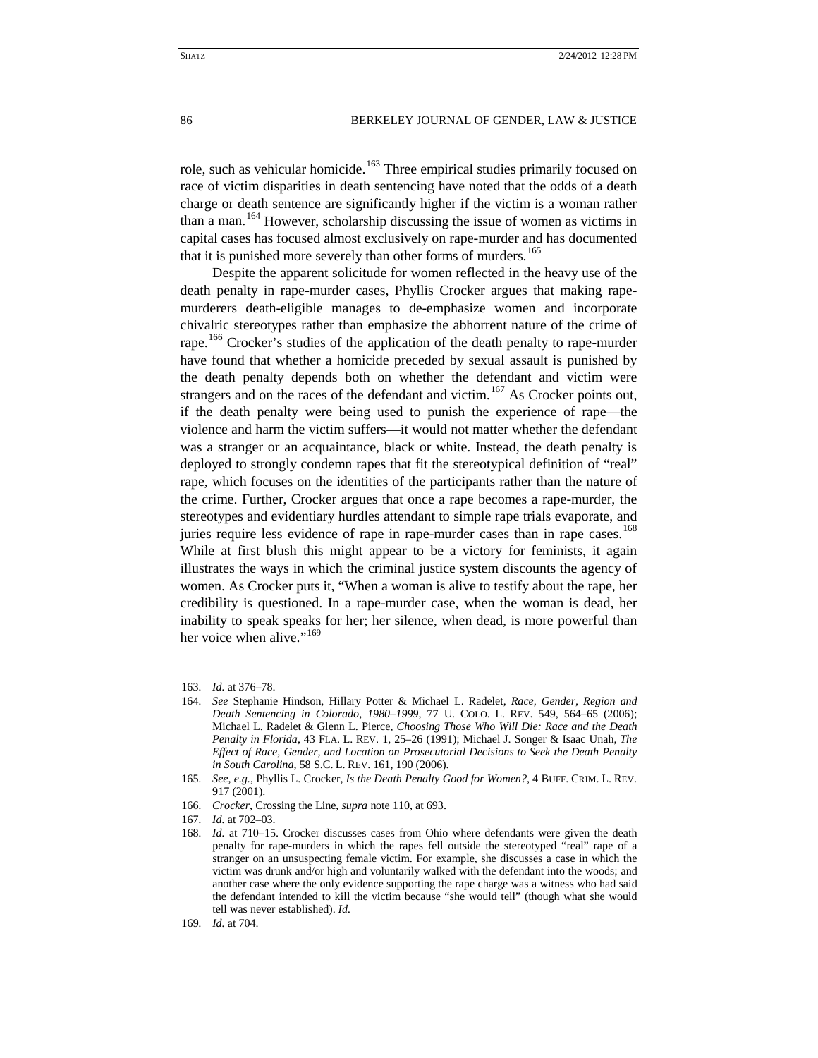<span id="page-22-7"></span>role, such as vehicular homicide.<sup>[163](#page-22-0)</sup> Three empirical studies primarily focused on race of victim disparities in death sentencing have noted that the odds of a death charge or death sentence are significantly higher if the victim is a woman rather than a man.<sup>[164](#page-22-1)</sup> However, scholarship discussing the issue of women as victims in capital cases has focused almost exclusively on rape-murder and has documented that it is punished more severely than other forms of murders.<sup>[165](#page-22-2)</sup>

Despite the apparent solicitude for women reflected in the heavy use of the death penalty in rape-murder cases, Phyllis Crocker argues that making rapemurderers death-eligible manages to de-emphasize women and incorporate chivalric stereotypes rather than emphasize the abhorrent nature of the crime of rape.<sup>[166](#page-22-3)</sup> Crocker's studies of the application of the death penalty to rape-murder have found that whether a homicide preceded by sexual assault is punished by the death penalty depends both on whether the defendant and victim were strangers and on the races of the defendant and victim.<sup>[167](#page-22-4)</sup> As Crocker points out, if the death penalty were being used to punish the experience of rape—the violence and harm the victim suffers—it would not matter whether the defendant was a stranger or an acquaintance, black or white. Instead, the death penalty is deployed to strongly condemn rapes that fit the stereotypical definition of "real" rape, which focuses on the identities of the participants rather than the nature of the crime. Further, Crocker argues that once a rape becomes a rape-murder, the stereotypes and evidentiary hurdles attendant to simple rape trials evaporate, and juries require less evidence of rape in rape-murder cases than in rape cases.<sup>[168](#page-22-5)</sup> While at first blush this might appear to be a victory for feminists, it again illustrates the ways in which the criminal justice system discounts the agency of women. As Crocker puts it, "When a woman is alive to testify about the rape, her credibility is questioned. In a rape-murder case, when the woman is dead, her inability to speak speaks for her; her silence, when dead, is more powerful than her voice when alive."<sup>[169](#page-22-6)</sup>

<span id="page-22-1"></span><span id="page-22-0"></span><sup>163</sup>*. Id.* at 376–78.

<sup>164</sup>*. See* Stephanie Hindson, Hillary Potter & Michael L. Radelet, *Race, Gender, Region and Death Sentencing in Colorado, 1980–1999*, 77 U. COLO. L. REV. 549, 564–65 (2006); Michael L. Radelet & Glenn L. Pierce, *Choosing Those Who Will Die: Race and the Death Penalty in Florida*, 43 FLA. L. REV. 1, 25–26 (1991); Michael J. Songer & Isaac Unah, *The Effect of Race, Gender, and Location on Prosecutorial Decisions to Seek the Death Penalty in South Carolina*, 58 S.C. L. REV. 161, 190 (2006).

<span id="page-22-2"></span><sup>165</sup>*. See, e.g.*, Phyllis L. Crocker, *Is the Death Penalty Good for Women?*, 4 BUFF. CRIM. L. REV. 917 (2001).

<span id="page-22-3"></span><sup>166</sup>*. Crocker,* Crossing the Line, *supra* note [110,](#page-14-13) at 693.

<span id="page-22-4"></span><sup>167</sup>*. Id.* at 702–03.

<span id="page-22-5"></span><sup>168</sup>*. Id.* at 710–15. Crocker discusses cases from Ohio where defendants were given the death penalty for rape-murders in which the rapes fell outside the stereotyped "real" rape of a stranger on an unsuspecting female victim. For example, she discusses a case in which the victim was drunk and/or high and voluntarily walked with the defendant into the woods; and another case where the only evidence supporting the rape charge was a witness who had said the defendant intended to kill the victim because "she would tell" (though what she would tell was never established). *Id.*

<span id="page-22-6"></span><sup>169</sup>*. Id.* at 704.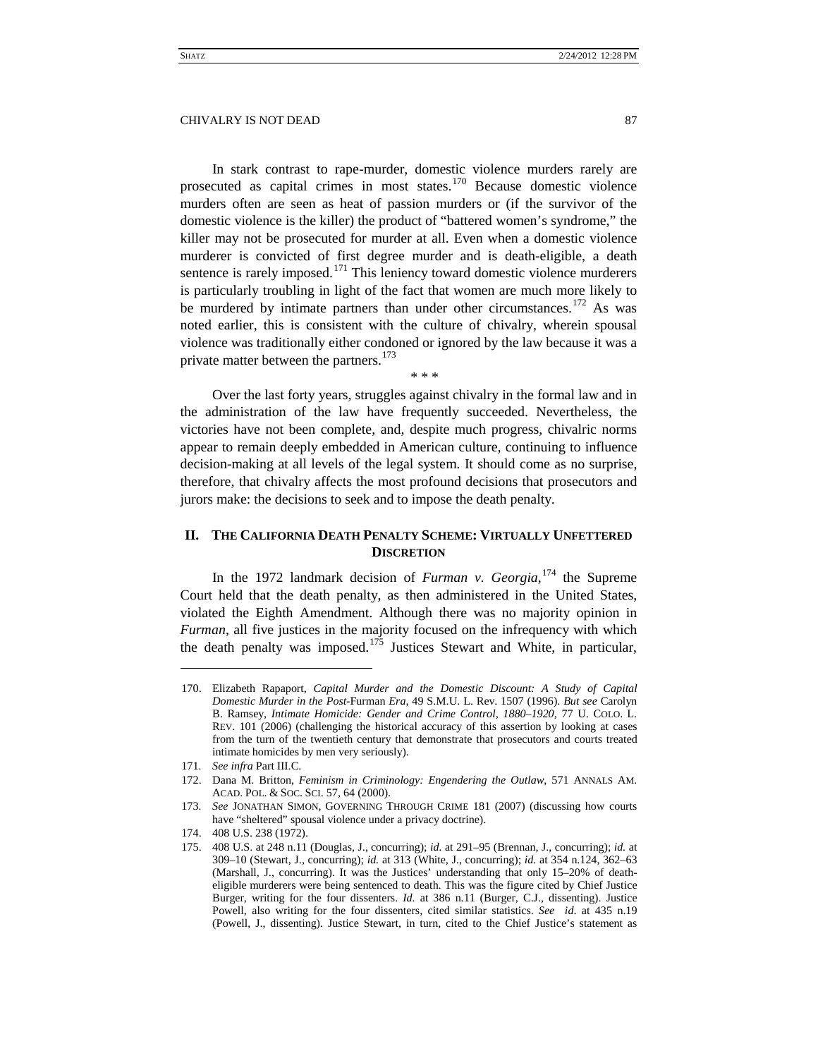In stark contrast to rape-murder, domestic violence murders rarely are prosecuted as capital crimes in most states.<sup>[170](#page-23-1)</sup> Because domestic violence murders often are seen as heat of passion murders or (if the survivor of the domestic violence is the killer) the product of "battered women's syndrome," the killer may not be prosecuted for murder at all. Even when a domestic violence murderer is convicted of first degree murder and is death-eligible, a death sentence is rarely imposed.<sup>[171](#page-23-2)</sup> This leniency toward domestic violence murderers is particularly troubling in light of the fact that women are much more likely to be murdered by intimate partners than under other circumstances.<sup>[172](#page-23-3)</sup> As was noted earlier, this is consistent with the culture of chivalry, wherein spousal violence was traditionally either condoned or ignored by the law because it was a private matter between the partners.<sup>[173](#page-23-4)</sup>

Over the last forty years, struggles against chivalry in the formal law and in the administration of the law have frequently succeeded. Nevertheless, the victories have not been complete, and, despite much progress, chivalric norms appear to remain deeply embedded in American culture, continuing to influence decision-making at all levels of the legal system. It should come as no surprise, therefore, that chivalry affects the most profound decisions that prosecutors and jurors make: the decisions to seek and to impose the death penalty.

<span id="page-23-8"></span><span id="page-23-7"></span>\* \* \*

# <span id="page-23-0"></span>**II. THE CALIFORNIA DEATH PENALTY SCHEME: VIRTUALLY UNFETTERED DISCRETION**

In the 1972 landmark decision of *Furman v. Georgia*, [174](#page-23-5) the Supreme Court held that the death penalty, as then administered in the United States, violated the Eighth Amendment. Although there was no majority opinion in *Furman*, all five justices in the majority focused on the infrequency with which the death penalty was imposed.<sup>[175](#page-23-6)</sup> Justices Stewart and White, in particular,

<span id="page-23-1"></span><sup>170.</sup> Elizabeth Rapaport, *Capital Murder and the Domestic Discount: A Study of Capital Domestic Murder in the Post-*Furman *Era*, 49 S.M.U. L. Rev. 1507 (1996). *But see* Carolyn B. Ramsey, *Intimate Homicide: Gender and Crime Control, 1880–1920*, 77 U. COLO. L. REV. 101 (2006) (challenging the historical accuracy of this assertion by looking at cases from the turn of the twentieth century that demonstrate that prosecutors and courts treated intimate homicides by men very seriously).

<sup>171</sup>*. See infra* Part III.C.

<span id="page-23-3"></span><span id="page-23-2"></span><sup>172.</sup> Dana M. Britton, *Feminism in Criminology: Engendering the Outlaw*, 571 ANNALS AM. ACAD. POL. & SOC. SCI. 57, 64 (2000).

<span id="page-23-4"></span><sup>173</sup>*. See* JONATHAN SIMON, GOVERNING THROUGH CRIME 181 (2007) (discussing how courts have "sheltered" spousal violence under a privacy doctrine).

<span id="page-23-5"></span><sup>174.</sup> 408 U.S. 238 (1972).

<span id="page-23-6"></span><sup>175.</sup> 408 U.S. at 248 n.11 (Douglas, J., concurring); *id.* at 291–95 (Brennan, J., concurring); *id.* at 309–10 (Stewart, J., concurring); *id.* at 313 (White, J., concurring); *id.* at 354 n.124, 362–63 (Marshall, J., concurring). It was the Justices' understanding that only 15–20% of deatheligible murderers were being sentenced to death. This was the figure cited by Chief Justice Burger, writing for the four dissenters. *Id.* at 386 n.11 (Burger, C.J., dissenting). Justice Powell, also writing for the four dissenters, cited similar statistics. *See id*. at 435 n.19 (Powell, J., dissenting). Justice Stewart, in turn, cited to the Chief Justice's statement as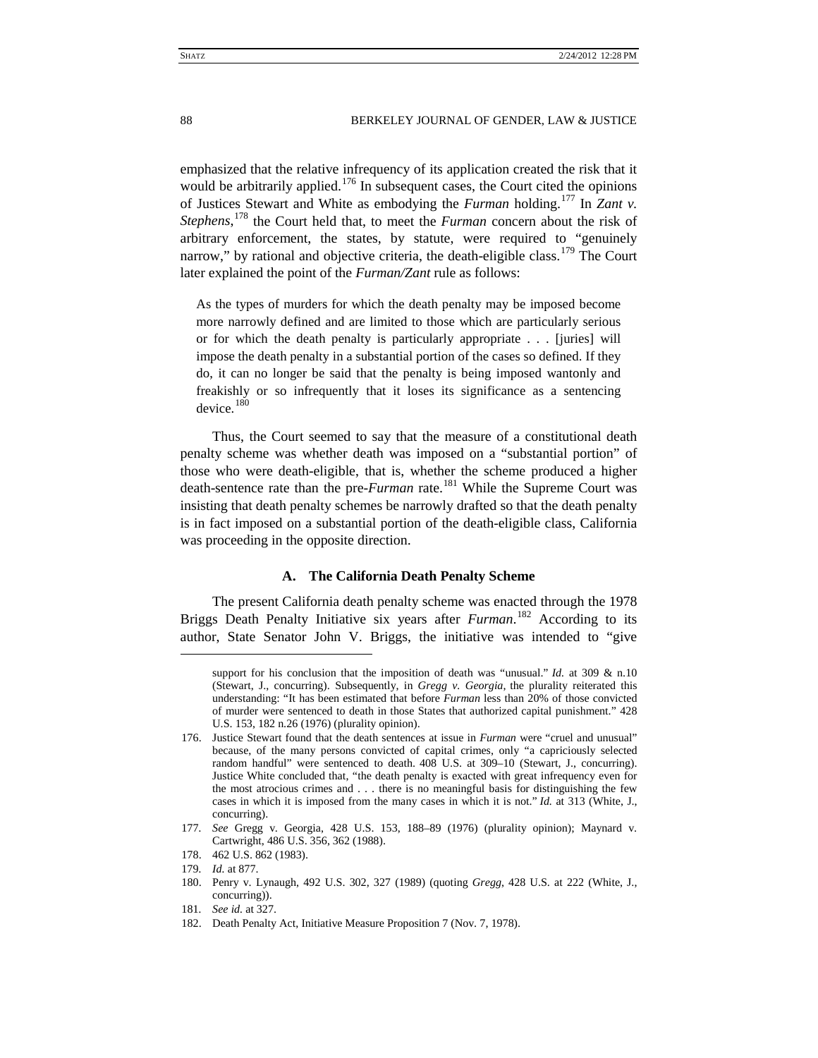emphasized that the relative infrequency of its application created the risk that it would be arbitrarily applied.<sup>[176](#page-24-1)</sup> In subsequent cases, the Court cited the opinions of Justices Stewart and White as embodying the *Furman* holding.[177](#page-24-2) In *Zant v. Stephens*, [178](#page-24-3) the Court held that, to meet the *Furman* concern about the risk of arbitrary enforcement, the states, by statute, were required to "genuinely narrow," by rational and objective criteria, the death-eligible class.<sup>[179](#page-24-4)</sup> The Court later explained the point of the *Furman/Zant* rule as follows:

As the types of murders for which the death penalty may be imposed become more narrowly defined and are limited to those which are particularly serious or for which the death penalty is particularly appropriate . . . [juries] will impose the death penalty in a substantial portion of the cases so defined. If they do, it can no longer be said that the penalty is being imposed wantonly and freakishly or so infrequently that it loses its significance as a sentencing device. [180](#page-24-5)

Thus, the Court seemed to say that the measure of a constitutional death penalty scheme was whether death was imposed on a "substantial portion" of those who were death-eligible, that is, whether the scheme produced a higher death-sentence rate than the pre-*Furman* rate.<sup>[181](#page-24-6)</sup> While the Supreme Court was insisting that death penalty schemes be narrowly drafted so that the death penalty is in fact imposed on a substantial portion of the death-eligible class, California was proceeding in the opposite direction.

# **A. The California Death Penalty Scheme**

<span id="page-24-0"></span>The present California death penalty scheme was enacted through the 1978 Briggs Death Penalty Initiative six years after *Furman*. [182](#page-24-7) According to its author, State Senator John V. Briggs, the initiative was intended to "give

 $\ddot{ }$ 

181*. See id.* at 327.

support for his conclusion that the imposition of death was "unusual." *Id.* at 309 & n.10 (Stewart, J., concurring). Subsequently, in *Gregg v. Georgia*, the plurality reiterated this understanding: "It has been estimated that before *Furman* less than 20% of those convicted of murder were sentenced to death in those States that authorized capital punishment." 428 U.S. 153, 182 n.26 (1976) (plurality opinion).

<span id="page-24-1"></span><sup>176.</sup> Justice Stewart found that the death sentences at issue in *Furman* were "cruel and unusual" because, of the many persons convicted of capital crimes, only "a capriciously selected random handful" were sentenced to death. 408 U.S. at 309–10 (Stewart, J., concurring). Justice White concluded that, "the death penalty is exacted with great infrequency even for the most atrocious crimes and . . . there is no meaningful basis for distinguishing the few cases in which it is imposed from the many cases in which it is not." *Id.* at 313 (White, J., concurring).

<span id="page-24-2"></span><sup>177</sup>*. See* Gregg v. Georgia, 428 U.S. 153, 188–89 (1976) (plurality opinion); Maynard v. Cartwright, 486 U.S. 356, 362 (1988).

<sup>178.</sup> 462 U.S. 862 (1983).

<span id="page-24-5"></span><span id="page-24-4"></span><span id="page-24-3"></span><sup>179</sup>*. Id.* at 877.

<sup>180.</sup> Penry v. Lynaugh, 492 U.S. 302, 327 (1989) (quoting *Gregg*, 428 U.S. at 222 (White, J., concurring)).

<span id="page-24-7"></span><span id="page-24-6"></span><sup>182.</sup> Death Penalty Act, Initiative Measure Proposition 7 (Nov. 7, 1978).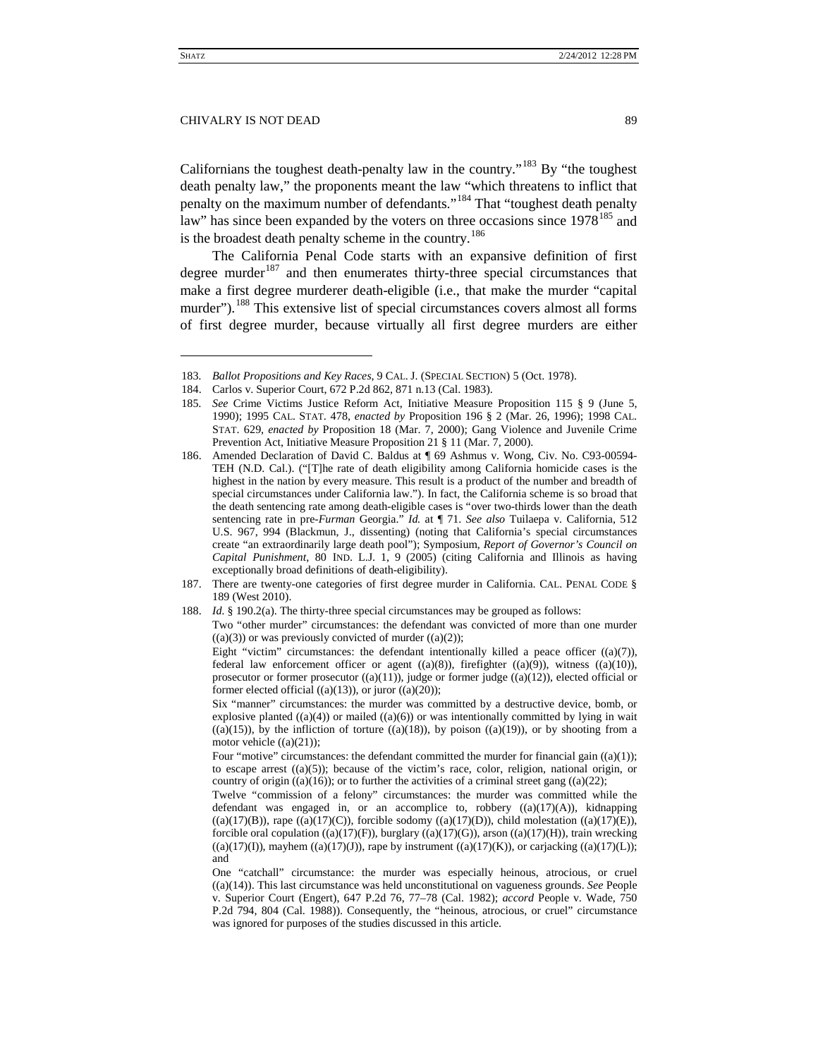Californians the toughest death-penalty law in the country.<sup> $183$ </sup> By "the toughest" death penalty law," the proponents meant the law "which threatens to inflict that penalty on the maximum number of defendants."[184](#page-25-1) That "toughest death penalty law" has since been expanded by the voters on three occasions since  $1978^{185}$  $1978^{185}$  $1978^{185}$  and is the broadest death penalty scheme in the country.<sup>[186](#page-25-3)</sup>

The California Penal Code starts with an expansive definition of first degree murder<sup>[187](#page-25-4)</sup> and then enumerates thirty-three special circumstances that make a first degree murderer death-eligible (i.e., that make the murder "capital murder").<sup>[188](#page-25-5)</sup> This extensive list of special circumstances covers almost all forms of first degree murder, because virtually all first degree murders are either

<span id="page-25-1"></span><span id="page-25-0"></span><sup>183</sup>*. Ballot Propositions and Key Races*, 9 CAL. J. (SPECIAL SECTION) 5 (Oct. 1978).

<sup>184.</sup> Carlos v. Superior Court, 672 P.2d 862, 871 n.13 (Cal. 1983).

<span id="page-25-2"></span><sup>185</sup>*. See* Crime Victims Justice Reform Act, Initiative Measure Proposition 115 § 9 (June 5, 1990); 1995 CAL. STAT. 478, *enacted by* Proposition 196 § 2 (Mar. 26, 1996); 1998 CAL. STAT. 629, *enacted by* Proposition 18 (Mar. 7, 2000); Gang Violence and Juvenile Crime Prevention Act, Initiative Measure Proposition 21 § 11 (Mar. 7, 2000).

<span id="page-25-3"></span><sup>186.</sup> Amended Declaration of David C. Baldus at ¶ 69 Ashmus v. Wong, Civ. No. C93-00594- TEH (N.D. Cal.). ("[T]he rate of death eligibility among California homicide cases is the highest in the nation by every measure. This result is a product of the number and breadth of special circumstances under California law."). In fact, the California scheme is so broad that the death sentencing rate among death-eligible cases is "over two-thirds lower than the death sentencing rate in pre-*Furman* Georgia." *Id.* at ¶ 71. *See also* Tuilaepa v. California, 512 U.S. 967, 994 (Blackmun, J., dissenting) (noting that California's special circumstances create "an extraordinarily large death pool"); Symposium, *Report of Governor's Council on Capital Punishment*, 80 IND. L.J. 1, 9 (2005) (citing California and Illinois as having exceptionally broad definitions of death-eligibility).

<span id="page-25-4"></span><sup>187.</sup> There are twenty-one categories of first degree murder in California. CAL. PENAL CODE § 189 (West 2010).

<span id="page-25-5"></span><sup>188.</sup> *Id.* § 190.2(a). The thirty-three special circumstances may be grouped as follows:

Two "other murder" circumstances: the defendant was convicted of more than one murder  $((a)(3))$  or was previously convicted of murder  $((a)(2))$ ;

Eight "victim" circumstances: the defendant intentionally killed a peace officer  $((a)(7))$ , federal law enforcement officer or agent  $((a)(8))$ , firefighter  $((a)(9))$ , witness  $((a)(10))$ , prosecutor or former prosecutor ((a)(11)), judge or former judge ((a)(12)), elected official or former elected official  $((a)(13))$ , or juror  $((a)(20))$ ;

Six "manner" circumstances: the murder was committed by a destructive device, bomb, or explosive planted  $((a)(4))$  or mailed  $((a)(6))$  or was intentionally committed by lying in wait  $((a)(15))$ , by the infliction of torture  $((a)(18))$ , by poison  $((a)(19))$ , or by shooting from a motor vehicle  $((a)(21))$ ;

Four "motive" circumstances: the defendant committed the murder for financial gain  $((a)(1))$ ; to escape arrest  $((a)(5))$ ; because of the victim's race, color, religion, national origin, or country of origin  $((a)(16))$ ; or to further the activities of a criminal street gang  $((a)(22))$ ;

Twelve "commission of a felony" circumstances: the murder was committed while the defendant was engaged in, or an accomplice to, robbery  $((a)(17)(A))$ , kidnapping  $((a)(17)(B))$ , rape  $((a)(17)(C))$ , forcible sodomy  $((a)(17)(D))$ , child molestation  $((a)(17)(E))$ , forcible oral copulation  $((a)(17)(F))$ , burglary  $((a)(17)(G))$ , arson  $((a)(17)(H))$ , train wrecking  $((a)(17)(I))$ , mayhem  $((a)(17)(J))$ , rape by instrument  $((a)(17)(K))$ , or carjacking  $((a)(17)(L))$ ; and

One "catchall" circumstance: the murder was especially heinous, atrocious, or cruel ((a)(14)). This last circumstance was held unconstitutional on vagueness grounds. *See* People v. Superior Court (Engert), 647 P.2d 76, 77–78 (Cal. 1982); *accord* People v. Wade, 750 P.2d 794, 804 (Cal. 1988)). Consequently, the "heinous, atrocious, or cruel" circumstance was ignored for purposes of the studies discussed in this article.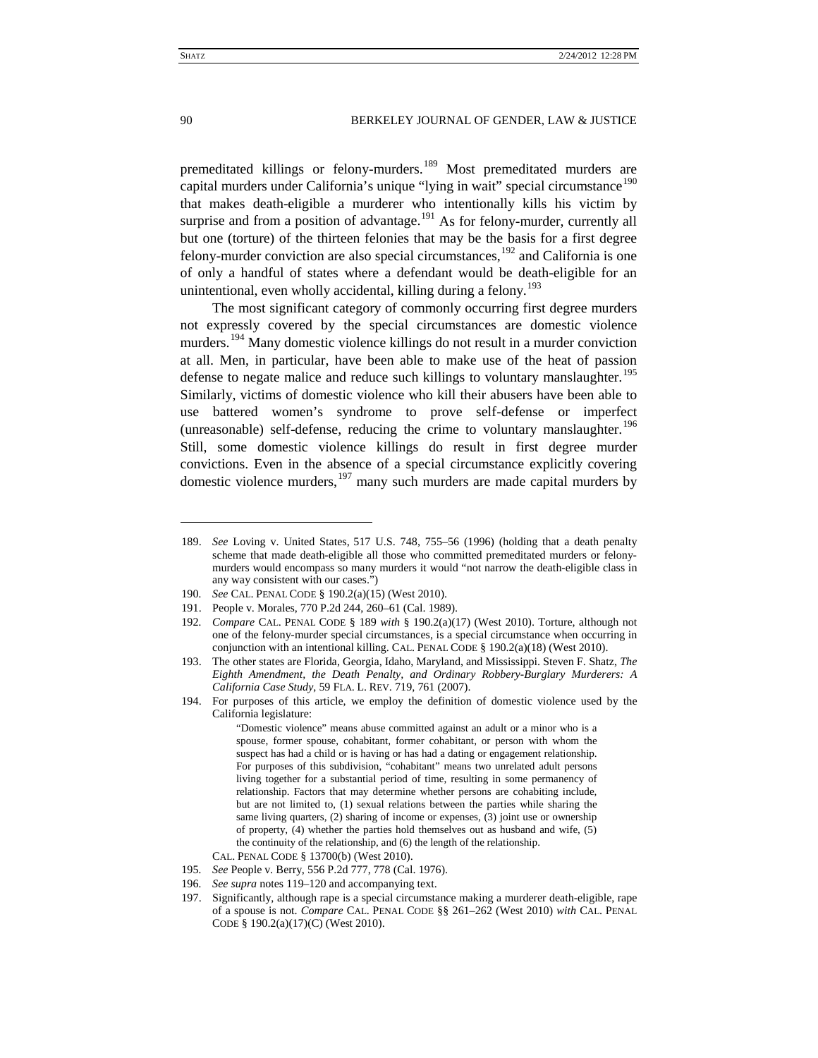premeditated killings or felony-murders.<sup>[189](#page-26-0)</sup> Most premeditated murders are capital murders under California's unique "lying in wait" special circumstance<sup>[190](#page-26-1)</sup> that makes death-eligible a murderer who intentionally kills his victim by surprise and from a position of advantage.<sup>[191](#page-26-2)</sup> As for felony-murder, currently all but one (torture) of the thirteen felonies that may be the basis for a first degree felony-murder conviction are also special circumstances,  $192$  and California is one of only a handful of states where a defendant would be death-eligible for an unintentional, even wholly accidental, killing during a felony.<sup>[193](#page-26-4)</sup>

<span id="page-26-9"></span>The most significant category of commonly occurring first degree murders not expressly covered by the special circumstances are domestic violence murders.<sup>[194](#page-26-5)</sup> Many domestic violence killings do not result in a murder conviction at all. Men, in particular, have been able to make use of the heat of passion defense to negate malice and reduce such killings to voluntary manslaughter.<sup>[195](#page-26-6)</sup> Similarly, victims of domestic violence who kill their abusers have been able to use battered women's syndrome to prove self-defense or imperfect (unreasonable) self-defense, reducing the crime to voluntary manslaughter.<sup>[196](#page-26-7)</sup> Still, some domestic violence killings do result in first degree murder convictions. Even in the absence of a special circumstance explicitly covering domestic violence murders,  $197$  many such murders are made capital murders by

<span id="page-26-0"></span><sup>189.</sup> *See* Loving v. United States, 517 U.S. 748, 755–56 (1996) (holding that a death penalty scheme that made death-eligible all those who committed premeditated murders or felonymurders would encompass so many murders it would "not narrow the death-eligible class in any way consistent with our cases.")

<span id="page-26-1"></span><sup>190</sup>*. See* CAL. PENAL CODE § 190.2(a)(15) (West 2010).

<span id="page-26-2"></span><sup>191.</sup> People v. Morales, 770 P.2d 244, 260–61 (Cal. 1989).

<span id="page-26-3"></span><sup>192</sup>*. Compare* CAL. PENAL CODE § 189 *with* § 190.2(a)(17) (West 2010). Torture, although not one of the felony-murder special circumstances, is a special circumstance when occurring in conjunction with an intentional killing. CAL. PENAL CODE  $\S$  190.2(a)(18) (West 2010).

<span id="page-26-4"></span><sup>193.</sup> The other states are Florida, Georgia, Idaho, Maryland, and Mississippi. Steven F. Shatz, *The Eighth Amendment, the Death Penalty, and Ordinary Robbery-Burglary Murderers: A California Case Study*, 59 FLA. L. REV. 719, 761 (2007).

<span id="page-26-5"></span><sup>194.</sup> For purposes of this article, we employ the definition of domestic violence used by the California legislature:

<sup>&</sup>quot;Domestic violence" means abuse committed against an adult or a minor who is a spouse, former spouse, cohabitant, former cohabitant, or person with whom the suspect has had a child or is having or has had a dating or engagement relationship. For purposes of this subdivision, "cohabitant" means two unrelated adult persons living together for a substantial period of time, resulting in some permanency of relationship. Factors that may determine whether persons are cohabiting include, but are not limited to, (1) sexual relations between the parties while sharing the same living quarters, (2) sharing of income or expenses, (3) joint use or ownership of property, (4) whether the parties hold themselves out as husband and wife, (5) the continuity of the relationship, and (6) the length of the relationship.

CAL. PENAL CODE § 13700(b) (West 2010).

<span id="page-26-6"></span><sup>195</sup>*. See* People v. Berry, 556 P.2d 777, 778 (Cal. 1976).

<span id="page-26-7"></span><sup>196</sup>*. See supra* note[s 119](#page-15-1)[–120](#page-16-7) and accompanying text.

<span id="page-26-8"></span><sup>197.</sup> Significantly, although rape is a special circumstance making a murderer death-eligible, rape of a spouse is not. *Compare* CAL. PENAL CODE §§ 261–262 (West 2010) *with* CAL. PENAL CODE § 190.2(a)(17)(C) (West 2010).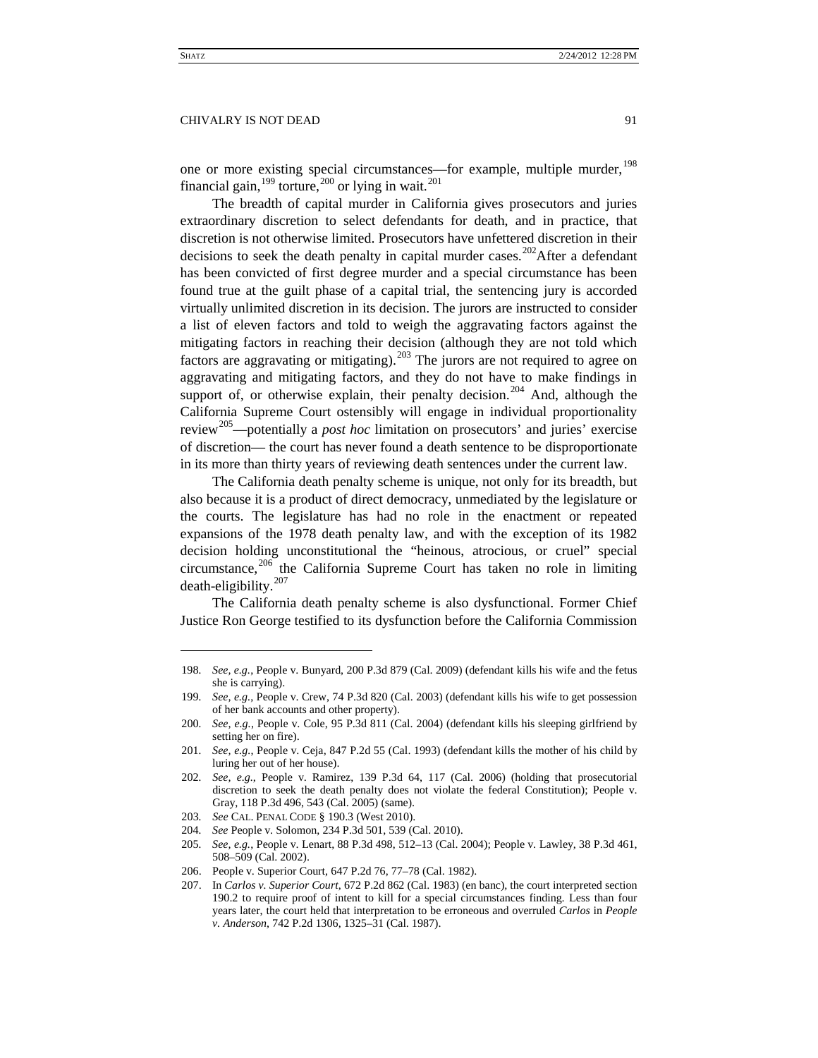one or more existing special circumstances—for example, multiple murder,<sup>[198](#page-27-0)</sup> financial gain,  $^{199}$  $^{199}$  $^{199}$  torture,  $^{200}$  $^{200}$  $^{200}$  or lying in wait.  $^{201}$  $^{201}$  $^{201}$ 

The breadth of capital murder in California gives prosecutors and juries extraordinary discretion to select defendants for death, and in practice, that discretion is not otherwise limited. Prosecutors have unfettered discretion in their decisions to seek the death penalty in capital murder cases.<sup>202</sup>After a defendant has been convicted of first degree murder and a special circumstance has been found true at the guilt phase of a capital trial, the sentencing jury is accorded virtually unlimited discretion in its decision. The jurors are instructed to consider a list of eleven factors and told to weigh the aggravating factors against the mitigating factors in reaching their decision (although they are not told which factors are aggravating or mitigating).<sup>[203](#page-27-5)</sup> The jurors are not required to agree on aggravating and mitigating factors, and they do not have to make findings in support of, or otherwise explain, their penalty decision.<sup>[204](#page-27-6)</sup> And, although the California Supreme Court ostensibly will engage in individual proportionality review<sup>[205](#page-27-7)</sup>—potentially a *post hoc* limitation on prosecutors' and juries' exercise of discretion— the court has never found a death sentence to be disproportionate in its more than thirty years of reviewing death sentences under the current law.

The California death penalty scheme is unique, not only for its breadth, but also because it is a product of direct democracy, unmediated by the legislature or the courts. The legislature has had no role in the enactment or repeated expansions of the 1978 death penalty law, and with the exception of its 1982 decision holding unconstitutional the "heinous, atrocious, or cruel" special circumstance, [206](#page-27-8) the California Supreme Court has taken no role in limiting death-eligibility.<sup>[207](#page-27-9)</sup>

The California death penalty scheme is also dysfunctional. Former Chief Justice Ron George testified to its dysfunction before the California Commission

<span id="page-27-0"></span><sup>198</sup>*. See, e.g.*, People v. Bunyard, 200 P.3d 879 (Cal. 2009) (defendant kills his wife and the fetus she is carrying).

<span id="page-27-1"></span><sup>199</sup>*. See, e.g.*, People v. Crew, 74 P.3d 820 (Cal. 2003) (defendant kills his wife to get possession of her bank accounts and other property).

<span id="page-27-2"></span><sup>200</sup>*. See, e.g.*, People v. Cole, 95 P.3d 811 (Cal. 2004) (defendant kills his sleeping girlfriend by setting her on fire).

<span id="page-27-3"></span><sup>201</sup>*. See, e.g.*, People v. Ceja, 847 P.2d 55 (Cal. 1993) (defendant kills the mother of his child by luring her out of her house).

<span id="page-27-4"></span><sup>202</sup>*. See, e.g.*, People v. Ramirez, 139 P.3d 64, 117 (Cal. 2006) (holding that prosecutorial discretion to seek the death penalty does not violate the federal Constitution); People v. Gray, 118 P.3d 496, 543 (Cal. 2005) (same).

<span id="page-27-6"></span><span id="page-27-5"></span><sup>203</sup>*. See* CAL. PENAL CODE § 190.3 (West 2010).

<sup>204</sup>*. See* People v. Solomon, 234 P.3d 501, 539 (Cal. 2010).

<span id="page-27-7"></span><sup>205</sup>*. See, e.g.*, People v. Lenart, 88 P.3d 498, 512–13 (Cal. 2004); People v. Lawley, 38 P.3d 461, 508–509 (Cal. 2002).

<span id="page-27-9"></span><span id="page-27-8"></span><sup>206.</sup> People v. Superior Court, 647 P.2d 76, 77–78 (Cal. 1982).

<sup>207.</sup> In *Carlos v. Superior Court*, 672 P.2d 862 (Cal. 1983) (en banc), the court interpreted section 190.2 to require proof of intent to kill for a special circumstances finding. Less than four years later, the court held that interpretation to be erroneous and overruled *Carlos* in *People v. Anderson*, 742 P.2d 1306, 1325–31 (Cal. 1987).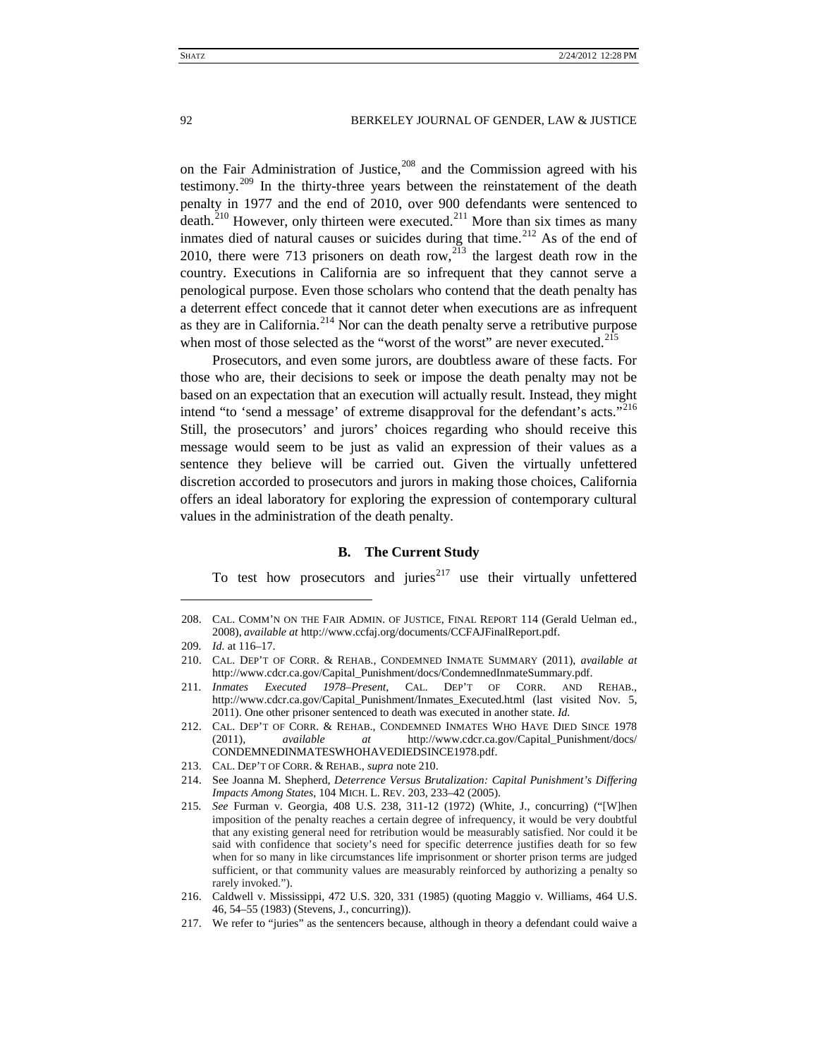<span id="page-28-1"></span>on the Fair Administration of Justice, $208$  and the Commission agreed with his testimony.<sup>[209](#page-28-3)</sup> In the thirty-three years between the reinstatement of the death penalty in 1977 and the end of 2010, over 900 defendants were sentenced to death.<sup>[210](#page-28-4)</sup> However, only thirteen were executed.<sup>[211](#page-28-5)</sup> More than six times as many inmates died of natural causes or suicides during that time.<sup>[212](#page-28-6)</sup> As of the end of 2010, there were 713 prisoners on death row,<sup>[213](#page-28-7)</sup> the largest death row in the country. Executions in California are so infrequent that they cannot serve a penological purpose. Even those scholars who contend that the death penalty has a deterrent effect concede that it cannot deter when executions are as infrequent as they are in California.<sup>[214](#page-28-8)</sup> Nor can the death penalty serve a retributive purpose when most of those selected as the "worst of the worst" are never executed.<sup>[215](#page-28-9)</sup>

Prosecutors, and even some jurors, are doubtless aware of these facts. For those who are, their decisions to seek or impose the death penalty may not be based on an expectation that an execution will actually result. Instead, they might intend "to 'send a message' of extreme disapproval for the defendant's acts."<sup>[216](#page-28-10)</sup> Still, the prosecutors' and jurors' choices regarding who should receive this message would seem to be just as valid an expression of their values as a sentence they believe will be carried out. Given the virtually unfettered discretion accorded to prosecutors and jurors in making those choices, California offers an ideal laboratory for exploring the expression of contemporary cultural values in the administration of the death penalty.

# **B. The Current Study**

<span id="page-28-0"></span>To test how prosecutors and juries $2^{17}$  use their virtually unfettered

<span id="page-28-2"></span><sup>208.</sup> CAL. COMM'N ON THE FAIR ADMIN. OF JUSTICE, FINAL REPORT 114 (Gerald Uelman ed., 2008), *available at* http://www.ccfaj.org/documents/CCFAJFinalReport.pdf.

<span id="page-28-3"></span><sup>209</sup>*. Id.* at 116–17.

<span id="page-28-4"></span><sup>210.</sup> CAL. DEP'T OF CORR. & REHAB., CONDEMNED INMATE SUMMARY (2011), *available at*  http://www.cdcr.ca.gov/Capital\_Punishment/docs/CondemnedInmateSummary.pdf.

<span id="page-28-5"></span><sup>211</sup>*. Inmates Executed 1978–Present*, CAL. DEP'T OF CORR. AND REHAB., http://www.cdcr.ca.gov/Capital\_Punishment/Inmates\_Executed.html (last visited Nov. 5, 2011). One other prisoner sentenced to death was executed in another state. *Id.*

<span id="page-28-6"></span><sup>212.</sup> CAL. DEP'T OF CORR. & REHAB., CONDEMNED INMATES WHO HAVE DIED SINCE 1978 (2011)*, available at* http://www.cdcr.ca.gov/Capital\_Punishment/docs/ CONDEMNEDINMATESWHOHAVEDIEDSINCE1978.pdf.

<span id="page-28-7"></span><sup>213.</sup> CAL. DEP'T OF CORR. & REHAB., *supra* not[e 210.](#page-28-1)

<span id="page-28-8"></span><sup>214.</sup> See Joanna M. Shepherd, *Deterrence Versus Brutalization: Capital Punishment's Differing Impacts Among States*, 104 MICH. L. REV. 203, 233–42 (2005).

<span id="page-28-9"></span><sup>215</sup>*. See* Furman v. Georgia, 408 U.S. 238, 311-12 (1972) (White, J., concurring) ("[W]hen imposition of the penalty reaches a certain degree of infrequency, it would be very doubtful that any existing general need for retribution would be measurably satisfied. Nor could it be said with confidence that society's need for specific deterrence justifies death for so few when for so many in like circumstances life imprisonment or shorter prison terms are judged sufficient, or that community values are measurably reinforced by authorizing a penalty so rarely invoked.").

<span id="page-28-10"></span><sup>216.</sup> Caldwell v. Mississippi, 472 U.S. 320, 331 (1985) (quoting Maggio v. Williams*,* 464 U.S. 46, 54–55 (1983) (Stevens, J., concurring)).

<span id="page-28-11"></span><sup>217.</sup> We refer to "juries" as the sentencers because, although in theory a defendant could waive a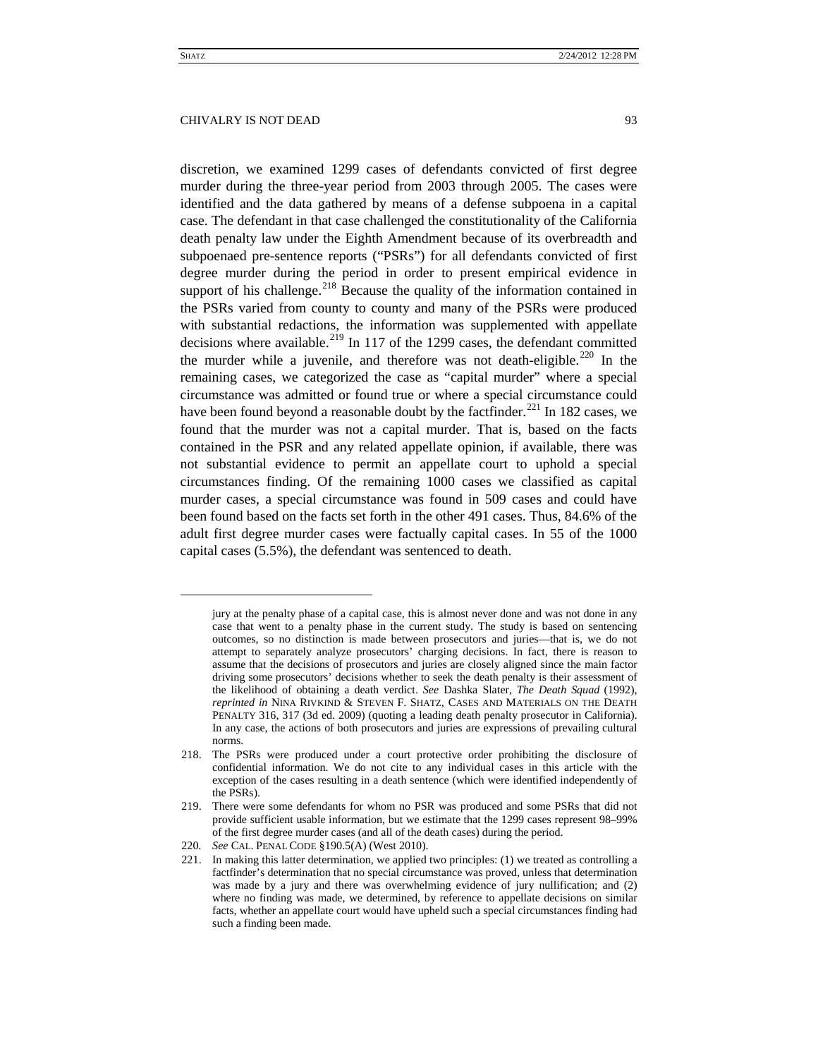$\overline{a}$ 

#### CHIVALRY IS NOT DEAD 93

discretion, we examined 1299 cases of defendants convicted of first degree murder during the three-year period from 2003 through 2005. The cases were identified and the data gathered by means of a defense subpoena in a capital case. The defendant in that case challenged the constitutionality of the California death penalty law under the Eighth Amendment because of its overbreadth and subpoenaed pre-sentence reports ("PSRs") for all defendants convicted of first degree murder during the period in order to present empirical evidence in support of his challenge. $^{218}$  $^{218}$  $^{218}$  Because the quality of the information contained in the PSRs varied from county to county and many of the PSRs were produced with substantial redactions, the information was supplemented with appellate decisions where available.<sup>[219](#page-29-1)</sup> In 117 of the 1299 cases, the defendant committed the murder while a juvenile, and therefore was not death-eligible.<sup>[220](#page-29-2)</sup> In the remaining cases, we categorized the case as "capital murder" where a special circumstance was admitted or found true or where a special circumstance could have been found beyond a reasonable doubt by the factfinder.<sup>[221](#page-29-3)</sup> In 182 cases, we found that the murder was not a capital murder. That is, based on the facts contained in the PSR and any related appellate opinion, if available, there was not substantial evidence to permit an appellate court to uphold a special circumstances finding. Of the remaining 1000 cases we classified as capital murder cases, a special circumstance was found in 509 cases and could have been found based on the facts set forth in the other 491 cases. Thus, 84.6% of the adult first degree murder cases were factually capital cases. In 55 of the 1000 capital cases (5.5%), the defendant was sentenced to death.

jury at the penalty phase of a capital case, this is almost never done and was not done in any case that went to a penalty phase in the current study. The study is based on sentencing outcomes, so no distinction is made between prosecutors and juries—that is, we do not attempt to separately analyze prosecutors' charging decisions. In fact, there is reason to assume that the decisions of prosecutors and juries are closely aligned since the main factor driving some prosecutors' decisions whether to seek the death penalty is their assessment of the likelihood of obtaining a death verdict. *See* Dashka Slater, *The Death Squad* (1992), *reprinted in* NINA RIVKIND & STEVEN F. SHATZ, CASES AND MATERIALS ON THE DEATH PENALTY 316, 317 (3d ed. 2009) (quoting a leading death penalty prosecutor in California). In any case, the actions of both prosecutors and juries are expressions of prevailing cultural norms.

<span id="page-29-0"></span><sup>218.</sup> The PSRs were produced under a court protective order prohibiting the disclosure of confidential information. We do not cite to any individual cases in this article with the exception of the cases resulting in a death sentence (which were identified independently of the PSRs).

<span id="page-29-1"></span><sup>219.</sup> There were some defendants for whom no PSR was produced and some PSRs that did not provide sufficient usable information, but we estimate that the 1299 cases represent 98–99% of the first degree murder cases (and all of the death cases) during the period.

<span id="page-29-2"></span><sup>220</sup>*. See* CAL. PENAL CODE §190.5(A) (West 2010).

<span id="page-29-3"></span><sup>221.</sup> In making this latter determination, we applied two principles: (1) we treated as controlling a factfinder's determination that no special circumstance was proved, unless that determination was made by a jury and there was overwhelming evidence of jury nullification; and (2) where no finding was made, we determined, by reference to appellate decisions on similar facts, whether an appellate court would have upheld such a special circumstances finding had such a finding been made.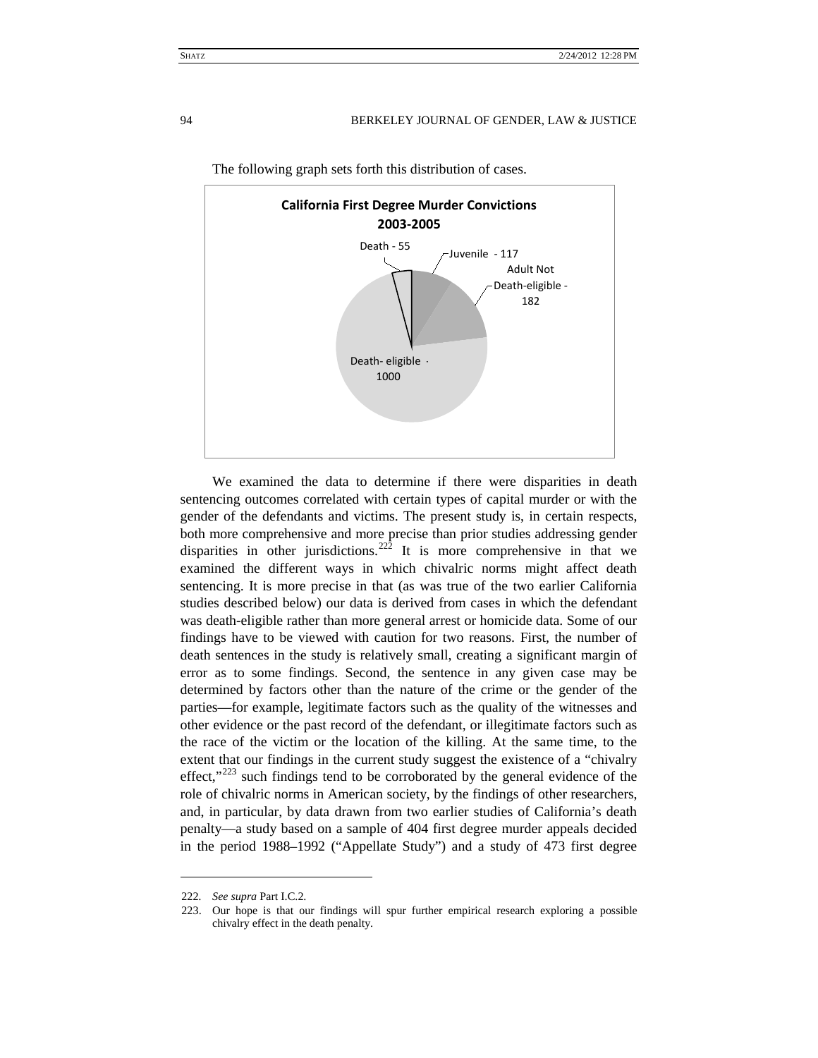

The following graph sets forth this distribution of cases.

We examined the data to determine if there were disparities in death sentencing outcomes correlated with certain types of capital murder or with the gender of the defendants and victims. The present study is, in certain respects, both more comprehensive and more precise than prior studies addressing gender disparities in other jurisdictions.<sup>[222](#page-30-0)</sup> It is more comprehensive in that we examined the different ways in which chivalric norms might affect death sentencing. It is more precise in that (as was true of the two earlier California studies described below) our data is derived from cases in which the defendant was death-eligible rather than more general arrest or homicide data. Some of our findings have to be viewed with caution for two reasons. First, the number of death sentences in the study is relatively small, creating a significant margin of error as to some findings. Second, the sentence in any given case may be determined by factors other than the nature of the crime or the gender of the parties—for example, legitimate factors such as the quality of the witnesses and other evidence or the past record of the defendant, or illegitimate factors such as the race of the victim or the location of the killing. At the same time, to the extent that our findings in the current study suggest the existence of a "chivalry effect," $223$  such findings tend to be corroborated by the general evidence of the role of chivalric norms in American society, by the findings of other researchers, and, in particular, by data drawn from two earlier studies of California's death penalty—a study based on a sample of 404 first degree murder appeals decided in the period 1988–1992 ("Appellate Study") and a study of 473 first degree

<span id="page-30-1"></span><span id="page-30-0"></span><sup>222</sup>*. See supra* Part I.C.2.

<sup>223.</sup> Our hope is that our findings will spur further empirical research exploring a possible chivalry effect in the death penalty.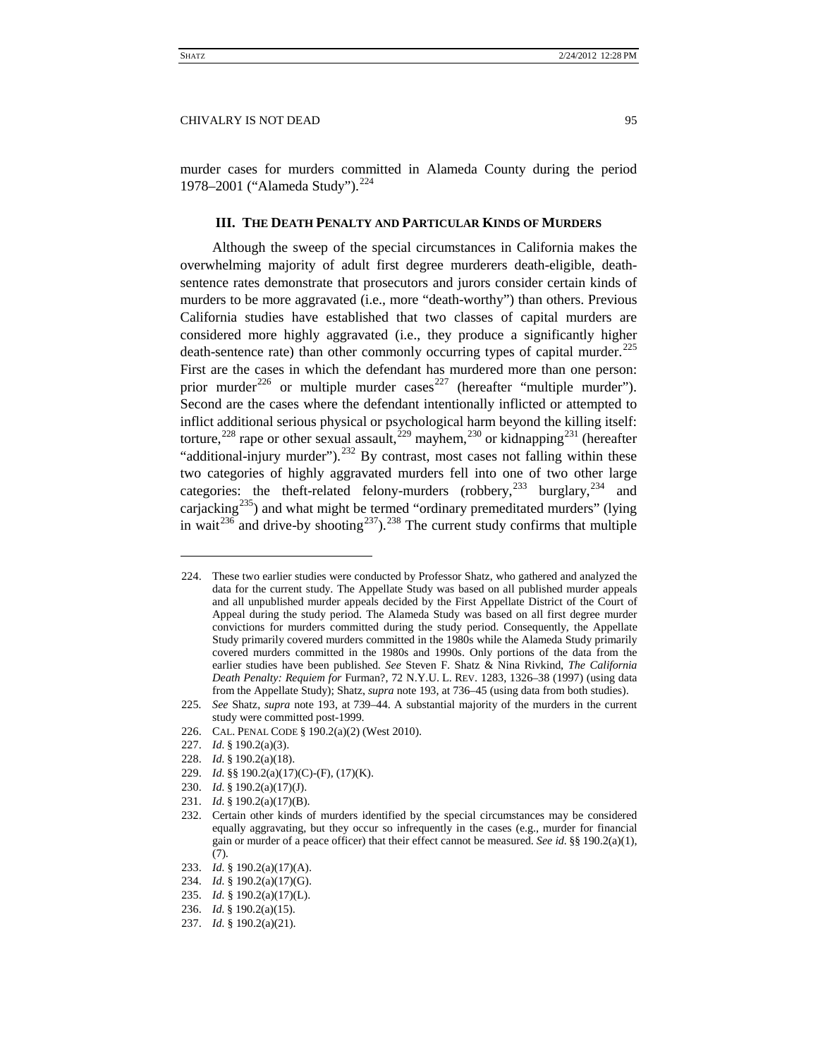<span id="page-31-0"></span>murder cases for murders committed in Alameda County during the period 1978–2001 ("Alameda Study").<sup>[224](#page-31-1)</sup>

# **III. THE DEATH PENALTY AND PARTICULAR KINDS OF MURDERS**

Although the sweep of the special circumstances in California makes the overwhelming majority of adult first degree murderers death-eligible, deathsentence rates demonstrate that prosecutors and jurors consider certain kinds of murders to be more aggravated (i.e., more "death-worthy") than others. Previous California studies have established that two classes of capital murders are considered more highly aggravated (i.e., they produce a significantly higher death-sentence rate) than other commonly occurring types of capital murder.<sup>[225](#page-31-2)</sup> First are the cases in which the defendant has murdered more than one person: prior murder<sup>[226](#page-31-3)</sup> or multiple murder cases<sup>[227](#page-31-4)</sup> (hereafter "multiple murder"). Second are the cases where the defendant intentionally inflicted or attempted to inflict additional serious physical or psychological harm beyond the killing itself: torture,<sup>[228](#page-31-5)</sup> rape or other sexual assault,<sup>[229](#page-31-6)</sup> mayhem,<sup>[230](#page-31-7)</sup> or kidnapping<sup>[231](#page-31-8)</sup> (hereafter "additional-injury murder").<sup>[232](#page-31-9)</sup> By contrast, most cases not falling within these two categories of highly aggravated murders fell into one of two other large categories: the theft-related felony-murders (robbery,  $^{233}$  $^{233}$  $^{233}$  burglary,  $^{234}$  $^{234}$  $^{234}$  and carjacking<sup>235</sup>) and what might be termed "ordinary premeditated murders" (lying in wait<sup>[236](#page-31-13)</sup> and drive-by shooting<sup>[237](#page-31-14)</sup>).<sup>[238](#page-31-15)</sup> The current study confirms that multiple

<span id="page-31-1"></span><sup>224.</sup> These two earlier studies were conducted by Professor Shatz, who gathered and analyzed the data for the current study. The Appellate Study was based on all published murder appeals and all unpublished murder appeals decided by the First Appellate District of the Court of Appeal during the study period. The Alameda Study was based on all first degree murder convictions for murders committed during the study period. Consequently, the Appellate Study primarily covered murders committed in the 1980s while the Alameda Study primarily covered murders committed in the 1980s and 1990s. Only portions of the data from the earlier studies have been published. *See* Steven F. Shatz & Nina Rivkind, *The California Death Penalty: Requiem for* Furman?, 72 N.Y.U. L. REV. 1283, 1326–38 (1997) (using data from the Appellate Study); Shatz, *supra* note [193,](#page-26-9) at 736–45 (using data from both studies).

<span id="page-31-2"></span><sup>225</sup>*. See* Shatz, *supra* note [193,](#page-26-9) at 739–44. A substantial majority of the murders in the current study were committed post-1999.

<span id="page-31-4"></span><span id="page-31-3"></span><sup>226.</sup> CAL. PENAL CODE § 190.2(a)(2) (West 2010).

<sup>227.</sup> *Id.* § 190.2(a)(3).

<sup>228.</sup> *Id.* § 190.2(a)(18).

<span id="page-31-6"></span><span id="page-31-5"></span><sup>229.</sup> *Id.* §§ 190.2(a)(17)(C)-(F), (17)(K).

<span id="page-31-7"></span><sup>230.</sup> *Id.* § 190.2(a)(17)(J).

<span id="page-31-8"></span><sup>231.</sup> *Id.* § 190.2(a)(17)(B).

<span id="page-31-9"></span><sup>232.</sup> Certain other kinds of murders identified by the special circumstances may be considered equally aggravating, but they occur so infrequently in the cases (e.g., murder for financial gain or murder of a peace officer) that their effect cannot be measured. *See id.* §§ 190.2(a)(1), (7).

<span id="page-31-15"></span><span id="page-31-10"></span><sup>233.</sup> *Id.* § 190.2(a)(17)(A).

<sup>234.</sup> *Id.* § 190.2(a)(17)(G).

<span id="page-31-13"></span><span id="page-31-12"></span><span id="page-31-11"></span><sup>235.</sup> *Id.* § 190.2(a)(17)(L).

<sup>236.</sup> *Id.* § 190.2(a)(15).

<span id="page-31-14"></span><sup>237.</sup> *Id.* § 190.2(a)(21).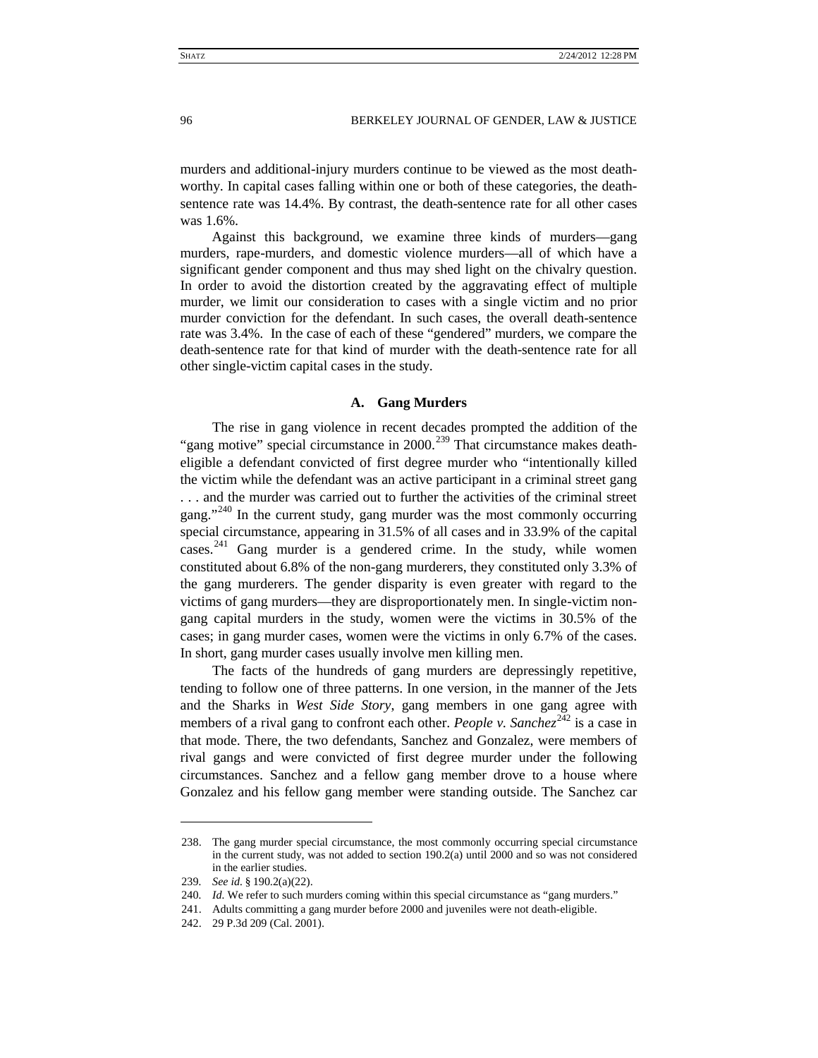murders and additional-injury murders continue to be viewed as the most deathworthy. In capital cases falling within one or both of these categories, the deathsentence rate was 14.4%. By contrast, the death-sentence rate for all other cases was 1.6%.

Against this background, we examine three kinds of murders—gang murders, rape-murders, and domestic violence murders—all of which have a significant gender component and thus may shed light on the chivalry question. In order to avoid the distortion created by the aggravating effect of multiple murder, we limit our consideration to cases with a single victim and no prior murder conviction for the defendant. In such cases, the overall death-sentence rate was 3.4%. In the case of each of these "gendered" murders, we compare the death-sentence rate for that kind of murder with the death-sentence rate for all other single-victim capital cases in the study.

# **A. Gang Murders**

<span id="page-32-0"></span>The rise in gang violence in recent decades prompted the addition of the "gang motive" special circumstance in 2000.<sup>[239](#page-32-1)</sup> That circumstance makes deatheligible a defendant convicted of first degree murder who "intentionally killed the victim while the defendant was an active participant in a criminal street gang . . . and the murder was carried out to further the activities of the criminal street gang."<sup>[240](#page-32-2)</sup> In the current study, gang murder was the most commonly occurring special circumstance, appearing in 31.5% of all cases and in 33.9% of the capital cases.<sup>[241](#page-32-3)</sup> Gang murder is a gendered crime. In the study, while women constituted about 6.8% of the non-gang murderers, they constituted only 3.3% of the gang murderers. The gender disparity is even greater with regard to the victims of gang murders—they are disproportionately men. In single-victim nongang capital murders in the study, women were the victims in 30.5% of the cases; in gang murder cases, women were the victims in only 6.7% of the cases. In short, gang murder cases usually involve men killing men.

The facts of the hundreds of gang murders are depressingly repetitive, tending to follow one of three patterns. In one version, in the manner of the Jets and the Sharks in *West Side Story*, gang members in one gang agree with members of a rival gang to confront each other. *People v. Sanchez*<sup>[242](#page-32-4)</sup> is a case in that mode. There, the two defendants, Sanchez and Gonzalez, were members of rival gangs and were convicted of first degree murder under the following circumstances. Sanchez and a fellow gang member drove to a house where Gonzalez and his fellow gang member were standing outside. The Sanchez car

<sup>238.</sup> The gang murder special circumstance, the most commonly occurring special circumstance in the current study, was not added to section 190.2(a) until 2000 and so was not considered in the earlier studies.

<span id="page-32-1"></span><sup>239</sup>*. See id.* § 190.2(a)(22).

<sup>240</sup>*. Id.* We refer to such murders coming within this special circumstance as "gang murders."

<span id="page-32-4"></span><span id="page-32-3"></span><span id="page-32-2"></span><sup>241.</sup> Adults committing a gang murder before 2000 and juveniles were not death-eligible.

<sup>242.</sup> 29 P.3d 209 (Cal. 2001).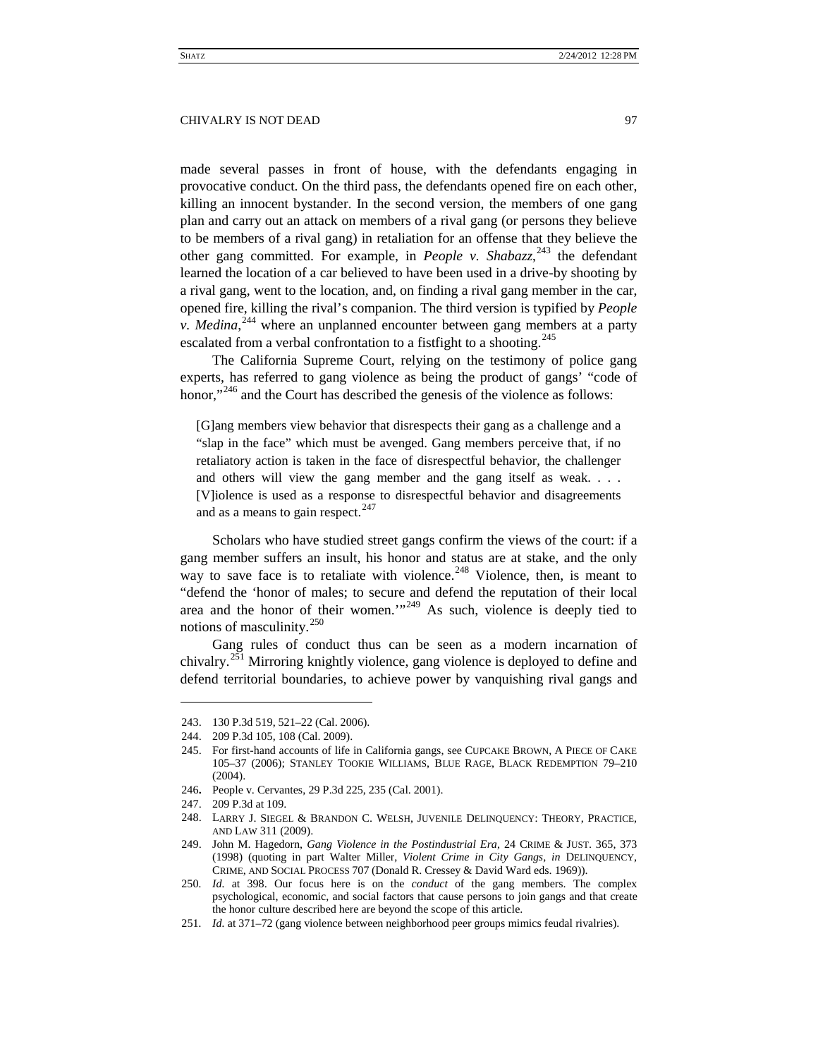made several passes in front of house, with the defendants engaging in provocative conduct. On the third pass, the defendants opened fire on each other, killing an innocent bystander. In the second version, the members of one gang plan and carry out an attack on members of a rival gang (or persons they believe to be members of a rival gang) in retaliation for an offense that they believe the other gang committed. For example, in *People v. Shabazz*,<sup>[243](#page-33-0)</sup> the defendant learned the location of a car believed to have been used in a drive-by shooting by a rival gang, went to the location, and, on finding a rival gang member in the car, opened fire, killing the rival's companion. The third version is typified by *People v. Medina*, [244](#page-33-1) where an unplanned encounter between gang members at a party escalated from a verbal confrontation to a fistfight to a shooting.<sup>[245](#page-33-2)</sup>

The California Supreme Court, relying on the testimony of police gang experts, has referred to gang violence as being the product of gangs' "code of honor,"<sup>[246](#page-33-3)</sup> and the Court has described the genesis of the violence as follows:

[G]ang members view behavior that disrespects their gang as a challenge and a "slap in the face" which must be avenged. Gang members perceive that, if no retaliatory action is taken in the face of disrespectful behavior, the challenger and others will view the gang member and the gang itself as weak. . . . [V]iolence is used as a response to disrespectful behavior and disagreements and as a means to gain respect.<sup>[247](#page-33-4)</sup>

Scholars who have studied street gangs confirm the views of the court: if a gang member suffers an insult, his honor and status are at stake, and the only way to save face is to retaliate with violence.<sup>[248](#page-33-5)</sup> Violence, then, is meant to "defend the 'honor of males; to secure and defend the reputation of their local area and the honor of their women." $^{1,249}$  $^{1,249}$  $^{1,249}$  As such, violence is deeply tied to notions of masculinity.[250](#page-33-7)

Gang rules of conduct thus can be seen as a modern incarnation of chivalry.<sup>[251](#page-33-8)</sup> Mirroring knightly violence, gang violence is deployed to define and defend territorial boundaries, to achieve power by vanquishing rival gangs and

<span id="page-33-0"></span><sup>243.</sup> 130 P.3d 519, 521–22 (Cal. 2006).

<sup>244.</sup> 209 P.3d 105, 108 (Cal. 2009).

<span id="page-33-2"></span><span id="page-33-1"></span><sup>245.</sup> For first-hand accounts of life in California gangs, see CUPCAKE BROWN, A PIECE OF CAKE 105–37 (2006); STANLEY TOOKIE WILLIAMS, BLUE RAGE, BLACK REDEMPTION 79–210 (2004).

<span id="page-33-4"></span><span id="page-33-3"></span><sup>246</sup>**.** People v. Cervantes, 29 P.3d 225, 235 (Cal. 2001).

<sup>247.</sup> 209 P.3d at 109.

<span id="page-33-5"></span><sup>248.</sup> LARRY J. SIEGEL & BRANDON C. WELSH, JUVENILE DELINQUENCY: THEORY, PRACTICE, AND LAW 311 (2009).

<span id="page-33-6"></span><sup>249.</sup> John M. Hagedorn, *Gang Violence in the Postindustrial Era*, 24 CRIME & JUST. 365, 373 (1998) (quoting in part Walter Miller, *Violent Crime in City Gangs, in* DELINQUENCY, CRIME, AND SOCIAL PROCESS 707 (Donald R. Cressey & David Ward eds. 1969)).

<span id="page-33-7"></span><sup>250</sup>*. Id.* at 398. Our focus here is on the *conduct* of the gang members. The complex psychological, economic, and social factors that cause persons to join gangs and that create the honor culture described here are beyond the scope of this article.

<span id="page-33-8"></span><sup>251</sup>*. Id.* at 371–72 (gang violence between neighborhood peer groups mimics feudal rivalries).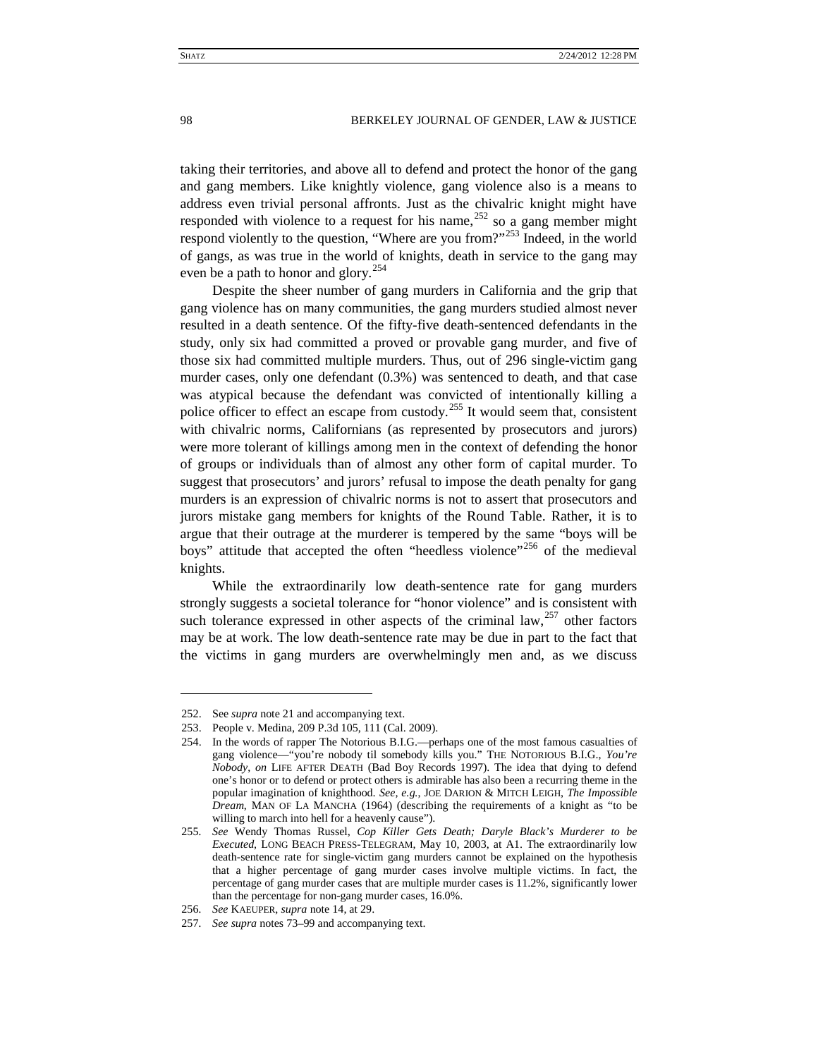taking their territories, and above all to defend and protect the honor of the gang and gang members. Like knightly violence, gang violence also is a means to address even trivial personal affronts. Just as the chivalric knight might have responded with violence to a request for his name,<sup>[252](#page-34-0)</sup> so a gang member might respond violently to the question, "Where are you from?"<sup>[253](#page-34-1)</sup> Indeed, in the world of gangs, as was true in the world of knights, death in service to the gang may even be a path to honor and glory.<sup>[254](#page-34-2)</sup>

Despite the sheer number of gang murders in California and the grip that gang violence has on many communities, the gang murders studied almost never resulted in a death sentence. Of the fifty-five death-sentenced defendants in the study, only six had committed a proved or provable gang murder, and five of those six had committed multiple murders. Thus, out of 296 single-victim gang murder cases, only one defendant (0.3%) was sentenced to death, and that case was atypical because the defendant was convicted of intentionally killing a police officer to effect an escape from custody.<sup>[255](#page-34-3)</sup> It would seem that, consistent with chivalric norms, Californians (as represented by prosecutors and jurors) were more tolerant of killings among men in the context of defending the honor of groups or individuals than of almost any other form of capital murder. To suggest that prosecutors' and jurors' refusal to impose the death penalty for gang murders is an expression of chivalric norms is not to assert that prosecutors and jurors mistake gang members for knights of the Round Table. Rather, it is to argue that their outrage at the murderer is tempered by the same "boys will be boys" attitude that accepted the often "heedless violence"<sup>[256](#page-34-4)</sup> of the medieval knights.

While the extraordinarily low death-sentence rate for gang murders strongly suggests a societal tolerance for "honor violence" and is consistent with such tolerance expressed in other aspects of the criminal law, $257$  other factors may be at work. The low death-sentence rate may be due in part to the fact that the victims in gang murders are overwhelmingly men and, as we discuss

<span id="page-34-0"></span><sup>252.</sup> See *supra* note [21](#page-4-11) and accompanying text.

<span id="page-34-1"></span><sup>253.</sup> People v. Medina, 209 P.3d 105, 111 (Cal. 2009).

<span id="page-34-2"></span><sup>254.</sup> In the words of rapper The Notorious B.I.G.—perhaps one of the most famous casualties of gang violence—"you're nobody til somebody kills you." THE NOTORIOUS B.I.G., *You're Nobody*, *on* LIFE AFTER DEATH (Bad Boy Records 1997). The idea that dying to defend one's honor or to defend or protect others is admirable has also been a recurring theme in the popular imagination of knighthood. *See, e.g.*, JOE DARION & MITCH LEIGH, *The Impossible Dream*, MAN OF LA MANCHA (1964) (describing the requirements of a knight as "to be willing to march into hell for a heavenly cause").

<span id="page-34-3"></span><sup>255</sup>*. See* Wendy Thomas Russel, *Cop Killer Gets Death; Daryle Black's Murderer to be Executed*, LONG BEACH PRESS-TELEGRAM, May 10, 2003, at A1. The extraordinarily low death-sentence rate for single-victim gang murders cannot be explained on the hypothesis that a higher percentage of gang murder cases involve multiple victims. In fact, the percentage of gang murder cases that are multiple murder cases is 11.2%, significantly lower than the percentage for non-gang murder cases, 16.0%.

<sup>256</sup>*. See* KAEUPER, *supra* note [14,](#page-3-0) at 29.

<span id="page-34-5"></span><span id="page-34-4"></span><sup>257</sup>*. See supra* note[s 73](#page-10-7)[–99](#page-14-15) and accompanying text.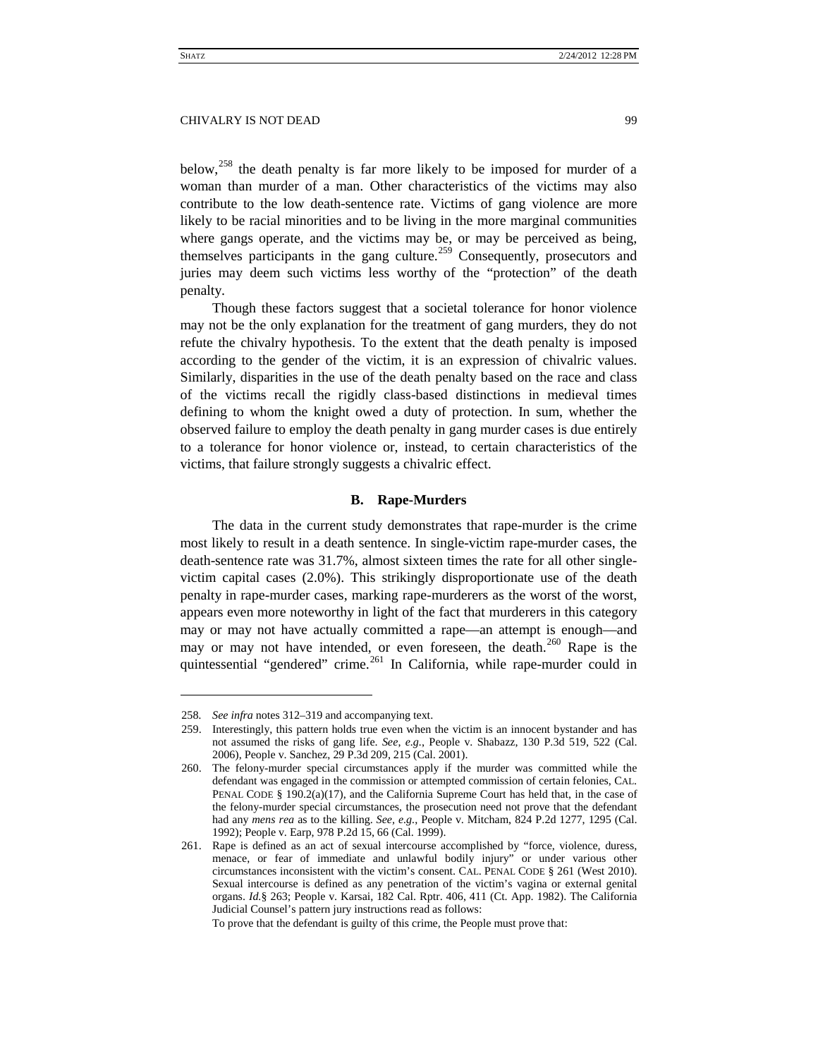below,[258](#page-35-1) the death penalty is far more likely to be imposed for murder of a woman than murder of a man. Other characteristics of the victims may also contribute to the low death-sentence rate. Victims of gang violence are more likely to be racial minorities and to be living in the more marginal communities where gangs operate, and the victims may be, or may be perceived as being, themselves participants in the gang culture.<sup>[259](#page-35-2)</sup> Consequently, prosecutors and juries may deem such victims less worthy of the "protection" of the death penalty.

Though these factors suggest that a societal tolerance for honor violence may not be the only explanation for the treatment of gang murders, they do not refute the chivalry hypothesis. To the extent that the death penalty is imposed according to the gender of the victim, it is an expression of chivalric values. Similarly, disparities in the use of the death penalty based on the race and class of the victims recall the rigidly class-based distinctions in medieval times defining to whom the knight owed a duty of protection. In sum, whether the observed failure to employ the death penalty in gang murder cases is due entirely to a tolerance for honor violence or, instead, to certain characteristics of the victims, that failure strongly suggests a chivalric effect.

# **B. Rape-Murders**

<span id="page-35-0"></span>The data in the current study demonstrates that rape-murder is the crime most likely to result in a death sentence. In single-victim rape-murder cases, the death-sentence rate was 31.7%, almost sixteen times the rate for all other singlevictim capital cases (2.0%). This strikingly disproportionate use of the death penalty in rape-murder cases, marking rape-murderers as the worst of the worst, appears even more noteworthy in light of the fact that murderers in this category may or may not have actually committed a rape—an attempt is enough—and may or may not have intended, or even foreseen, the death.<sup>[260](#page-35-3)</sup> Rape is the quintessential "gendered" crime.<sup>[261](#page-35-4)</sup> In California, while rape-murder could in

<span id="page-35-1"></span><sup>258</sup>*. See infra* notes [312](#page-43-1)[–319](#page-45-0) and accompanying text.

<span id="page-35-2"></span><sup>259.</sup> Interestingly, this pattern holds true even when the victim is an innocent bystander and has not assumed the risks of gang life. *See*, *e.g.*, People v. Shabazz, 130 P.3d 519, 522 (Cal. 2006), People v. Sanchez, 29 P.3d 209, 215 (Cal. 2001).

<span id="page-35-3"></span><sup>260.</sup> The felony-murder special circumstances apply if the murder was committed while the defendant was engaged in the commission or attempted commission of certain felonies, CAL. PENAL CODE § 190.2(a)(17), and the California Supreme Court has held that, in the case of the felony-murder special circumstances, the prosecution need not prove that the defendant had any *mens rea* as to the killing. *See, e.g.*, People v. Mitcham, 824 P.2d 1277, 1295 (Cal. 1992); People v. Earp, 978 P.2d 15, 66 (Cal. 1999).

<span id="page-35-4"></span><sup>261.</sup> Rape is defined as an act of sexual intercourse accomplished by "force, violence, duress, menace, or fear of immediate and unlawful bodily injury" or under various other circumstances inconsistent with the victim's consent. CAL. PENAL CODE § 261 (West 2010). Sexual intercourse is defined as any penetration of the victim's vagina or external genital organs. *Id.*§ 263; People v. Karsai, 182 Cal. Rptr. 406, 411 (Ct. App. 1982). The California Judicial Counsel's pattern jury instructions read as follows:

To prove that the defendant is guilty of this crime, the People must prove that: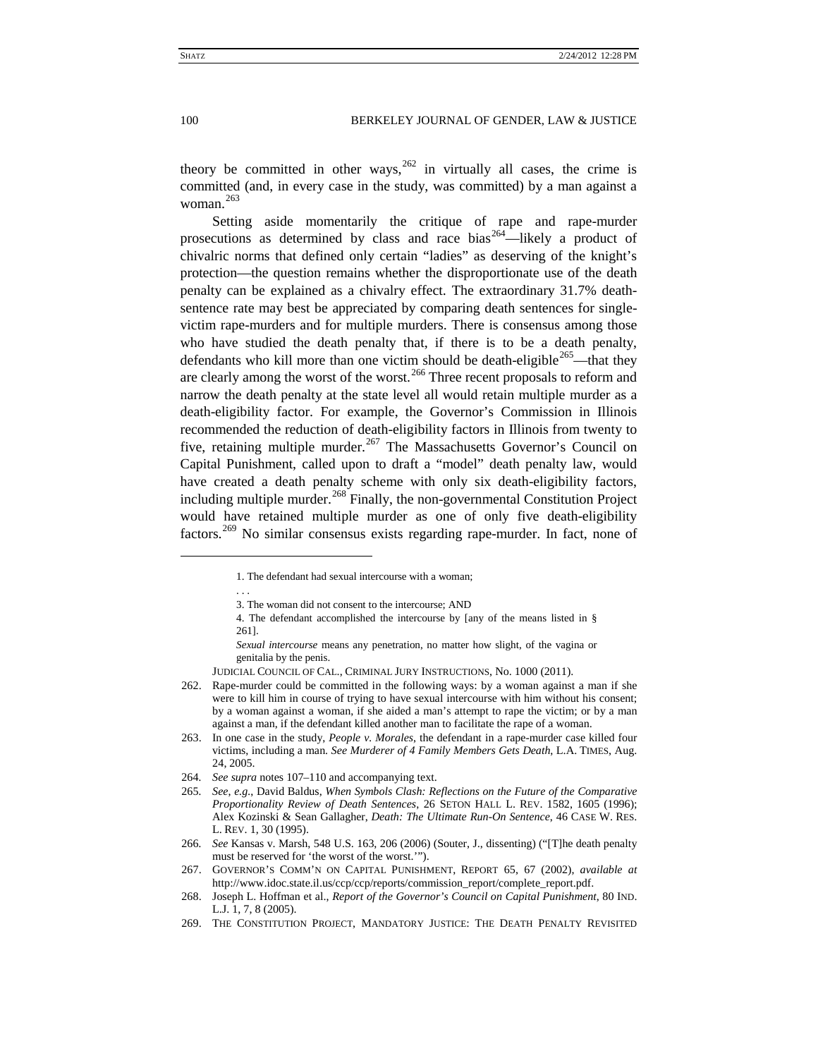theory be committed in other ways,  $262$  in virtually all cases, the crime is committed (and, in every case in the study, was committed) by a man against a woman. [263](#page-36-1)

Setting aside momentarily the critique of rape and rape-murder prosecutions as determined by class and race bias<sup>[264](#page-36-2)</sup>—likely a product of chivalric norms that defined only certain "ladies" as deserving of the knight's protection—the question remains whether the disproportionate use of the death penalty can be explained as a chivalry effect. The extraordinary 31.7% deathsentence rate may best be appreciated by comparing death sentences for singlevictim rape-murders and for multiple murders. There is consensus among those who have studied the death penalty that, if there is to be a death penalty, defendants who kill more than one victim should be death-eligible<sup>[265](#page-36-3)</sup>—that they are clearly among the worst of the worst.<sup>[266](#page-36-4)</sup> Three recent proposals to reform and narrow the death penalty at the state level all would retain multiple murder as a death-eligibility factor. For example, the Governor's Commission in Illinois recommended the reduction of death-eligibility factors in Illinois from twenty to five, retaining multiple murder. $267$  The Massachusetts Governor's Council on Capital Punishment, called upon to draft a "model" death penalty law, would have created a death penalty scheme with only six death-eligibility factors, including multiple murder.<sup>[268](#page-36-6)</sup> Finally, the non-governmental Constitution Project would have retained multiple murder as one of only five death-eligibility factors.<sup>[269](#page-36-7)</sup> No similar consensus exists regarding rape-murder. In fact, none of

 $\ddot{ }$ 

. . .

<sup>1.</sup> The defendant had sexual intercourse with a woman;

<sup>3.</sup> The woman did not consent to the intercourse; AND

<sup>4.</sup> The defendant accomplished the intercourse by [any of the means listed in § 261].

*Sexual intercourse* means any penetration, no matter how slight, of the vagina or genitalia by the penis.

JUDICIAL COUNCIL OF CAL., CRIMINAL JURY INSTRUCTIONS, No. 1000 (2011).

<span id="page-36-0"></span><sup>262.</sup> Rape-murder could be committed in the following ways: by a woman against a man if she were to kill him in course of trying to have sexual intercourse with him without his consent; by a woman against a woman, if she aided a man's attempt to rape the victim; or by a man against a man, if the defendant killed another man to facilitate the rape of a woman.

<span id="page-36-1"></span><sup>263.</sup> In one case in the study, *People v. Morales*, the defendant in a rape-murder case killed four victims, including a man. *See Murderer of 4 Family Members Gets Death*, L.A. TIMES, Aug. 24, 2005.

<sup>264</sup>*. See supra* note[s 107](#page-14-16)[–110](#page-14-13) and accompanying text.

<span id="page-36-3"></span><span id="page-36-2"></span><sup>265</sup>*. See*, *e.g.*, David Baldus, *When Symbols Clash: Reflections on the Future of the Comparative Proportionality Review of Death Sentences*, 26 SETON HALL L. REV. 1582, 1605 (1996); Alex Kozinski & Sean Gallagher, *Death: The Ultimate Run-On Sentence*, 46 CASE W. RES. L. REV. 1, 30 (1995).

<span id="page-36-4"></span><sup>266</sup>*. See* Kansas v. Marsh, 548 U.S. 163, 206 (2006) (Souter, J., dissenting) ("[T]he death penalty must be reserved for 'the worst of the worst.'").

<span id="page-36-5"></span><sup>267.</sup> GOVERNOR'S COMM'N ON CAPITAL PUNISHMENT, REPORT 65, 67 (2002), *available at* http://www.idoc.state.il.us/ccp/ccp/reports/commission\_report/complete\_report.pdf.

<span id="page-36-6"></span><sup>268.</sup> Joseph L. Hoffman et al., *Report of the Governor's Council on Capital Punishment*, 80 IND. L.J. 1, 7, 8 (2005).

<span id="page-36-7"></span><sup>269.</sup> THE CONSTITUTION PROJECT, MANDATORY JUSTICE: THE DEATH PENALTY REVISITED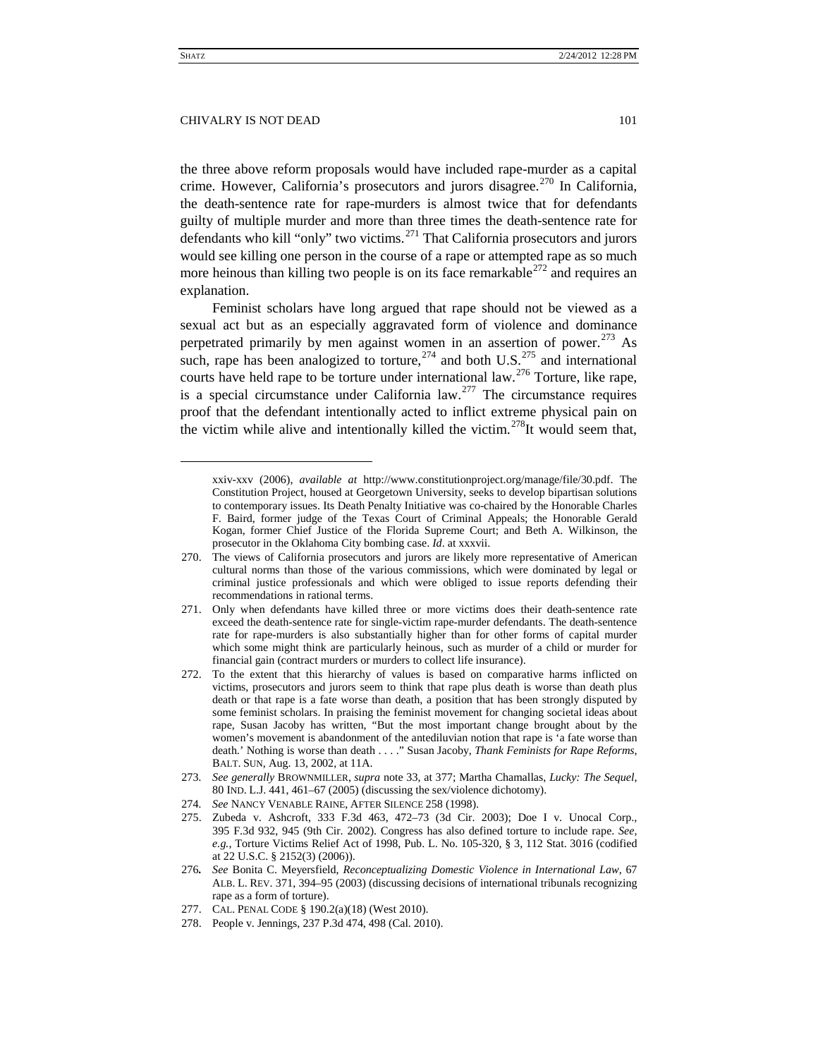the three above reform proposals would have included rape-murder as a capital crime. However, California's prosecutors and jurors disagree.<sup>[270](#page-37-0)</sup> In California, the death-sentence rate for rape-murders is almost twice that for defendants guilty of multiple murder and more than three times the death-sentence rate for defendants who kill "only" two victims.<sup>[271](#page-37-1)</sup> That California prosecutors and jurors would see killing one person in the course of a rape or attempted rape as so much more heinous than killing two people is on its face remarkable<sup>[272](#page-37-2)</sup> and requires an explanation.

Feminist scholars have long argued that rape should not be viewed as a sexual act but as an especially aggravated form of violence and dominance perpetrated primarily by men against women in an assertion of power.<sup>[273](#page-37-3)</sup> As such, rape has been analogized to torture,  $274$  and both U.S.  $275$  and international courts have held rape to be torture under international law.<sup>[276](#page-37-6)</sup> Torture, like rape. is a special circumstance under California  $law$ <sup>[277](#page-37-7)</sup>. The circumstance requires proof that the defendant intentionally acted to inflict extreme physical pain on the victim while alive and intentionally killed the victim.<sup>[278](#page-37-8)</sup>It would seem that,

xxiv-xxv (2006), *available at* http://www.constitutionproject.org/manage/file/30.pdf. The Constitution Project, housed at Georgetown University, seeks to develop bipartisan solutions to contemporary issues. Its Death Penalty Initiative was co-chaired by the Honorable Charles F. Baird, former judge of the Texas Court of Criminal Appeals; the Honorable Gerald Kogan, former Chief Justice of the Florida Supreme Court; and Beth A. Wilkinson, the prosecutor in the Oklahoma City bombing case. *Id*. at xxxvii.

<span id="page-37-0"></span><sup>270.</sup> The views of California prosecutors and jurors are likely more representative of American cultural norms than those of the various commissions, which were dominated by legal or criminal justice professionals and which were obliged to issue reports defending their recommendations in rational terms.

<span id="page-37-1"></span><sup>271.</sup> Only when defendants have killed three or more victims does their death-sentence rate exceed the death-sentence rate for single-victim rape-murder defendants. The death-sentence rate for rape-murders is also substantially higher than for other forms of capital murder which some might think are particularly heinous, such as murder of a child or murder for financial gain (contract murders or murders to collect life insurance).

<span id="page-37-2"></span><sup>272.</sup> To the extent that this hierarchy of values is based on comparative harms inflicted on victims, prosecutors and jurors seem to think that rape plus death is worse than death plus death or that rape is a fate worse than death, a position that has been strongly disputed by some feminist scholars. In praising the feminist movement for changing societal ideas about rape, Susan Jacoby has written, "But the most important change brought about by the women's movement is abandonment of the antediluvian notion that rape is 'a fate worse than death.' Nothing is worse than death . . . ." Susan Jacoby, *Thank Feminists for Rape Reforms*, BALT. SUN, Aug. 13, 2002, at 11A.

<span id="page-37-3"></span><sup>273</sup>*. See generally* BROWNMILLER, *supra* note [33,](#page-5-4) at 377; Martha Chamallas, *Lucky: The Sequel*, 80 IND. L.J. 441, 461–67 (2005) (discussing the sex/violence dichotomy).

<span id="page-37-4"></span><sup>274</sup>*. See* NANCY VENABLE RAINE, AFTER SILENCE 258 (1998).

<span id="page-37-5"></span><sup>275.</sup> Zubeda v. Ashcroft, 333 F.3d 463, 472–73 (3d Cir. 2003); Doe I v. Unocal Corp., 395 F.3d 932, 945 (9th Cir. 2002). Congress has also defined torture to include rape. *See, e.g.*, Torture Victims Relief Act of 1998, Pub. L. No. 105-320, § 3, 112 Stat. 3016 (codified at 22 U.S.C. § 2152(3) (2006)).

<span id="page-37-6"></span><sup>276</sup>*. See* Bonita C. Meyersfield, *Reconceptualizing Domestic Violence in International Law*, 67 ALB. L. REV. 371, 394–95 (2003) (discussing decisions of international tribunals recognizing rape as a form of torture).

<sup>277.</sup> CAL. PENAL CODE § 190.2(a)(18) (West 2010).

<span id="page-37-8"></span><span id="page-37-7"></span><sup>278.</sup> People v. Jennings, 237 P.3d 474, 498 (Cal. 2010).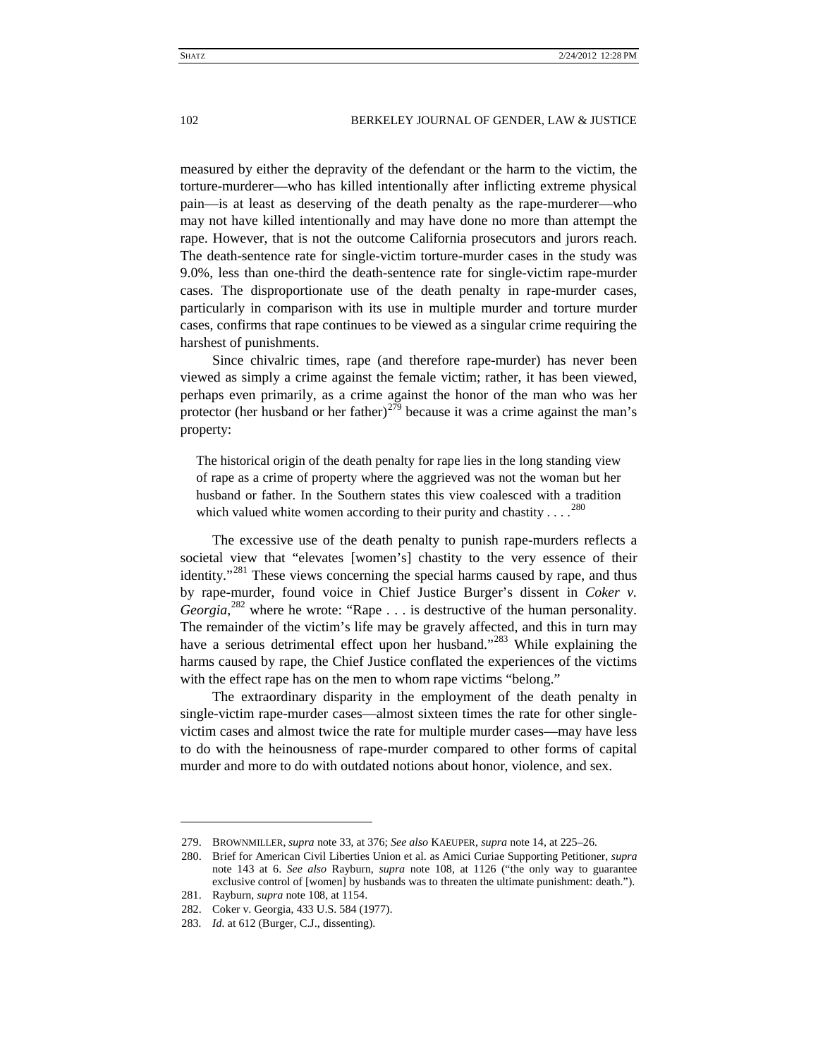measured by either the depravity of the defendant or the harm to the victim, the torture-murderer—who has killed intentionally after inflicting extreme physical pain—is at least as deserving of the death penalty as the rape-murderer—who may not have killed intentionally and may have done no more than attempt the rape. However, that is not the outcome California prosecutors and jurors reach. The death-sentence rate for single-victim torture-murder cases in the study was 9.0%, less than one-third the death-sentence rate for single-victim rape-murder cases. The disproportionate use of the death penalty in rape-murder cases, particularly in comparison with its use in multiple murder and torture murder cases, confirms that rape continues to be viewed as a singular crime requiring the harshest of punishments.

Since chivalric times, rape (and therefore rape-murder) has never been viewed as simply a crime against the female victim; rather, it has been viewed, perhaps even primarily, as a crime against the honor of the man who was her protector (her husband or her father)<sup>[279](#page-38-0)</sup> because it was a crime against the man's property:

The historical origin of the death penalty for rape lies in the long standing view of rape as a crime of property where the aggrieved was not the woman but her husband or father. In the Southern states this view coalesced with a tradition which valued white women according to their purity and chastity  $\dots^{280}$  $\dots^{280}$  $\dots^{280}$ 

The excessive use of the death penalty to punish rape-murders reflects a societal view that "elevates [women's] chastity to the very essence of their identity."<sup>[281](#page-38-2)</sup> These views concerning the special harms caused by rape, and thus by rape-murder, found voice in Chief Justice Burger's dissent in *Coker v. Georgia*,<sup>[282](#page-38-3)</sup> where he wrote: "Rape . . . is destructive of the human personality. The remainder of the victim's life may be gravely affected, and this in turn may have a serious detrimental effect upon her husband."<sup>[283](#page-38-4)</sup> While explaining the harms caused by rape, the Chief Justice conflated the experiences of the victims with the effect rape has on the men to whom rape victims "belong."

The extraordinary disparity in the employment of the death penalty in single-victim rape-murder cases—almost sixteen times the rate for other singlevictim cases and almost twice the rate for multiple murder cases—may have less to do with the heinousness of rape-murder compared to other forms of capital murder and more to do with outdated notions about honor, violence, and sex.

<span id="page-38-1"></span><span id="page-38-0"></span><sup>279.</sup> BROWNMILLER, *supra* not[e 33,](#page-5-4) at 376; *See also* KAEUPER, *supra* not[e 14,](#page-3-0) at 225–26.

<sup>280.</sup> Brief for American Civil Liberties Union et al. as Amici Curiae Supporting Petitioner, *supra* note [143](#page-19-9) at 6. *See also* Rayburn, *supra* note [108,](#page-14-14) at 1126 ("the only way to guarantee exclusive control of [women] by husbands was to threaten the ultimate punishment: death.").

<span id="page-38-2"></span><sup>281.</sup> Rayburn, *supra* note [108,](#page-14-14) at 1154.

<sup>282.</sup> Coker v. Georgia, 433 U.S. 584 (1977).

<span id="page-38-4"></span><span id="page-38-3"></span><sup>283</sup>*. Id.* at 612 (Burger, C.J., dissenting).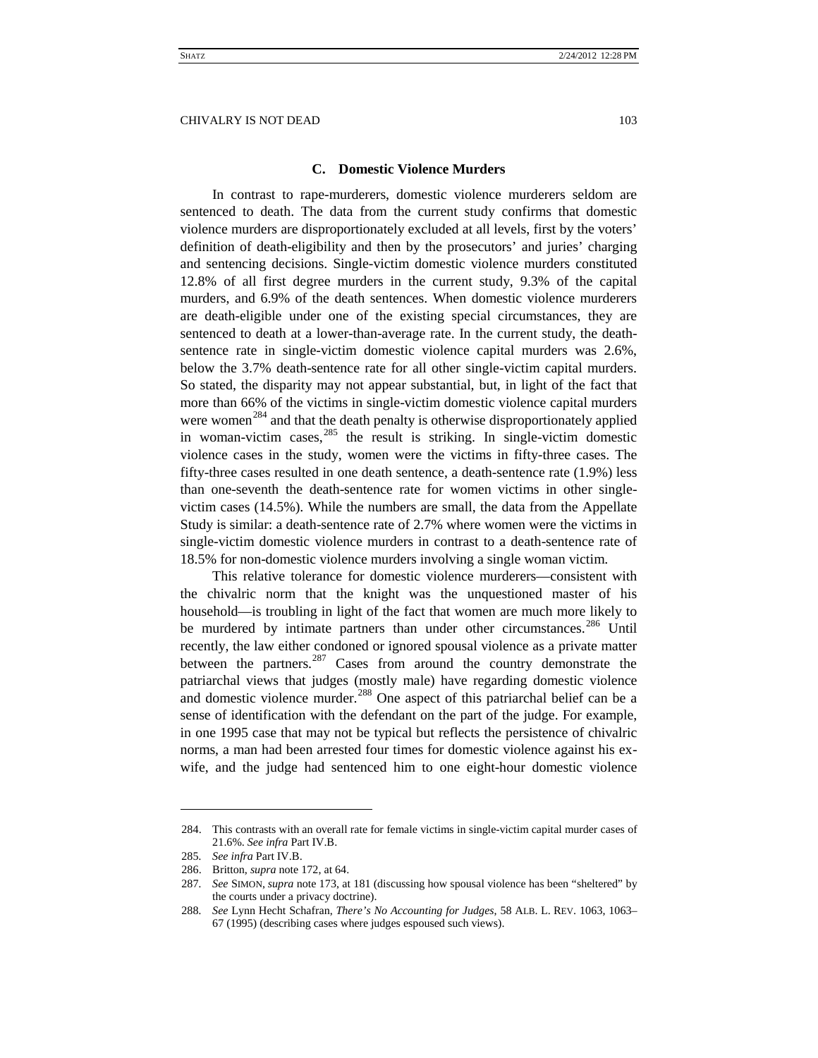# **C. Domestic Violence Murders**

<span id="page-39-0"></span>In contrast to rape-murderers, domestic violence murderers seldom are sentenced to death. The data from the current study confirms that domestic violence murders are disproportionately excluded at all levels, first by the voters' definition of death-eligibility and then by the prosecutors' and juries' charging and sentencing decisions. Single-victim domestic violence murders constituted 12.8% of all first degree murders in the current study, 9.3% of the capital murders, and 6.9% of the death sentences. When domestic violence murderers are death-eligible under one of the existing special circumstances, they are sentenced to death at a lower-than-average rate. In the current study, the deathsentence rate in single-victim domestic violence capital murders was 2.6%, below the 3.7% death-sentence rate for all other single-victim capital murders. So stated, the disparity may not appear substantial, but, in light of the fact that more than 66% of the victims in single-victim domestic violence capital murders were women<sup>[284](#page-39-1)</sup> and that the death penalty is otherwise disproportionately applied in woman-victim cases,  $285$  the result is striking. In single-victim domestic violence cases in the study, women were the victims in fifty-three cases. The fifty-three cases resulted in one death sentence, a death-sentence rate (1.9%) less than one-seventh the death-sentence rate for women victims in other singlevictim cases (14.5%). While the numbers are small, the data from the Appellate Study is similar: a death-sentence rate of 2.7% where women were the victims in single-victim domestic violence murders in contrast to a death-sentence rate of 18.5% for non-domestic violence murders involving a single woman victim.

<span id="page-39-6"></span>This relative tolerance for domestic violence murderers—consistent with the chivalric norm that the knight was the unquestioned master of his household—is troubling in light of the fact that women are much more likely to be murdered by intimate partners than under other circumstances.<sup>[286](#page-39-3)</sup> Until recently, the law either condoned or ignored spousal violence as a private matter between the partners.<sup>[287](#page-39-4)</sup> Cases from around the country demonstrate the patriarchal views that judges (mostly male) have regarding domestic violence and domestic violence murder.<sup>[288](#page-39-5)</sup> One aspect of this patriarchal belief can be a sense of identification with the defendant on the part of the judge. For example , in one 1995 case that may not be typical but reflects the persistence of chivalric norms, a man had been arrested four times for domestic violence against his exwife, and the judge had sentenced him to one eight-hour domestic violence

<span id="page-39-1"></span><sup>284.</sup> This contrasts with an overall rate for female victims in single-victim capital murder cases of 21.6%. *See infra* Part IV.B.

<span id="page-39-2"></span><sup>285</sup>*. See infra* Part IV.B.

<span id="page-39-3"></span><sup>286.</sup> Britton, *supra* not[e 172,](#page-23-7) at 64.

<span id="page-39-4"></span><sup>287</sup>*. See* SIMON, *supra* note [173,](#page-23-8) at 181 (discussing how spousal violence has been "sheltered" by the courts under a privacy doctrine).

<span id="page-39-5"></span><sup>288</sup>*. See* Lynn Hecht Schafran, *There's No Accounting for Judges*, 58 ALB. L. REV. 1063, 1063– 67 (1995) (describing cases where judges espoused such views).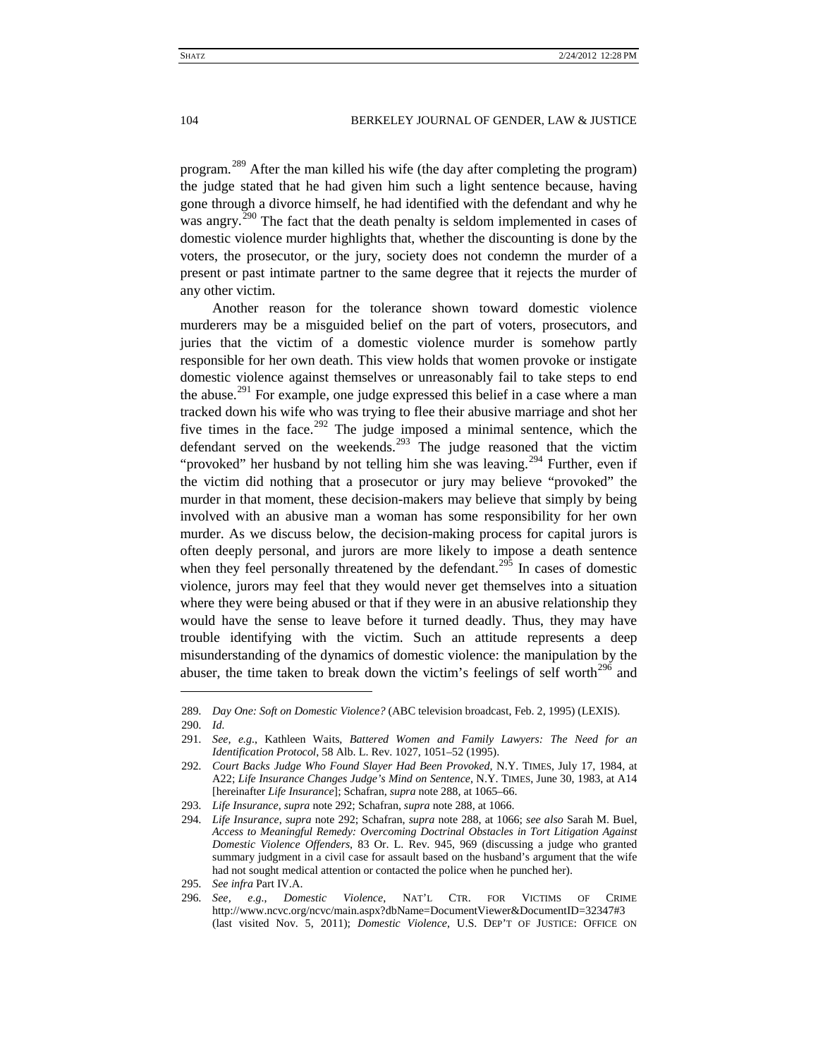program.<sup>[289](#page-40-1)</sup> After the man killed his wife (the day after completing the program) the judge stated that he had given him such a light sentence because, having gone through a divorce himself, he had identified with the defendant and why he was angry.<sup>[290](#page-40-2)</sup> The fact that the death penalty is seldom implemented in cases of domestic violence murder highlights that, whether the discounting is done by the voters, the prosecutor, or the jury, society does not condemn the murder of a present or past intimate partner to the same degree that it rejects the murder of any other victim.

<span id="page-40-0"></span>Another reason for the tolerance shown toward domestic violence murderers may be a misguided belief on the part of voters, prosecutors, and juries that the victim of a domestic violence murder is somehow partly responsible for her own death. This view holds that women provoke or instigate domestic violence against themselves or unreasonably fail to take steps to end the abuse.<sup>[291](#page-40-3)</sup> For example, one judge expressed this belief in a case where a man tracked down his wife who was trying to flee their abusive marriage and shot her five times in the face.<sup>[292](#page-40-4)</sup> The judge imposed a minimal sentence, which the defendant served on the weekends.<sup>[293](#page-40-5)</sup> The judge reasoned that the victim "provoked" her husband by not telling him she was leaving.<sup>[294](#page-40-6)</sup> Further, even if the victim did nothing that a prosecutor or jury may believe "provoked" the murder in that moment, these decision-makers may believe that simply by being involved with an abusive man a woman has some responsibility for her own murder. As we discuss below, the decision-making process for capital jurors is often deeply personal, and jurors are more likely to impose a death sentence when they feel personally threatened by the defendant.<sup>[295](#page-40-7)</sup> In cases of domestic violence, jurors may feel that they would never get themselves into a situation where they were being abused or that if they were in an abusive relationship they would have the sense to leave before it turned deadly. Thus, they may have trouble identifying with the victim. Such an attitude represents a deep misunderstanding of the dynamics of domestic violence: the manipulation by the abuser, the time taken to break down the victim's feelings of self worth $^{296}$  $^{296}$  $^{296}$  and

<span id="page-40-1"></span><sup>289</sup>*. Day One: Soft on Domestic Violence?* (ABC television broadcast, Feb. 2, 1995) (LEXIS).

<span id="page-40-2"></span><sup>290</sup>*. Id.*

<span id="page-40-3"></span><sup>291</sup>*. See, e.g.*, Kathleen Waits, *Battered Women and Family Lawyers: The Need for an Identification Protocol*, 58 Alb. L. Rev. 1027, 1051–52 (1995).

<span id="page-40-4"></span><sup>292</sup>*. Court Backs Judge Who Found Slayer Had Been Provoked,* N.Y. TIMES, July 17, 1984, at A22; *Life Insurance Changes Judge's Mind on Sentence*, N.Y. TIMES, June 30, 1983, at A14 [hereinafter *Life Insurance*]; Schafran, *supra* not[e 288,](#page-39-6) at 1065–66.

<sup>293</sup>*. Life Insurance*, *supra* note [292;](#page-40-0) Schafran, *supra* note [288,](#page-39-6) at 1066.

<span id="page-40-6"></span><span id="page-40-5"></span><sup>294</sup>*. Life Insurance*, *supra* note [292;](#page-40-0) Schafran, *supra* note [288,](#page-39-6) at 1066; *see also* Sarah M. Buel, *Access to Meaningful Remedy: Overcoming Doctrinal Obstacles in Tort Litigation Against Domestic Violence Offenders*, 83 Or. L. Rev. 945, 969 (discussing a judge who granted summary judgment in a civil case for assault based on the husband's argument that the wife had not sought medical attention or contacted the police when he punched her).

<sup>295</sup>*. See infra* Part IV.A.

<span id="page-40-8"></span><span id="page-40-7"></span><sup>296</sup>*. See, e.g.*, *Domestic Violence*, NAT'L CTR. FOR VICTIMS OF CRIME http://www.ncvc.org/ncvc/main.aspx?dbName=DocumentViewer&DocumentID=32347#3 (last visited Nov. 5, 2011); *Domestic Violence*, U.S. DEP'T OF JUSTICE: OFFICE ON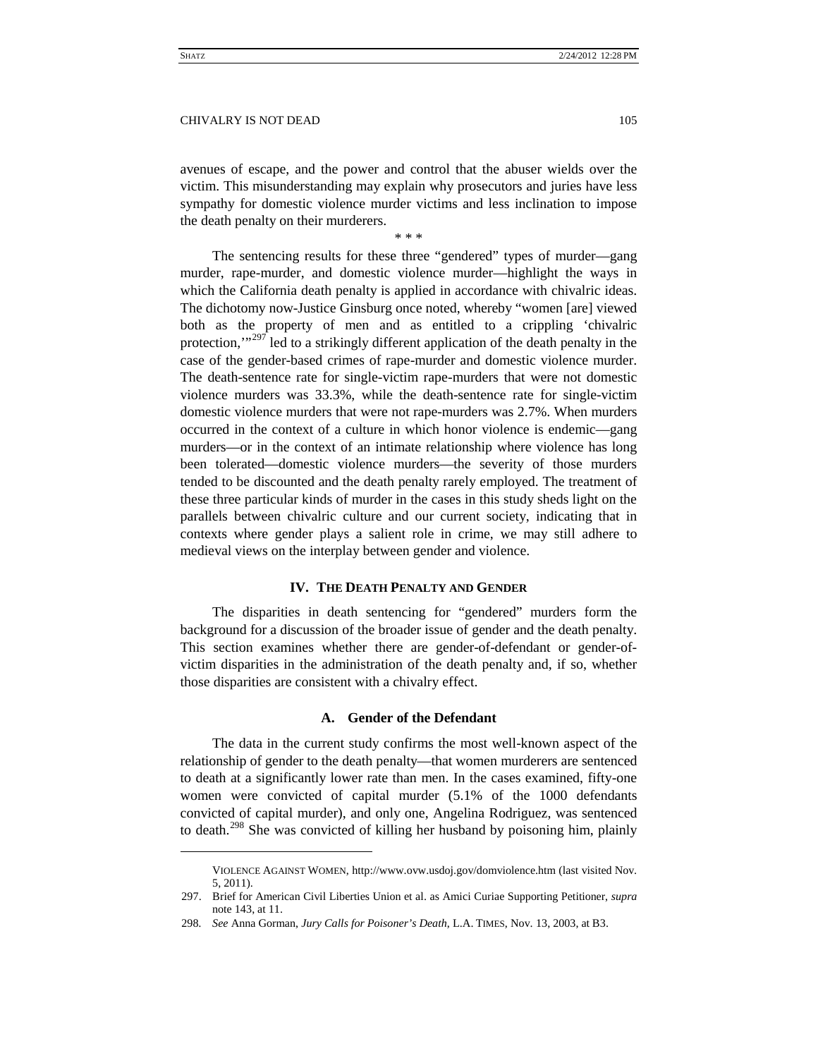avenues of escape, and the power and control that the abuser wields over the victim. This misunderstanding may explain why prosecutors and juries have less sympathy for domestic violence murder victims and less inclination to impose the death penalty on their murderers.

\* \* \*

The sentencing results for these three "gendered" types of murder—gang murder, rape-murder, and domestic violence murder—highlight the ways in which the California death penalty is applied in accordance with chivalric ideas. The dichotomy now-Justice Ginsburg once noted, whereby "women [are] viewed both as the property of men and as entitled to a crippling 'chivalric protection,"<sup>[297](#page-41-2)</sup> led to a strikingly different application of the death penalty in the case of the gender-based crimes of rape-murder and domestic violence murder. The death-sentence rate for single-victim rape-murders that were not domestic violence murders was 33.3%, while the death-sentence rate for single-victim domestic violence murders that were not rape-murders was 2.7%. When murders occurred in the context of a culture in which honor violence is endemic—gang murders—or in the context of an intimate relationship where violence has long been tolerated—domestic violence murders—the severity of those murders tended to be discounted and the death penalty rarely employed. The treatment of these three particular kinds of murder in the cases in this study sheds light on the parallels between chivalric culture and our current society, indicating that in contexts where gender plays a salient role in crime, we may still adhere to medieval views on the interplay between gender and violence.

# **IV. THE DEATH PENALTY AND GENDER**

<span id="page-41-0"></span>The disparities in death sentencing for "gendered" murders form the background for a discussion of the broader issue of gender and the death penalty. This section examines whether there are gender-of-defendant or gender-ofvictim disparities in the administration of the death penalty and, if so, whether those disparities are consistent with a chivalry effect.

# **A. Gender of the Defendant**

<span id="page-41-1"></span>The data in the current study confirms the most well-known aspect of the relationship of gender to the death penalty—that women murderers are sentenced to death at a significantly lower rate than men. In the cases examined, fifty-one women were convicted of capital murder (5.1% of the 1000 defendants convicted of capital murder), and only one, Angelina Rodriguez, was sentenced to death.<sup>[298](#page-41-3)</sup> She was convicted of killing her husband by poisoning him, plainly

VIOLENCE AGAINST WOMEN, http://www.ovw.usdoj.gov/domviolence.htm (last visited Nov. 5, 2011).

<span id="page-41-2"></span><sup>297.</sup> Brief for American Civil Liberties Union et al. as Amici Curiae Supporting Petitioner, *supra* note [143,](#page-19-9) at 11.

<span id="page-41-3"></span><sup>298</sup>*. See* Anna Gorman, *Jury Calls for Poisoner's Death*, L.A. TIMES, Nov. 13, 2003, at B3.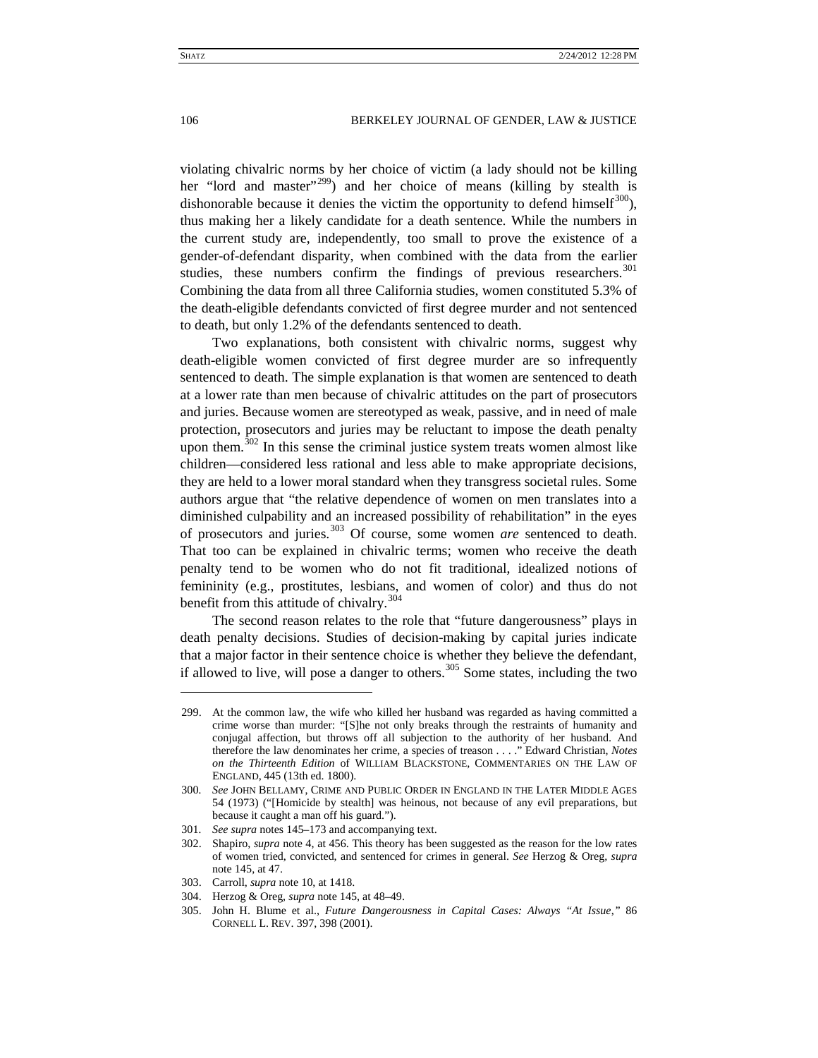violating chivalric norms by her choice of victim (a lady should not be killing her "lord and master"<sup>[299](#page-42-0)</sup>) and her choice of means (killing by stealth is dishonorable because it denies the victim the opportunity to defend himself<sup>300</sup>), thus making her a likely candidate for a death sentence. While the numbers in the current study are, independently, too small to prove the existence of a gender-of-defendant disparity, when combined with the data from the earlier studies, these numbers confirm the findings of previous researchers.<sup>[301](#page-42-2)</sup> Combining the data from all three California studies, women constituted 5.3% of the death-eligible defendants convicted of first degree murder and not sentenced to death, but only 1.2% of the defendants sentenced to death.

Two explanations, both consistent with chivalric norms, suggest why death-eligible women convicted of first degree murder are so infrequently sentenced to death. The simple explanation is that women are sentenced to death at a lower rate than men because of chivalric attitudes on the part of prosecutors and juries. Because women are stereotyped as weak, passive, and in need of male protection, prosecutors and juries may be reluctant to impose the death penalty upon them.<sup>[302](#page-42-3)</sup> In this sense the criminal justice system treats women almost like children—considered less rational and less able to make appropriate decisions, they are held to a lower moral standard when they transgress societal rules. Some authors argue that "the relative dependence of women on men translates into a diminished culpability and an increased possibility of rehabilitation" in the eyes of prosecutors and juries.[303](#page-42-4) Of course, some women *are* sentenced to death. That too can be explained in chivalric terms; women who receive the death penalty tend to be women who do not fit traditional, idealized notions of femininity (e.g., prostitutes, lesbians, and women of color) and thus do not benefit from this attitude of chivalry. $304$ 

The second reason relates to the role that "future dangerousness" plays in death penalty decisions. Studies of decision-making by capital juries indicate that a major factor in their sentence choice is whether they believe the defendant, if allowed to live, will pose a danger to others.<sup>[305](#page-42-6)</sup> Some states, including the two

<span id="page-42-7"></span><span id="page-42-0"></span><sup>299.</sup> At the common law, the wife who killed her husband was regarded as having committed a crime worse than murder: "[S]he not only breaks through the restraints of humanity and conjugal affection, but throws off all subjection to the authority of her husband. And therefore the law denominates her crime, a species of treason . . . ." Edward Christian, *Notes on the Thirteenth Edition* of WILLIAM BLACKSTONE, COMMENTARIES ON THE LAW OF ENGLAND, 445 (13th ed. 1800).

<span id="page-42-1"></span><sup>300</sup>*. See* JOHN BELLAMY, CRIME AND PUBLIC ORDER IN ENGLAND IN THE LATER MIDDLE AGES 54 (1973) ("[Homicide by stealth] was heinous, not because of any evil preparations, but because it caught a man off his guard.").

<sup>301</sup>*. See supra* note[s 145](#page-20-15)[–173](#page-23-8) and accompanying text.

<span id="page-42-3"></span><span id="page-42-2"></span><sup>302.</sup> Shapiro, *supra* note [4,](#page-2-0) at 456. This theory has been suggested as the reason for the low rates of women tried, convicted, and sentenced for crimes in general. *See* Herzog & Oreg, *supra* note [145,](#page-20-0) at 47.

<span id="page-42-5"></span><span id="page-42-4"></span><sup>303.</sup> Carroll, *supra* not[e 10,](#page-2-10) at 1418.

<sup>304.</sup> Herzog & Oreg, *supra* not[e 145,](#page-20-0) at 48–49.

<span id="page-42-6"></span><sup>305.</sup> John H. Blume et al., *Future Dangerousness in Capital Cases: Always "At Issue*,*"* 86 CORNELL L. REV. 397, 398 (2001).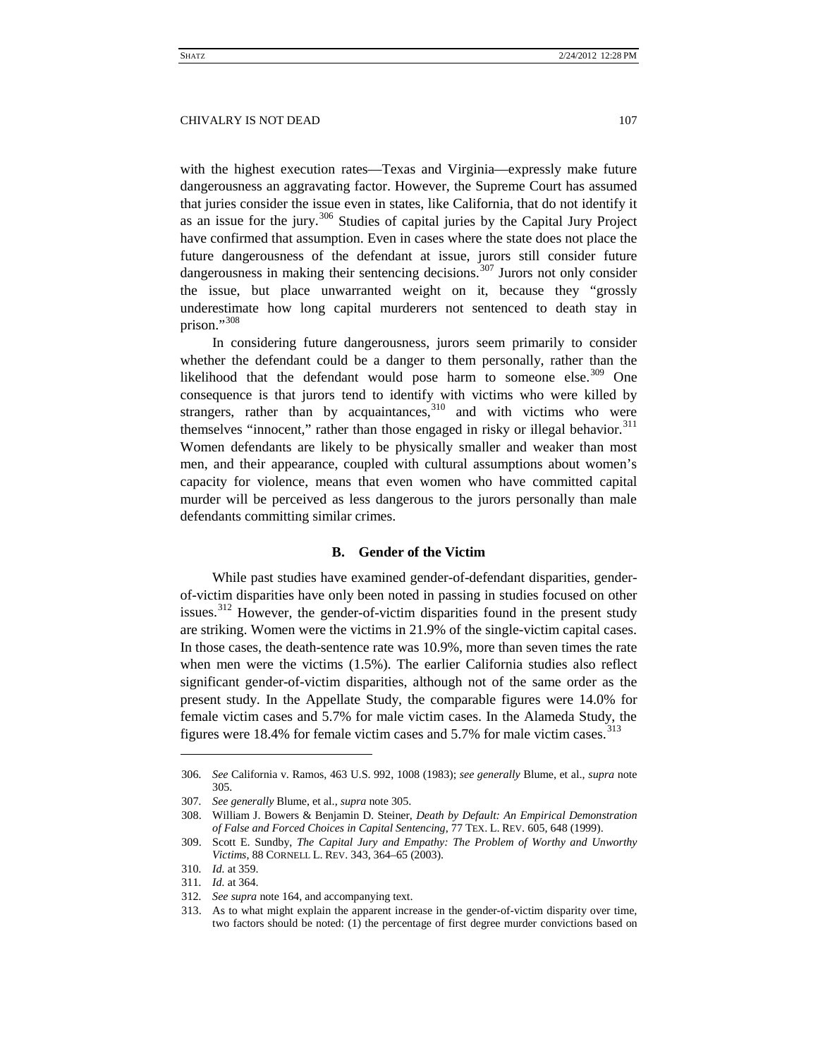with the highest execution rates—Texas and Virginia—expressly make future dangerousness an aggravating factor. However, the Supreme Court has assumed that juries consider the issue even in states, like California, that do not identify it as an issue for the jury. $306$  Studies of capital juries by the Capital Jury Project have confirmed that assumption. Even in cases where the state does not place the future dangerousness of the defendant at issue, jurors still consider future dangerousness in making their sentencing decisions.<sup>[307](#page-43-3)</sup> Jurors not only consider the issue, but place unwarranted weight on it, because they "grossly underestimate how long capital murderers not sentenced to death stay in prison."<sup>[308](#page-43-4)</sup>

In considering future dangerousness, jurors seem primarily to consider whether the defendant could be a danger to them personally, rather than the likelihood that the defendant would pose harm to someone else. $309$  One consequence is that jurors tend to identify with victims who were killed by strangers, rather than by acquaintances, $310$  and with victims who were themselves "innocent," rather than those engaged in risky or illegal behavior. $311$ Women defendants are likely to be physically smaller and weaker than most men, and their appearance, coupled with cultural assumptions about women's capacity for violence, means that even women who have committed capital murder will be perceived as less dangerous to the jurors personally than male defendants committing similar crimes.

# <span id="page-43-10"></span>**B. Gender of the Victim**

<span id="page-43-1"></span><span id="page-43-0"></span>While past studies have examined gender-of-defendant disparities, genderof-victim disparities have only been noted in passing in studies focused on other issues.<sup>[312](#page-43-8)</sup> However, the gender-of-victim disparities found in the present study are striking. Women were the victims in 21.9% of the single-victim capital cases. In those cases, the death-sentence rate was 10.9%, more than seven times the rate when men were the victims (1.5%). The earlier California studies also reflect significant gender-of-victim disparities, although not of the same order as the present study. In the Appellate Study, the comparable figures were 14.0% for female victim cases and 5.7% for male victim cases. In the Alameda Study, the figures were 18.4% for female victim cases and 5.7% for male victim cases.<sup>[313](#page-43-9)</sup>

<span id="page-43-2"></span><sup>306</sup>*. See* California v. Ramos, 463 U.S. 992, 1008 (1983); *see generally* Blume, et al., *supra* note [305.](#page-42-7)

<span id="page-43-3"></span><sup>307</sup>*. See generally* Blume, et al., *supra* note [305.](#page-42-7)

<span id="page-43-4"></span><sup>308.</sup> William J. Bowers & Benjamin D. Steiner, *Death by Default: An Empirical Demonstration of False and Forced Choices in Capital Sentencing*, 77 TEX. L. REV. 605, 648 (1999).

<span id="page-43-5"></span><sup>309.</sup> Scott E. Sundby, *The Capital Jury and Empathy: The Problem of Worthy and Unworthy Victims*, 88 CORNELL L. REV. 343, 364–65 (2003).

<span id="page-43-6"></span><sup>310</sup>*. Id.* at 359.

<sup>311</sup>*. Id.* at 364.

<span id="page-43-9"></span><span id="page-43-8"></span><span id="page-43-7"></span><sup>312</sup>*. See supra* not[e 164,](#page-22-7) and accompanying text.

<sup>313.</sup> As to what might explain the apparent increase in the gender-of-victim disparity over time, two factors should be noted: (1) the percentage of first degree murder convictions based on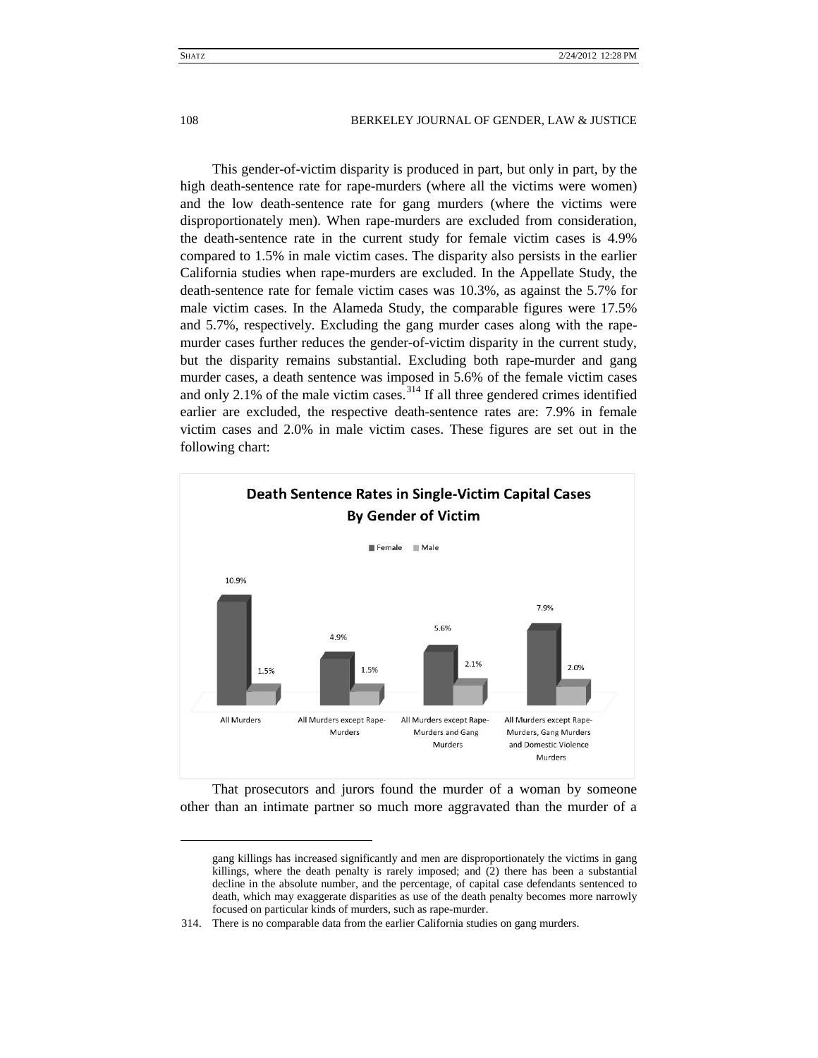This gender-of-victim disparity is produced in part, but only in part, by the high death-sentence rate for rape-murders (where all the victims were women) and the low death-sentence rate for gang murders (where the victims were disproportionately men). When rape-murders are excluded from consideration, the death-sentence rate in the current study for female victim cases is 4.9% compared to 1.5% in male victim cases. The disparity also persists in the earlier California studies when rape-murders are excluded. In the Appellate Study, the death-sentence rate for female victim cases was 10.3%, as against the 5.7% for male victim cases. In the Alameda Study, the comparable figures were 17.5% and 5.7%, respectively. Excluding the gang murder cases along with the rapemurder cases further reduces the gender-of-victim disparity in the current study, but the disparity remains substantial. Excluding both rape-murder and gang murder cases, a death sentence was imposed in 5.6% of the female victim cases and only 2.1% of the male victim cases.  $314$  If all three gendered crimes identified earlier are excluded, the respective death-sentence rates are: 7.9% in female victim cases and 2.0% in male victim cases. These figures are set out in the following chart:



That prosecutors and jurors found the murder of a woman by someone other than an intimate partner so much more aggravated than the murder of a

gang killings has increased significantly and men are disproportionately the victims in gang killings, where the death penalty is rarely imposed; and (2) there has been a substantial decline in the absolute number, and the percentage, of capital case defendants sentenced to death, which may exaggerate disparities as use of the death penalty becomes more narrowly focused on particular kinds of murders, such as rape-murder.

<span id="page-44-0"></span><sup>314.</sup> There is no comparable data from the earlier California studies on gang murders.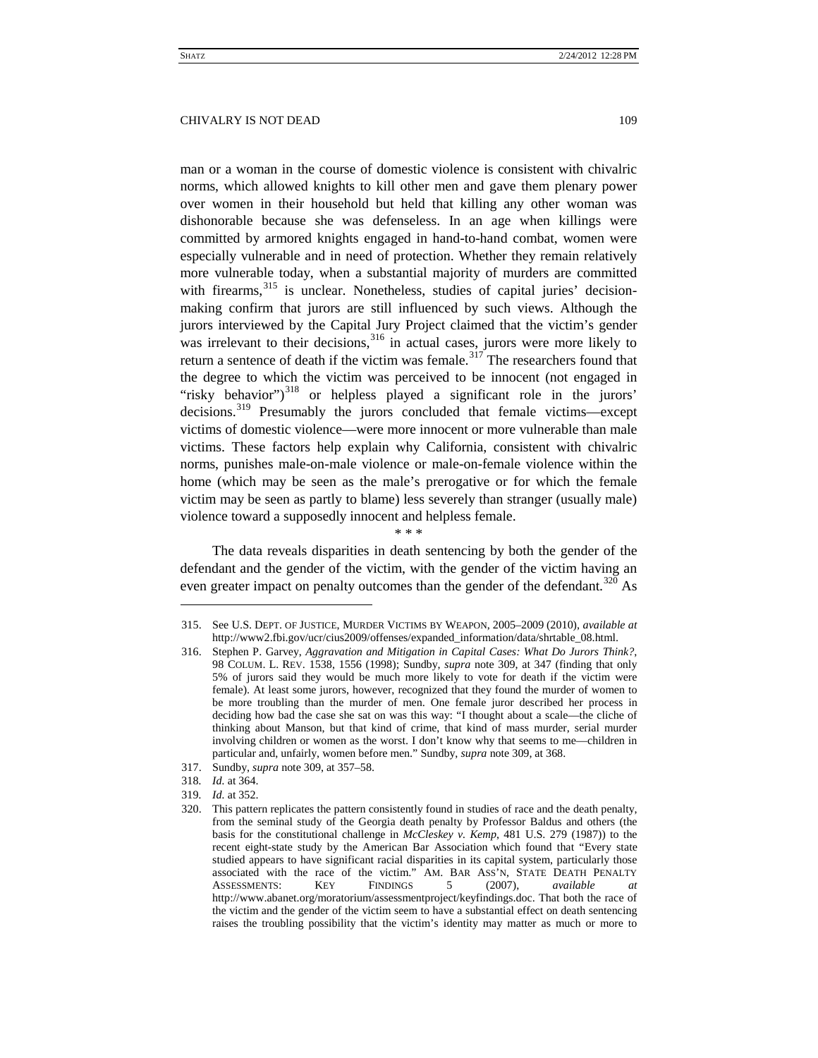man or a woman in the course of domestic violence is consistent with chivalric norms, which allowed knights to kill other men and gave them plenary power over women in their household but held that killing any other woman was dishonorable because she was defenseless. In an age when killings were committed by armored knights engaged in hand-to-hand combat, women were especially vulnerable and in need of protection. Whether they remain relatively more vulnerable today, when a substantial majority of murders are committed with firearms,<sup>[315](#page-45-1)</sup> is unclear. Nonetheless, studies of capital juries' decisionmaking confirm that jurors are still influenced by such views. Although the jurors interviewed by the Capital Jury Project claimed that the victim's gender was irrelevant to their decisions,  $316$  in actual cases, jurors were more likely to return a sentence of death if the victim was female.<sup>[317](#page-45-3)</sup> The researchers found that the degree to which the victim was perceived to be innocent (not engaged in "risky behavior") $318$  or helpless played a significant role in the jurors' decisions.<sup>[319](#page-45-5)</sup> Presumably the jurors concluded that female victims—except victims of domestic violence—were more innocent or more vulnerable than male victims. These factors help explain why California, consistent with chivalric norms, punishes male-on-male violence or male-on-female violence within the home (which may be seen as the male's prerogative or for which the female victim may be seen as partly to blame) less severely than stranger (usually male) violence toward a supposedly innocent and helpless female.

#### \* \* \*

<span id="page-45-0"></span>The data reveals disparities in death sentencing by both the gender of the defendant and the gender of the victim, with the gender of the victim having an even greater impact on penalty outcomes than the gender of the defendant.<sup>[320](#page-45-6)</sup> As

- 317. Sundby, *supra* not[e 309,](#page-43-10) at 357–58.
- <span id="page-45-4"></span><span id="page-45-3"></span>318*. Id.* at 364.

 $\overline{a}$ 

<span id="page-45-6"></span><span id="page-45-5"></span>319*. Id.* at 352.

<span id="page-45-1"></span><sup>315.</sup> See U.S. DEPT. OF JUSTICE, MURDER VICTIMS BY WEAPON, 2005–2009 (2010), *available at*  http://www2.fbi.gov/ucr/cius2009/offenses/expanded\_information/data/shrtable\_08.html.

<span id="page-45-2"></span><sup>316.</sup> Stephen P. Garvey, *Aggravation and Mitigation in Capital Cases: What Do Jurors Think?*, 98 COLUM. L. REV. 1538, 1556 (1998); Sundby, *supra* note [309,](#page-43-10) at 347 (finding that only 5% of jurors said they would be much more likely to vote for death if the victim were female). At least some jurors, however, recognized that they found the murder of women to be more troubling than the murder of men. One female juror described her process in deciding how bad the case she sat on was this way: "I thought about a scale—the cliche of thinking about Manson, but that kind of crime, that kind of mass murder, serial murder involving children or women as the worst. I don't know why that seems to me—children in particular and, unfairly, women before men." Sundby, *supra* not[e 309,](#page-43-10) at 368.

<sup>320.</sup> This pattern replicates the pattern consistently found in studies of race and the death penalty, from the seminal study of the Georgia death penalty by Professor Baldus and others (the basis for the constitutional challenge in *McCleskey v. Kemp*, 481 U.S. 279 (1987)) to the recent eight-state study by the American Bar Association which found that "Every state studied appears to have significant racial disparities in its capital system, particularly those associated with the race of the victim." AM. BAR ASS'N, STATE DEATH PENALTY<br>ASSESSMENTS: KEY FINDINGS 5 (2007), available at ASSESSMENTS: KEY FINDINGS 5 (2007), *available at*  http://www.abanet.org/moratorium/assessmentproject/keyfindings.doc. That both the race of the victim and the gender of the victim seem to have a substantial effect on death sentencing raises the troubling possibility that the victim's identity may matter as much or more to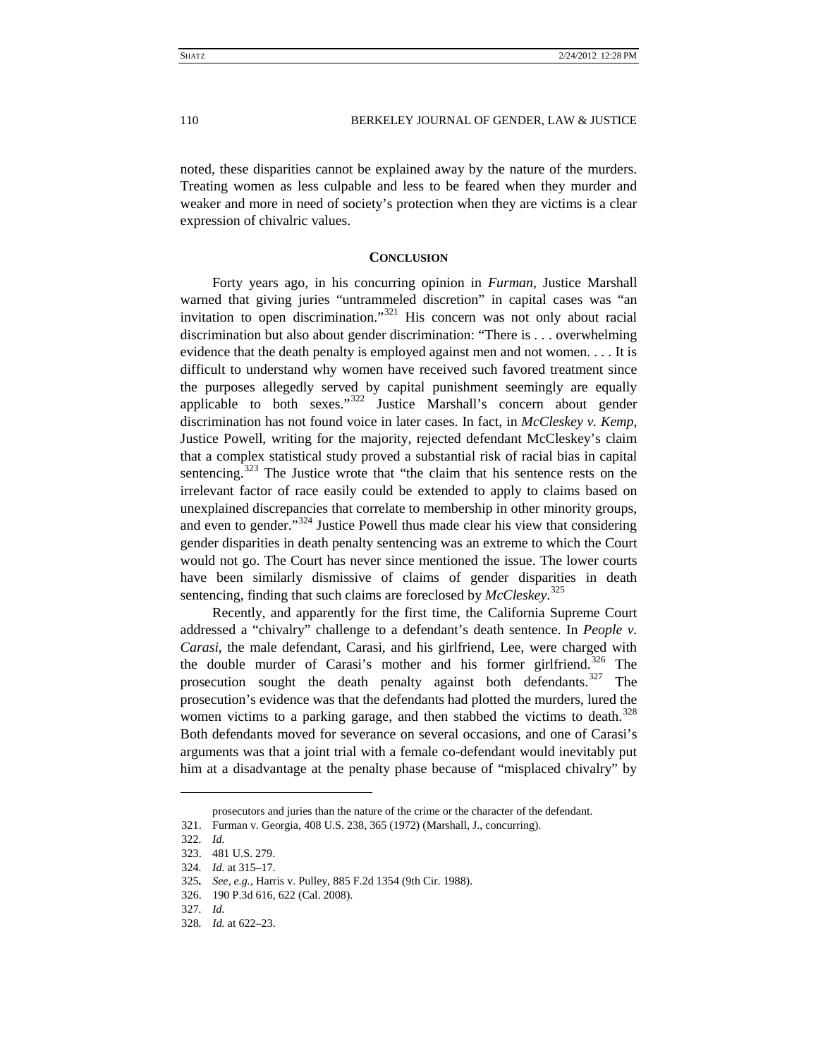noted, these disparities cannot be explained away by the nature of the murders. Treating women as less culpable and less to be feared when they murder and weaker and more in need of society's protection when they are victims is a clear expression of chivalric values.

# **CONCLUSION**

<span id="page-46-0"></span>Forty years ago, in his concurring opinion in *Furman*, Justice Marshall warned that giving juries "untrammeled discretion" in capital cases was "an invitation to open discrimination."<sup>[321](#page-46-1)</sup> His concern was not only about racial discrimination but also about gender discrimination: "There is . . . overwhelming evidence that the death penalty is employed against men and not women. . . . It is difficult to understand why women have received such favored treatment since the purposes allegedly served by capital punishment seemingly are equally applicable to both sexes." $322 \text{ Justice}}$  $322 \text{ Justice}}$  Marshall's concern about gender discrimination has not found voice in later cases. In fact, in *McCleskey v. Kemp*, Justice Powell, writing for the majority, rejected defendant McCleskey's claim that a complex statistical study proved a substantial risk of racial bias in capital sentencing.<sup>[323](#page-46-3)</sup> The Justice wrote that "the claim that his sentence rests on the irrelevant factor of race easily could be extended to apply to claims based on unexplained discrepancies that correlate to membership in other minority groups, and even to gender."<sup>[324](#page-46-4)</sup> Justice Powell thus made clear his view that considering gender disparities in death penalty sentencing was an extreme to which the Court would not go. The Court has never since mentioned the issue. The lower courts have been similarly dismissive of claims of gender disparities in death sentencing, finding that such claims are foreclosed by *McCleskey*. [325](#page-46-5)

Recently, and apparently for the first time, the California Supreme Court addressed a "chivalry" challenge to a defendant's death sentence. In *People v. Carasi*, the male defendant, Carasi, and his girlfriend, Lee, were charged with the double murder of Carasi's mother and his former girlfriend.<sup>[326](#page-46-6)</sup> The prosecution sought the death penalty against both defendants.<sup>[327](#page-46-7)</sup> The prosecution's evidence was that the defendants had plotted the murders, lured the women victims to a parking garage, and then stabbed the victims to death.<sup>[328](#page-46-8)</sup> Both defendants moved for severance on several occasions, and one of Carasi's arguments was that a joint trial with a female co-defendant would inevitably put him at a disadvantage at the penalty phase because of "misplaced chivalry" by

prosecutors and juries than the nature of the crime or the character of the defendant.

<span id="page-46-2"></span><span id="page-46-1"></span><sup>321.</sup> Furman v. Georgia, 408 U.S. 238, 365 (1972) (Marshall, J., concurring).

<sup>322</sup>*. Id.*

<span id="page-46-3"></span><sup>323.</sup> 481 U.S. 279.

<span id="page-46-4"></span><sup>324</sup>*. Id.* at 315–17.

<span id="page-46-5"></span><sup>325</sup>*. See, e.g.*, Harris v. Pulley, 885 F.2d 1354 (9th Cir. 1988).

<span id="page-46-6"></span><sup>326.</sup> 190 P.3d 616, 622 (Cal. 2008).

<span id="page-46-7"></span><sup>327</sup>*. Id.*

<span id="page-46-8"></span><sup>328</sup>*. Id.* at 622–23.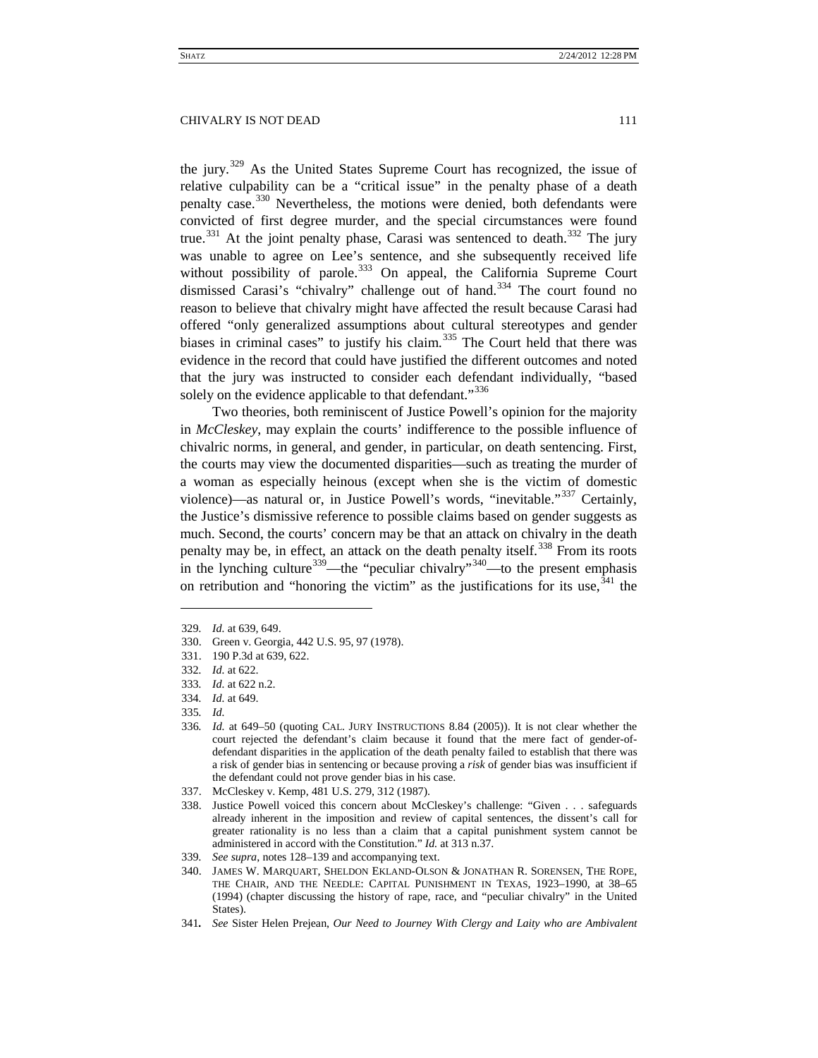the jury.<sup>[329](#page-47-0)</sup> As the United States Supreme Court has recognized, the issue of relative culpability can be a "critical issue" in the penalty phase of a death penalty case.[330](#page-47-1) Nevertheless, the motions were denied, both defendants were convicted of first degree murder, and the special circumstances were found true.<sup>[331](#page-47-2)</sup> At the joint penalty phase, Carasi was sentenced to death.<sup>[332](#page-47-3)</sup> The jury was unable to agree on Lee's sentence, and she subsequently received life without possibility of parole.<sup>[333](#page-47-4)</sup> On appeal, the California Supreme Court dismissed Carasi's "chivalry" challenge out of hand.<sup>[334](#page-47-5)</sup> The court found no reason to believe that chivalry might have affected the result because Carasi had offered "only generalized assumptions about cultural stereotypes and gender biases in criminal cases" to justify his claim.<sup>[335](#page-47-6)</sup> The Court held that there was evidence in the record that could have justified the different outcomes and noted that the jury was instructed to consider each defendant individually, "based solely on the evidence applicable to that defendant."<sup>[336](#page-47-7)</sup>

Two theories, both reminiscent of Justice Powell's opinion for the majority in *McCleskey*, may explain the courts' indifference to the possible influence of chivalric norms, in general, and gender, in particular, on death sentencing. First, the courts may view the documented disparities—such as treating the murder of a woman as especially heinous (except when she is the victim of domestic violence)—as natural or, in Justice Powell's words, "inevitable."[337](#page-47-8) Certainly, the Justice's dismissive reference to possible claims based on gender suggests as much. Second, the courts' concern may be that an attack on chivalry in the death penalty may be, in effect, an attack on the death penalty itself.<sup>[338](#page-47-9)</sup> From its roots in the lynching culture<sup>339</sup>—the "peculiar chivalry"<sup>[340](#page-47-11)</sup>—to the present emphasis on retribution and "honoring the victim" as the justifications for its use,  $341$  the

- <span id="page-47-4"></span>333*. Id.* at 622 n.2.
- <span id="page-47-5"></span>334*. Id.* at 649.
- 335*. Id.*

<span id="page-47-0"></span><sup>329</sup>*. Id.* at 639, 649.

<span id="page-47-1"></span><sup>330.</sup> Green v. Georgia, 442 U.S. 95, 97 (1978).

<span id="page-47-2"></span><sup>331.</sup> 190 P.3d at 639, 622.

<span id="page-47-3"></span><sup>332</sup>*. Id.* at 622.

<span id="page-47-7"></span><span id="page-47-6"></span><sup>336</sup>*. Id.* at 649–50 (quoting CAL. JURY INSTRUCTIONS 8.84 (2005)). It is not clear whether the court rejected the defendant's claim because it found that the mere fact of gender-ofdefendant disparities in the application of the death penalty failed to establish that there was a risk of gender bias in sentencing or because proving a *risk* of gender bias was insufficient if the defendant could not prove gender bias in his case.

<span id="page-47-8"></span><sup>337.</sup> McCleskey v. Kemp, 481 U.S. 279, 312 (1987).

<span id="page-47-9"></span><sup>338.</sup> Justice Powell voiced this concern about McCleskey's challenge: "Given . . . safeguards already inherent in the imposition and review of capital sentences, the dissent's call for greater rationality is no less than a claim that a capital punishment system cannot be administered in accord with the Constitution." *Id.* at 313 n.37.

<span id="page-47-11"></span><span id="page-47-10"></span><sup>339</sup>*. See supra*, note[s 128](#page-17-2)[–139](#page-19-10) and accompanying text.

<sup>340.</sup> JAMES W. MARQUART, SHELDON EKLAND-OLSON & JONATHAN R. SORENSEN, THE ROPE, THE CHAIR, AND THE NEEDLE: CAPITAL PUNISHMENT IN TEXAS, 1923–1990, at 38–65 (1994) (chapter discussing the history of rape, race, and "peculiar chivalry" in the United States).

<span id="page-47-12"></span><sup>341</sup>*. See* Sister Helen Prejean, *Our Need to Journey With Clergy and Laity who are Ambivalent*